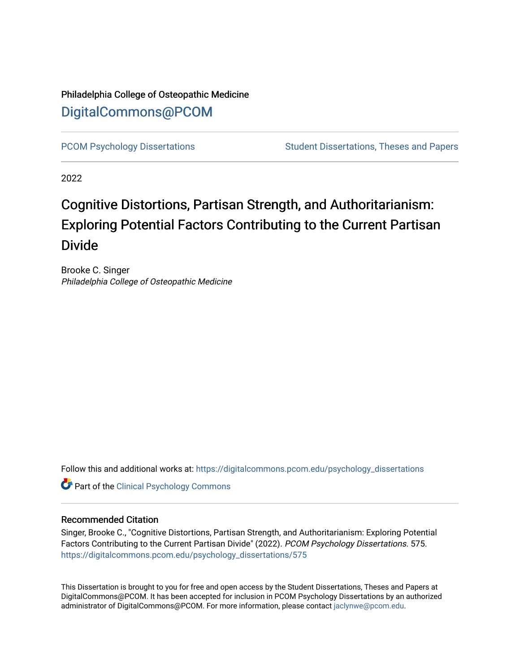## Philadelphia College of Osteopathic Medicine [DigitalCommons@PCOM](https://digitalcommons.pcom.edu/)

[PCOM Psychology Dissertations](https://digitalcommons.pcom.edu/psychology_dissertations) Student Dissertations, Theses and Papers

2022

## Cognitive Distortions, Partisan Strength, and Authoritarianism: Exploring Potential Factors Contributing to the Current Partisan Divide

Brooke C. Singer Philadelphia College of Osteopathic Medicine

Follow this and additional works at: [https://digitalcommons.pcom.edu/psychology\\_dissertations](https://digitalcommons.pcom.edu/psychology_dissertations?utm_source=digitalcommons.pcom.edu%2Fpsychology_dissertations%2F575&utm_medium=PDF&utm_campaign=PDFCoverPages)

**Part of the Clinical Psychology Commons** 

#### Recommended Citation

Singer, Brooke C., "Cognitive Distortions, Partisan Strength, and Authoritarianism: Exploring Potential Factors Contributing to the Current Partisan Divide" (2022). PCOM Psychology Dissertations. 575. [https://digitalcommons.pcom.edu/psychology\\_dissertations/575](https://digitalcommons.pcom.edu/psychology_dissertations/575?utm_source=digitalcommons.pcom.edu%2Fpsychology_dissertations%2F575&utm_medium=PDF&utm_campaign=PDFCoverPages) 

This Dissertation is brought to you for free and open access by the Student Dissertations, Theses and Papers at DigitalCommons@PCOM. It has been accepted for inclusion in PCOM Psychology Dissertations by an authorized administrator of DigitalCommons@PCOM. For more information, please contact [jaclynwe@pcom.edu.](mailto:jaclynwe@pcom.edu)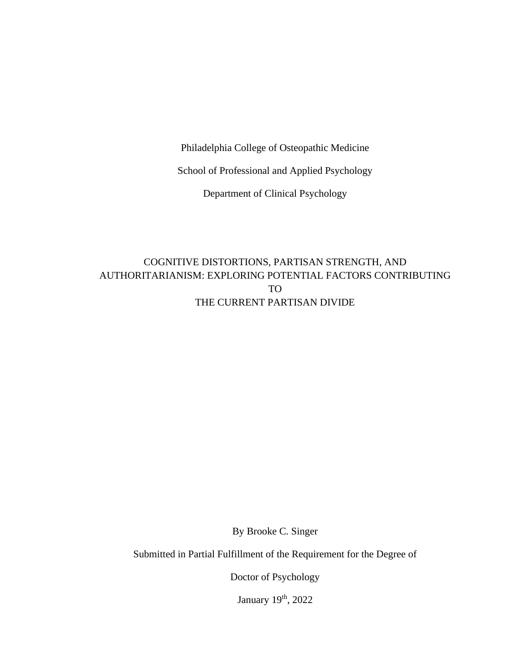Philadelphia College of Osteopathic Medicine

School of Professional and Applied Psychology

Department of Clinical Psychology

## COGNITIVE DISTORTIONS, PARTISAN STRENGTH, AND AUTHORITARIANISM: EXPLORING POTENTIAL FACTORS CONTRIBUTING TO THE CURRENT PARTISAN DIVIDE

By Brooke C. Singer

Submitted in Partial Fulfillment of the Requirement for the Degree of

Doctor of Psychology

January 19<sup>th</sup>, 2022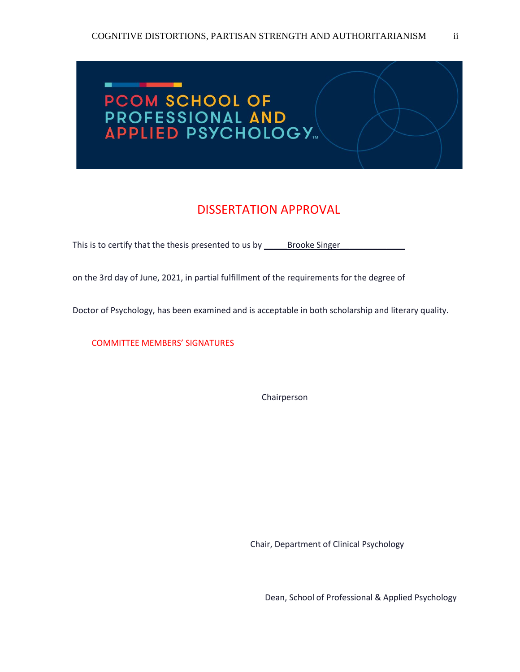# ш. PCOM SCHOOL OF PROFESSIONAL AND

## DISSERTATION APPROVAL

This is to certify that the thesis presented to us by \_\_\_\_\_\_\_\_\_\_\_\_\_\_\_\_\_\_\_\_\_\_\_\_\_\_\_

on the 3rd day of June, 2021, in partial fulfillment of the requirements for the degree of

Doctor of Psychology, has been examined and is acceptable in both scholarship and literary quality.

COMMITTEE MEMBERS' SIGNATURES

Chairperson

Chair, Department of Clinical Psychology

Dean, School of Professional & Applied Psychology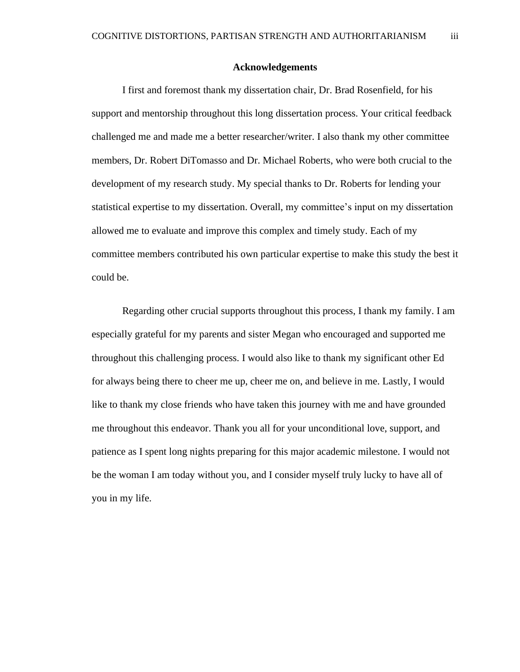#### **Acknowledgements**

I first and foremost thank my dissertation chair, Dr. Brad Rosenfield, for his support and mentorship throughout this long dissertation process. Your critical feedback challenged me and made me a better researcher/writer. I also thank my other committee members, Dr. Robert DiTomasso and Dr. Michael Roberts, who were both crucial to the development of my research study. My special thanks to Dr. Roberts for lending your statistical expertise to my dissertation. Overall, my committee's input on my dissertation allowed me to evaluate and improve this complex and timely study. Each of my committee members contributed his own particular expertise to make this study the best it could be.

Regarding other crucial supports throughout this process, I thank my family. I am especially grateful for my parents and sister Megan who encouraged and supported me throughout this challenging process. I would also like to thank my significant other Ed for always being there to cheer me up, cheer me on, and believe in me. Lastly, I would like to thank my close friends who have taken this journey with me and have grounded me throughout this endeavor. Thank you all for your unconditional love, support, and patience as I spent long nights preparing for this major academic milestone. I would not be the woman I am today without you, and I consider myself truly lucky to have all of you in my life.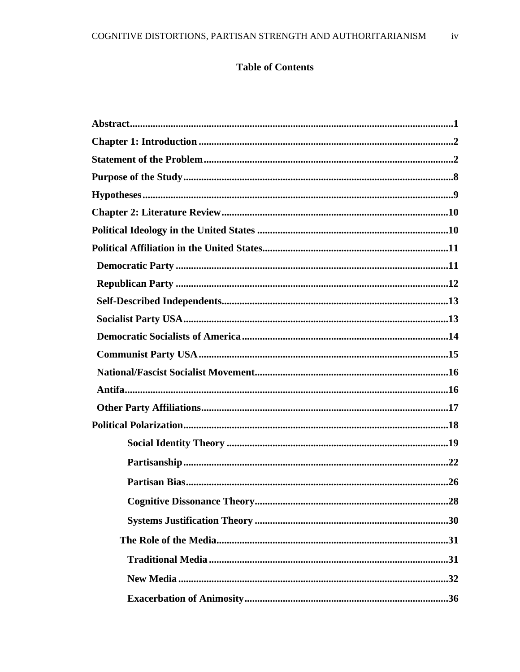## **Table of Contents**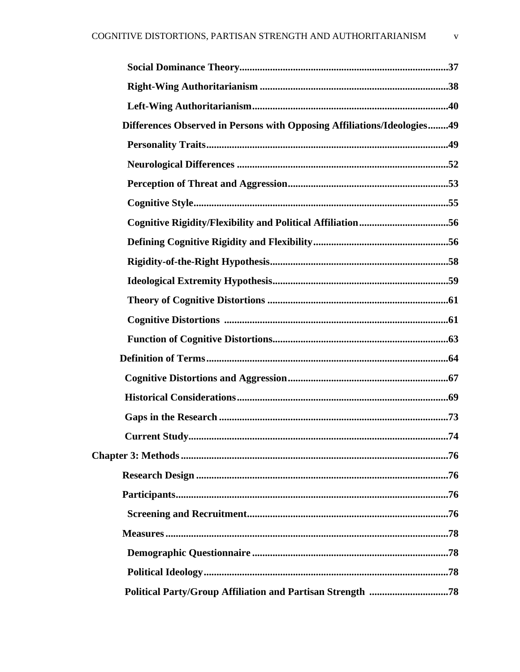| Differences Observed in Persons with Opposing Affiliations/Ideologies49 |
|-------------------------------------------------------------------------|
|                                                                         |
|                                                                         |
|                                                                         |
|                                                                         |
| Cognitive Rigidity/Flexibility and Political Affiliation56              |
|                                                                         |
|                                                                         |
|                                                                         |
|                                                                         |
|                                                                         |
|                                                                         |
|                                                                         |
|                                                                         |
|                                                                         |
|                                                                         |
|                                                                         |
|                                                                         |
|                                                                         |
|                                                                         |
|                                                                         |
|                                                                         |
|                                                                         |
|                                                                         |
|                                                                         |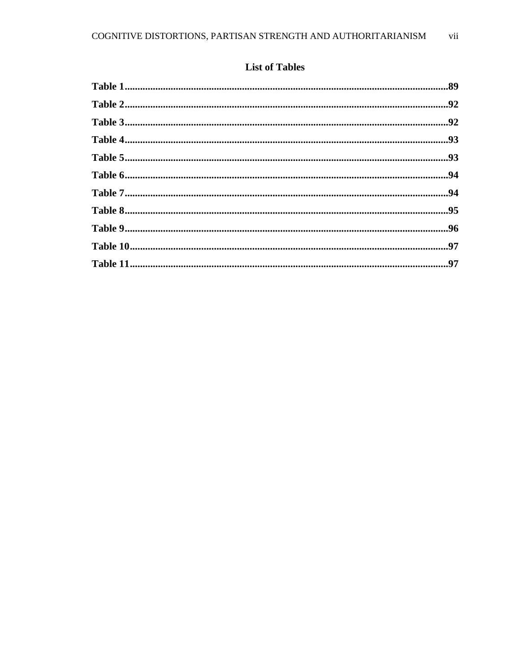## **List of Tables**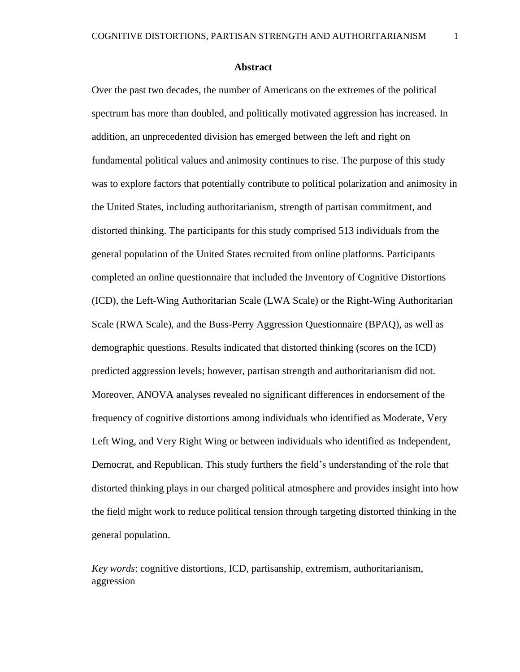#### **Abstract**

Over the past two decades, the number of Americans on the extremes of the political spectrum has more than doubled, and politically motivated aggression has increased. In addition, an unprecedented division has emerged between the left and right on fundamental political values and animosity continues to rise. The purpose of this study was to explore factors that potentially contribute to political polarization and animosity in the United States, including authoritarianism, strength of partisan commitment, and distorted thinking. The participants for this study comprised 513 individuals from the general population of the United States recruited from online platforms. Participants completed an online questionnaire that included the Inventory of Cognitive Distortions (ICD), the Left-Wing Authoritarian Scale (LWA Scale) or the Right-Wing Authoritarian Scale (RWA Scale), and the Buss-Perry Aggression Questionnaire (BPAQ), as well as demographic questions. Results indicated that distorted thinking (scores on the ICD) predicted aggression levels; however, partisan strength and authoritarianism did not. Moreover, ANOVA analyses revealed no significant differences in endorsement of the frequency of cognitive distortions among individuals who identified as Moderate, Very Left Wing, and Very Right Wing or between individuals who identified as Independent, Democrat, and Republican. This study furthers the field's understanding of the role that distorted thinking plays in our charged political atmosphere and provides insight into how the field might work to reduce political tension through targeting distorted thinking in the general population.

*Key words*: cognitive distortions, ICD, partisanship, extremism, authoritarianism, aggression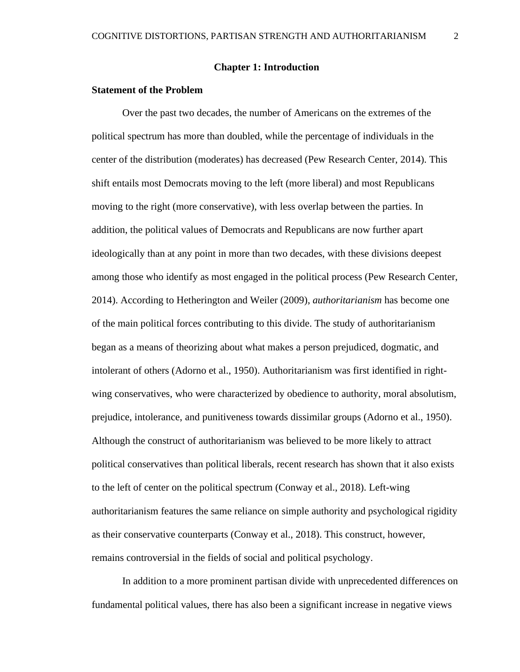#### **Chapter 1: Introduction**

#### **Statement of the Problem**

Over the past two decades, the number of Americans on the extremes of the political spectrum has more than doubled, while the percentage of individuals in the center of the distribution (moderates) has decreased (Pew Research Center, 2014). This shift entails most Democrats moving to the left (more liberal) and most Republicans moving to the right (more conservative), with less overlap between the parties. In addition, the political values of Democrats and Republicans are now further apart ideologically than at any point in more than two decades, with these divisions deepest among those who identify as most engaged in the political process (Pew Research Center, 2014). According to Hetherington and Weiler (2009), *authoritarianism* has become one of the main political forces contributing to this divide. The study of authoritarianism began as a means of theorizing about what makes a person prejudiced, dogmatic, and intolerant of others (Adorno et al., 1950). Authoritarianism was first identified in rightwing conservatives, who were characterized by obedience to authority, moral absolutism, prejudice, intolerance, and punitiveness towards dissimilar groups (Adorno et al., 1950). Although the construct of authoritarianism was believed to be more likely to attract political conservatives than political liberals, recent research has shown that it also exists to the left of center on the political spectrum (Conway et al., 2018). Left-wing authoritarianism features the same reliance on simple authority and psychological rigidity as their conservative counterparts (Conway et al., 2018). This construct, however, remains controversial in the fields of social and political psychology.

In addition to a more prominent partisan divide with unprecedented differences on fundamental political values, there has also been a significant increase in negative views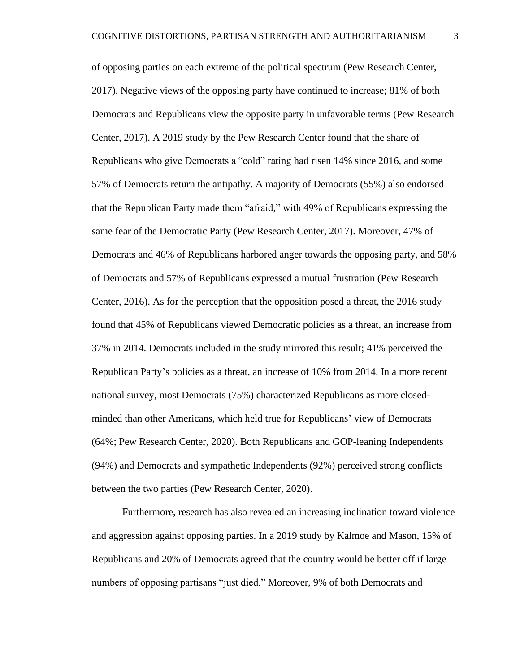of opposing parties on each extreme of the political spectrum (Pew Research Center, 2017). Negative views of the opposing party have continued to increase; 81% of both Democrats and Republicans view the opposite party in unfavorable terms (Pew Research Center, 2017). A 2019 study by the Pew Research Center found that the share of Republicans who give Democrats a "cold" rating had risen 14% since 2016, and some 57% of Democrats return the antipathy. A majority of Democrats (55%) also endorsed that the Republican Party made them "afraid," with 49% of Republicans expressing the same fear of the Democratic Party (Pew Research Center, 2017). Moreover, 47% of Democrats and 46% of Republicans harbored anger towards the opposing party, and 58% of Democrats and 57% of Republicans expressed a mutual frustration (Pew Research Center, 2016). As for the perception that the opposition posed a threat, the 2016 study found that 45% of Republicans viewed Democratic policies as a threat, an increase from 37% in 2014. Democrats included in the study mirrored this result; 41% perceived the Republican Party's policies as a threat, an increase of 10% from 2014. In a more recent national survey, most Democrats (75%) characterized Republicans as more closedminded than other Americans, which held true for Republicans' view of Democrats (64%; Pew Research Center, 2020). Both Republicans and GOP-leaning Independents (94%) and Democrats and sympathetic Independents (92%) perceived strong conflicts between the two parties (Pew Research Center, 2020).

Furthermore, research has also revealed an increasing inclination toward violence and aggression against opposing parties. In a 2019 study by Kalmoe and Mason, 15% of Republicans and 20% of Democrats agreed that the country would be better off if large numbers of opposing partisans "just died." Moreover, 9% of both Democrats and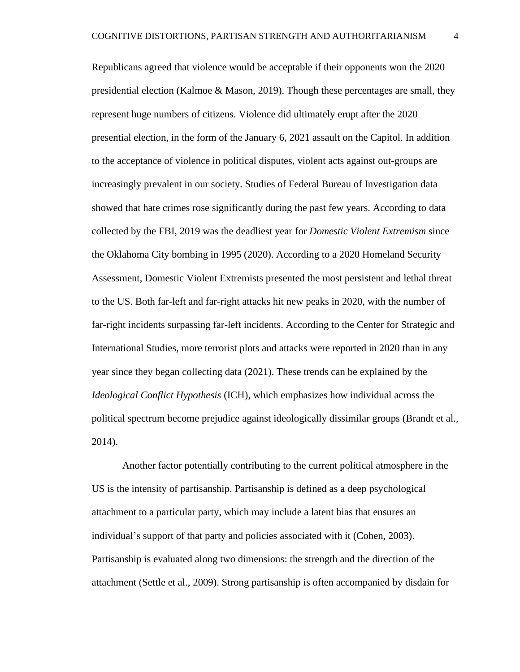Republicans agreed that violence would be acceptable if their opponents won the 2020 presidential election (Kalmoe & Mason, 2019). Though these percentages are small, they represent huge numbers of citizens. Violence did ultimately erupt after the 2020 presential election, in the form of the January 6, 2021 assault on the Capitol. In addition to the acceptance of violence in political disputes, violent acts against out-groups are increasingly prevalent in our society. Studies of Federal Bureau of Investigation data showed that hate crimes rose significantly during the past few years. According to data collected by the FBI, 2019 was the deadliest year for *Domestic Violent Extremism* since the Oklahoma City bombing in 1995 (2020). According to a 2020 Homeland Security Assessment, Domestic Violent Extremists presented the most persistent and lethal threat to the US. Both far-left and far-right attacks hit new peaks in 2020, with the number of far-right incidents surpassing far-left incidents. According to the Center for Strategic and International Studies, more terrorist plots and attacks were reported in 2020 than in any year since they began collecting data (2021). These trends can be explained by the *Ideological Conflict Hypothesis* (ICH), which emphasizes how individual across the political spectrum become prejudice against ideologically dissimilar groups (Brandt et al., 2014).

Another factor potentially contributing to the current political atmosphere in the US is the intensity of partisanship. Partisanship is defined as a deep psychological attachment to a particular party, which may include a latent bias that ensures an individual's support of that party and policies associated with it (Cohen, 2003). Partisanship is evaluated along two dimensions: the strength and the direction of the attachment (Settle et al., 2009). Strong partisanship is often accompanied by disdain for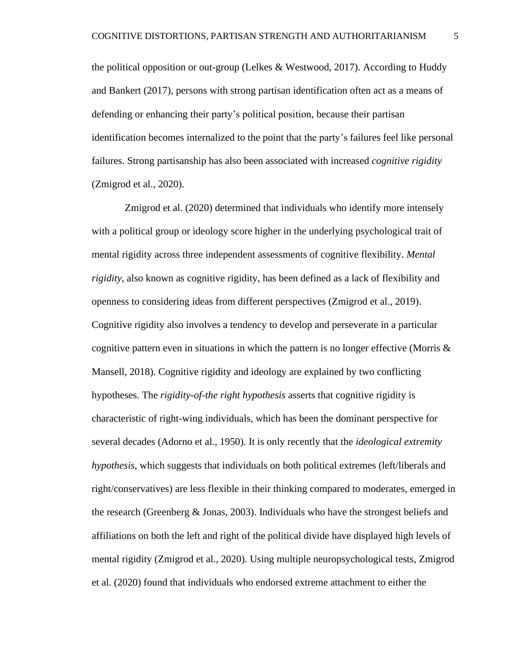the political opposition or out-group (Lelkes & Westwood, 2017). According to Huddy and Bankert (2017), persons with strong partisan identification often act as a means of defending or enhancing their party's political position, because their partisan identification becomes internalized to the point that the party's failures feel like personal failures. Strong partisanship has also been associated with increased *cognitive rigidity* (Zmigrod et al., 2020).

Zmigrod et al. (2020) determined that individuals who identify more intensely with a political group or ideology score higher in the underlying psychological trait of mental rigidity across three independent assessments of cognitive flexibility. *Mental rigidity*, also known as cognitive rigidity, has been defined as a lack of flexibility and openness to considering ideas from different perspectives (Zmigrod et al., 2019). Cognitive rigidity also involves a tendency to develop and perseverate in a particular cognitive pattern even in situations in which the pattern is no longer effective (Morris  $\&$ Mansell, 2018). Cognitive rigidity and ideology are explained by two conflicting hypotheses. The *rigidity-of-the right hypothesis* asserts that cognitive rigidity is characteristic of right-wing individuals, which has been the dominant perspective for several decades (Adorno et al., 1950). It is only recently that the *ideological extremity hypothesis*, which suggests that individuals on both political extremes (left/liberals and right/conservatives) are less flexible in their thinking compared to moderates, emerged in the research (Greenberg & Jonas, 2003). Individuals who have the strongest beliefs and affiliations on both the left and right of the political divide have displayed high levels of mental rigidity (Zmigrod et al., 2020). Using multiple neuropsychological tests, Zmigrod et al. (2020) found that individuals who endorsed extreme attachment to either the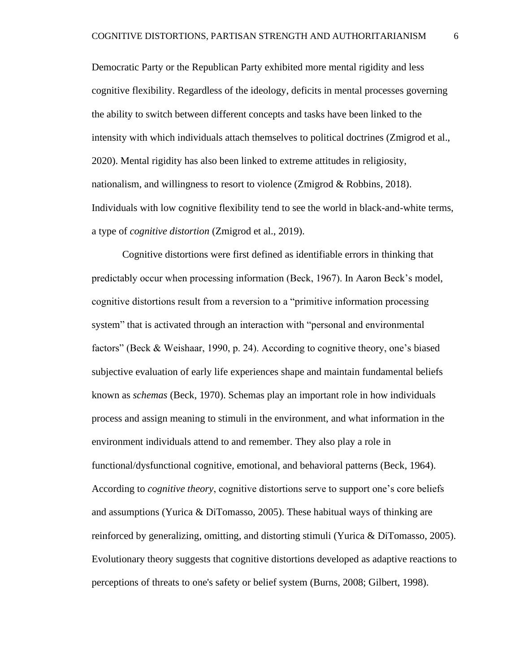Democratic Party or the Republican Party exhibited more mental rigidity and less cognitive flexibility. Regardless of the ideology, deficits in mental processes governing the ability to switch between different concepts and tasks have been linked to the intensity with which individuals attach themselves to political doctrines (Zmigrod et al., 2020). Mental rigidity has also been linked to extreme attitudes in religiosity, nationalism, and willingness to resort to violence (Zmigrod & Robbins, 2018). Individuals with low cognitive flexibility tend to see the world in black-and-white terms, a type of *cognitive distortion* (Zmigrod et al., 2019).

Cognitive distortions were first defined as identifiable errors in thinking that predictably occur when processing information (Beck, 1967). In Aaron Beck's model, cognitive distortions result from a reversion to a "primitive information processing system" that is activated through an interaction with "personal and environmental factors" (Beck & Weishaar, 1990, p. 24). According to cognitive theory, one's biased subjective evaluation of early life experiences shape and maintain fundamental beliefs known as *schemas* (Beck, 1970). Schemas play an important role in how individuals process and assign meaning to stimuli in the environment, and what information in the environment individuals attend to and remember. They also play a role in functional/dysfunctional cognitive, emotional, and behavioral patterns (Beck, 1964). According to *cognitive theory*, cognitive distortions serve to support one's core beliefs and assumptions (Yurica & DiTomasso, 2005). These habitual ways of thinking are reinforced by generalizing, omitting, and distorting stimuli (Yurica & DiTomasso, 2005). Evolutionary theory suggests that cognitive distortions developed as adaptive reactions to perceptions of threats to one's safety or belief system (Burns, 2008; Gilbert, 1998).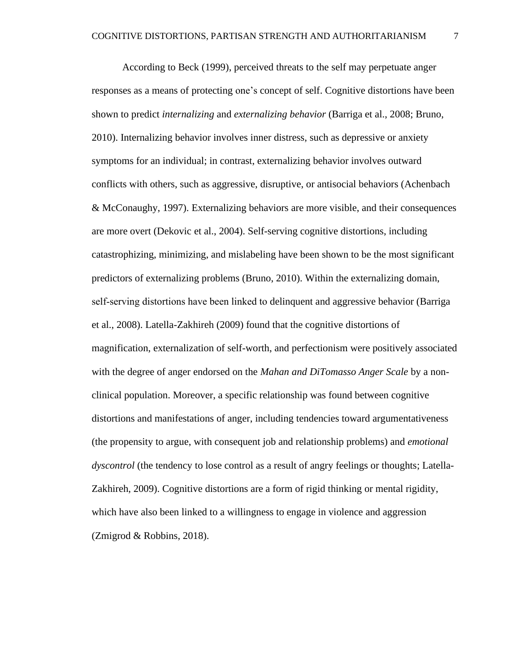According to Beck (1999), perceived threats to the self may perpetuate anger responses as a means of protecting one's concept of self. Cognitive distortions have been shown to predict *internalizing* and *externalizing behavior* (Barriga et al., 2008; Bruno, 2010). Internalizing behavior involves inner distress, such as depressive or anxiety symptoms for an individual; in contrast, externalizing behavior involves outward conflicts with others, such as aggressive, disruptive, or antisocial behaviors (Achenbach & McConaughy, 1997). Externalizing behaviors are more visible, and their consequences are more overt (Dekovic et al., 2004). Self-serving cognitive distortions, including catastrophizing, minimizing, and mislabeling have been shown to be the most significant predictors of externalizing problems (Bruno, 2010). Within the externalizing domain, self‐serving distortions have been linked to delinquent and aggressive behavior (Barriga et al., 2008). Latella-Zakhireh (2009) found that the cognitive distortions of magnification, externalization of self-worth, and perfectionism were positively associated with the degree of anger endorsed on the *Mahan and DiTomasso Anger Scale* by a nonclinical population. Moreover, a specific relationship was found between cognitive distortions and manifestations of anger, including tendencies toward argumentativeness (the propensity to argue, with consequent job and relationship problems) and *emotional dyscontrol* (the tendency to lose control as a result of angry feelings or thoughts; Latella-Zakhireh, 2009). Cognitive distortions are a form of rigid thinking or mental rigidity, which have also been linked to a willingness to engage in violence and aggression (Zmigrod & Robbins, 2018).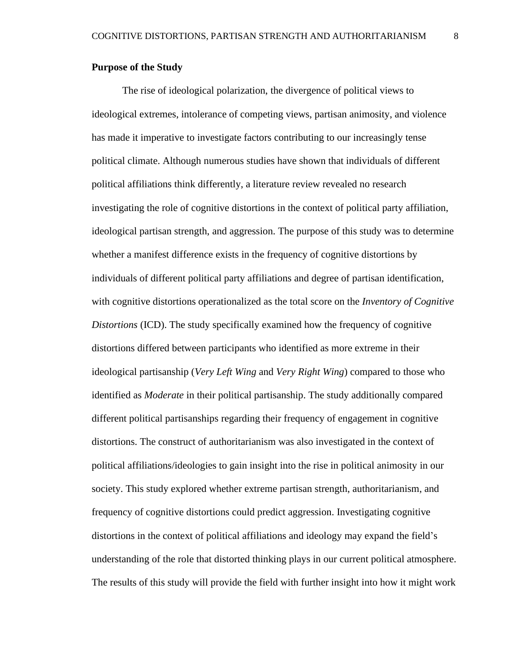#### **Purpose of the Study**

The rise of ideological polarization, the divergence of political views to ideological extremes, intolerance of competing views, partisan animosity, and violence has made it imperative to investigate factors contributing to our increasingly tense political climate. Although numerous studies have shown that individuals of different political affiliations think differently, a literature review revealed no research investigating the role of cognitive distortions in the context of political party affiliation, ideological partisan strength, and aggression. The purpose of this study was to determine whether a manifest difference exists in the frequency of cognitive distortions by individuals of different political party affiliations and degree of partisan identification, with cognitive distortions operationalized as the total score on the *Inventory of Cognitive Distortions* (ICD). The study specifically examined how the frequency of cognitive distortions differed between participants who identified as more extreme in their ideological partisanship (*Very Left Wing* and *Very Right Wing*) compared to those who identified as *Moderate* in their political partisanship. The study additionally compared different political partisanships regarding their frequency of engagement in cognitive distortions. The construct of authoritarianism was also investigated in the context of political affiliations/ideologies to gain insight into the rise in political animosity in our society. This study explored whether extreme partisan strength, authoritarianism, and frequency of cognitive distortions could predict aggression. Investigating cognitive distortions in the context of political affiliations and ideology may expand the field's understanding of the role that distorted thinking plays in our current political atmosphere. The results of this study will provide the field with further insight into how it might work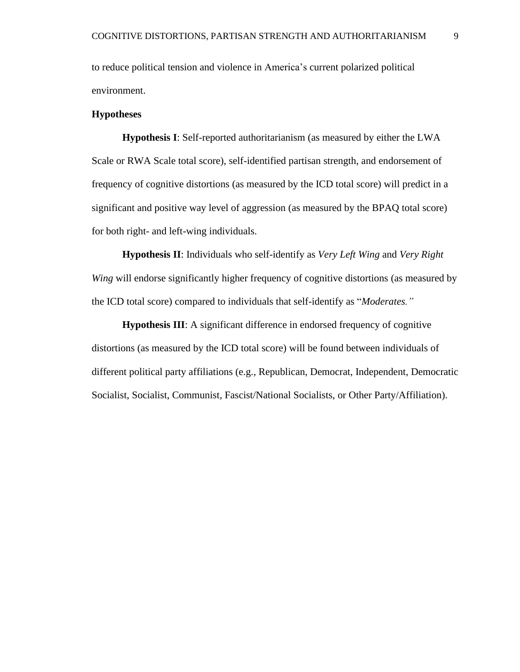to reduce political tension and violence in America's current polarized political environment.

#### **Hypotheses**

**Hypothesis I**: Self-reported authoritarianism (as measured by either the LWA Scale or RWA Scale total score), self-identified partisan strength, and endorsement of frequency of cognitive distortions (as measured by the ICD total score) will predict in a significant and positive way level of aggression (as measured by the BPAQ total score) for both right- and left-wing individuals.

**Hypothesis II**: Individuals who self-identify as *Very Left Wing* and *Very Right Wing* will endorse significantly higher frequency of cognitive distortions (as measured by the ICD total score) compared to individuals that self-identify as "*Moderates."*

**Hypothesis III:** A significant difference in endorsed frequency of cognitive distortions (as measured by the ICD total score) will be found between individuals of different political party affiliations (e.g., Republican, Democrat, Independent, Democratic Socialist, Socialist, Communist, Fascist/National Socialists, or Other Party/Affiliation).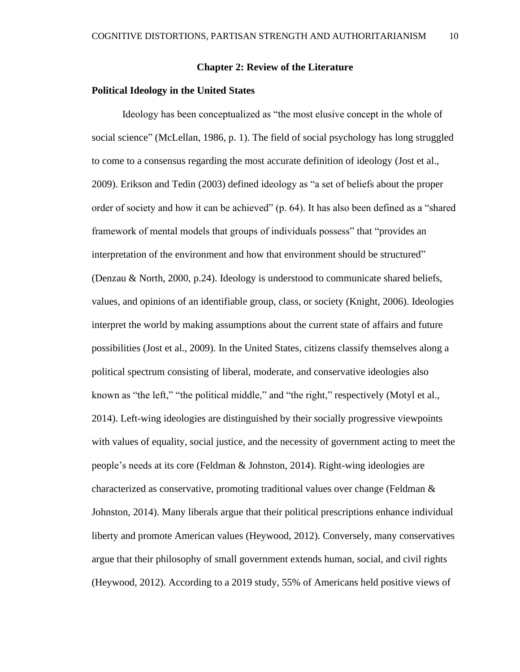#### **Chapter 2: Review of the Literature**

#### **Political Ideology in the United States**

Ideology has been conceptualized as "the most elusive concept in the whole of social science" (McLellan, 1986, p. 1). The field of social psychology has long struggled to come to a consensus regarding the most accurate definition of ideology (Jost et al., 2009). Erikson and Tedin (2003) defined ideology as "a set of beliefs about the proper order of society and how it can be achieved" (p. 64). It has also been defined as a "shared framework of mental models that groups of individuals possess" that "provides an interpretation of the environment and how that environment should be structured" (Denzau & North, 2000, p.24). Ideology is understood to communicate shared beliefs, values, and opinions of an identifiable group, class, or society (Knight, 2006). Ideologies interpret the world by making assumptions about the current state of affairs and future possibilities (Jost et al., 2009). In the United States, citizens classify themselves along a political spectrum consisting of liberal, moderate, and conservative ideologies also known as "the left," "the political middle," and "the right," respectively (Motyl et al., 2014). Left-wing ideologies are distinguished by their socially progressive viewpoints with values of equality, social justice, and the necessity of government acting to meet the people's needs at its core (Feldman & Johnston, 2014). Right-wing ideologies are characterized as conservative, promoting traditional values over change (Feldman  $\&$ Johnston, 2014). Many liberals argue that their political prescriptions enhance individual liberty and promote American values (Heywood, 2012). Conversely, many conservatives argue that their philosophy of small government extends human, social, and civil rights (Heywood, 2012). According to a 2019 study, 55% of Americans held positive views of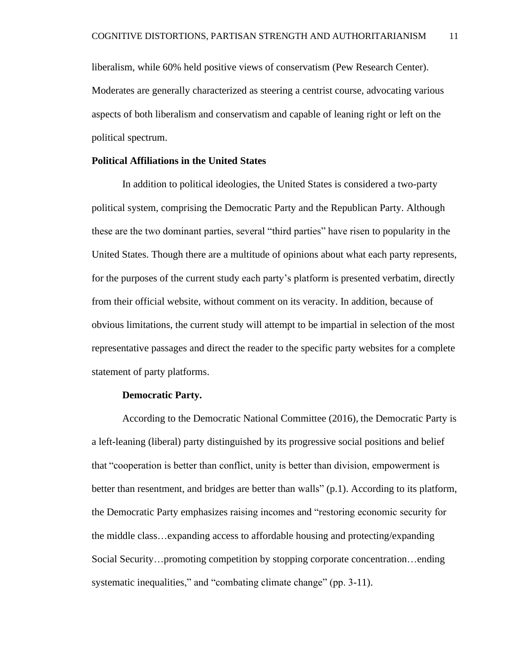liberalism, while 60% held positive views of conservatism (Pew Research Center). Moderates are generally characterized as steering a centrist course, advocating various aspects of both liberalism and conservatism and capable of leaning right or left on the political spectrum.

#### **Political Affiliations in the United States**

In addition to political ideologies, the United States is considered a two-party political system, comprising the Democratic Party and the Republican Party. Although these are the two dominant parties, several "third parties" have risen to popularity in the United States. Though there are a multitude of opinions about what each party represents, for the purposes of the current study each party's platform is presented verbatim, directly from their official website, without comment on its veracity. In addition, because of obvious limitations, the current study will attempt to be impartial in selection of the most representative passages and direct the reader to the specific party websites for a complete statement of party platforms.

#### **Democratic Party.**

According to the Democratic National Committee (2016), the Democratic Party is a left-leaning (liberal) party distinguished by its progressive social positions and belief that "cooperation is better than conflict, unity is better than division, empowerment is better than resentment, and bridges are better than walls" (p.1). According to its platform, the Democratic Party emphasizes raising incomes and "restoring economic security for the middle class…expanding access to affordable housing and protecting/expanding Social Security…promoting competition by stopping corporate concentration…ending systematic inequalities," and "combating climate change" (pp. 3-11).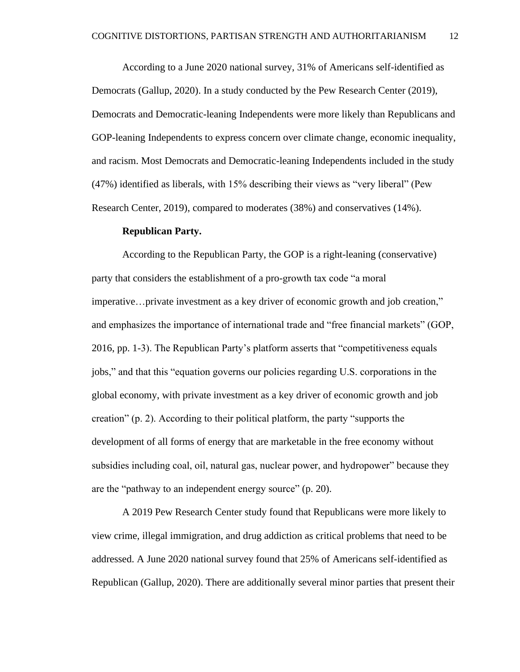According to a June 2020 national survey, 31% of Americans self-identified as Democrats (Gallup, 2020). In a study conducted by the Pew Research Center (2019), Democrats and Democratic-leaning Independents were more likely than Republicans and GOP-leaning Independents to express concern over climate change, economic inequality, and racism. Most Democrats and Democratic-leaning Independents included in the study (47%) identified as liberals, with 15% describing their views as "very liberal" (Pew Research Center, 2019), compared to moderates (38%) and conservatives (14%).

#### **Republican Party.**

According to the Republican Party, the GOP is a right-leaning (conservative) party that considers the establishment of a pro-growth tax code "a moral imperative…private investment as a key driver of economic growth and job creation," and emphasizes the importance of international trade and "free financial markets" (GOP, 2016, pp. 1-3). The Republican Party's platform asserts that "competitiveness equals jobs," and that this "equation governs our policies regarding U.S. corporations in the global economy, with private investment as a key driver of economic growth and job creation" (p. 2). According to their political platform, the party "supports the development of all forms of energy that are marketable in the free economy without subsidies including coal, oil, natural gas, nuclear power, and hydropower" because they are the "pathway to an independent energy source" (p. 20).

A 2019 Pew Research Center study found that Republicans were more likely to view crime, illegal immigration, and drug addiction as critical problems that need to be addressed. A June 2020 national survey found that 25% of Americans self-identified as Republican (Gallup, 2020). There are additionally several minor parties that present their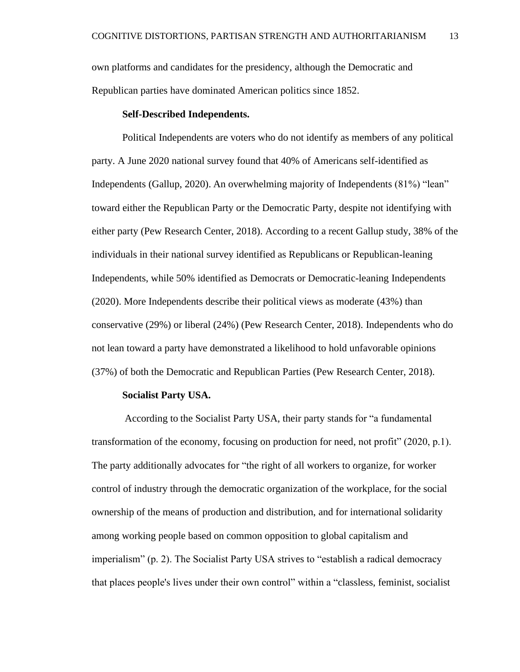own platforms and candidates for the presidency, although the Democratic and Republican parties have dominated American politics since 1852.

#### **Self-Described Independents.**

Political Independents are voters who do not identify as members of any political party. A June 2020 national survey found that 40% of Americans self-identified as Independents (Gallup, 2020). An overwhelming majority of Independents (81%) "lean" toward either the Republican Party or the Democratic Party, despite not identifying with either party (Pew Research Center, 2018). According to a recent Gallup study, 38% of the individuals in their national survey identified as Republicans or Republican-leaning Independents, while 50% identified as Democrats or Democratic-leaning Independents (2020). More Independents describe their political views as moderate (43%) than conservative (29%) or liberal (24%) (Pew Research Center, 2018). Independents who do not lean toward a party have demonstrated a likelihood to hold unfavorable opinions (37%) of both the Democratic and Republican Parties (Pew Research Center, 2018).

#### **Socialist Party USA.**

According to the Socialist Party USA, their party stands for "a fundamental transformation of the economy, focusing on production for need, not profit" (2020, p.1). The party additionally advocates for "the right of all workers to organize, for worker control of industry through the democratic organization of the workplace, for the social ownership of the means of production and distribution, and for international solidarity among working people based on common opposition to global capitalism and imperialism" (p. 2). The Socialist Party USA strives to "establish a radical democracy that places people's lives under their own control" within a "classless, feminist, socialist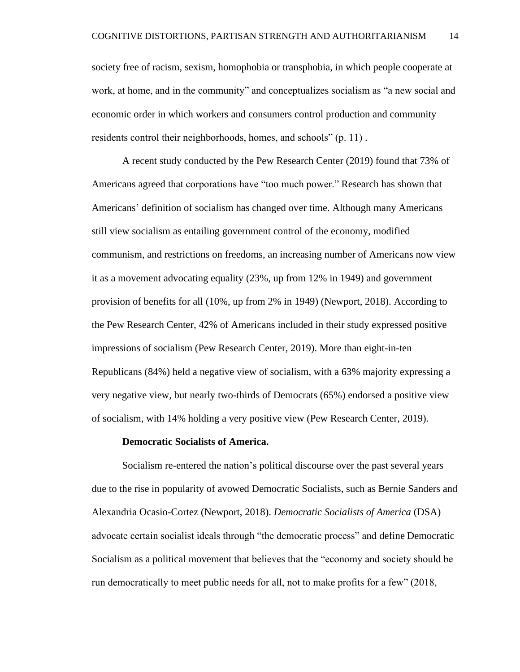society free of racism, sexism, homophobia or transphobia, in which people cooperate at work, at home, and in the community" and conceptualizes socialism as "a new social and economic order in which workers and consumers control production and community residents control their neighborhoods, homes, and schools" (p. 11) .

A recent study conducted by the Pew Research Center (2019) found that 73% of Americans agreed that corporations have "too much power." Research has shown that Americans' definition of socialism has changed over time. Although many Americans still view socialism as entailing government control of the economy, modified communism, and restrictions on freedoms, an increasing number of Americans now view it as a movement advocating equality (23%, up from 12% in 1949) and government provision of benefits for all (10%, up from 2% in 1949) (Newport, 2018). According to the Pew Research Center, 42% of Americans included in their study expressed positive impressions of socialism (Pew Research Center, 2019). More than eight-in-ten Republicans (84%) held a negative view of socialism, with a 63% majority expressing a very negative view, but nearly two-thirds of Democrats (65%) endorsed a positive view of socialism, with 14% holding a very positive view (Pew Research Center, 2019).

#### **Democratic Socialists of America.**

Socialism re-entered the nation's political discourse over the past several years due to the rise in popularity of avowed Democratic Socialists, such as Bernie Sanders and Alexandria Ocasio-Cortez (Newport, 2018). *Democratic Socialists of America* (DSA) advocate certain socialist ideals through "the democratic process" and define Democratic Socialism as a political movement that believes that the "economy and society should be run democratically to meet public needs for all, not to make profits for a few" (2018,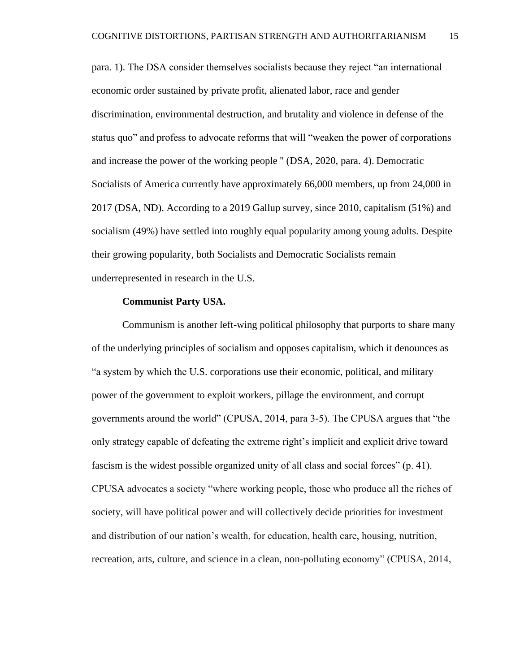para. 1). The DSA consider themselves socialists because they reject "an international economic order sustained by private profit, alienated labor, race and gender discrimination, environmental destruction, and brutality and violence in defense of the status quo" and profess to advocate reforms that will "weaken the power of corporations and increase the power of the working people '' (DSA, 2020, para. 4). Democratic Socialists of America currently have approximately 66,000 members, up from 24,000 in 2017 (DSA, ND). According to a 2019 Gallup survey, since 2010, capitalism (51%) and socialism (49%) have settled into roughly equal popularity among young adults. Despite their growing popularity, both Socialists and Democratic Socialists remain underrepresented in research in the U.S.

#### **Communist Party USA.**

Communism is another left-wing political philosophy that purports to share many of the underlying principles of socialism and opposes capitalism, which it denounces as "a system by which the U.S. corporations use their economic, political, and military power of the government to exploit workers, pillage the environment, and corrupt governments around the world" (CPUSA, 2014, para 3-5). The CPUSA argues that "the only strategy capable of defeating the extreme right's implicit and explicit drive toward fascism is the widest possible organized unity of all class and social forces" (p. 41). CPUSA advocates a society "where working people, those who produce all the riches of society, will have political power and will collectively decide priorities for investment and distribution of our nation's wealth, for education, health care, housing, nutrition, recreation, arts, culture, and science in a clean, non-polluting economy" (CPUSA, 2014,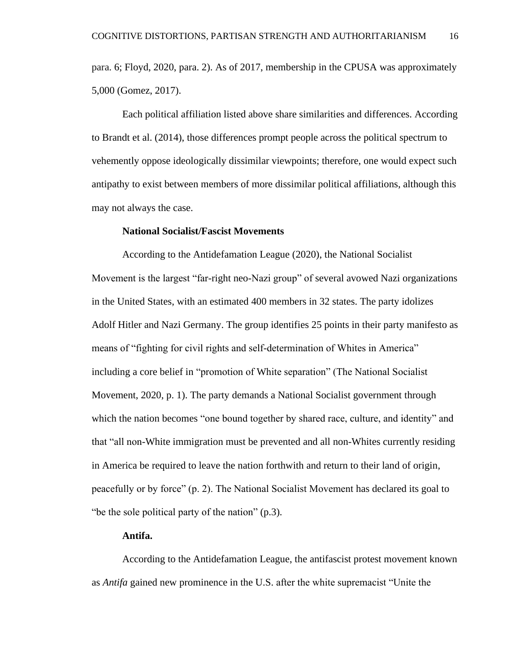para. 6; Floyd, 2020, para. 2). As of 2017, membership in the CPUSA was approximately 5,000 (Gomez, 2017).

Each political affiliation listed above share similarities and differences. According to Brandt et al. (2014), those differences prompt people across the political spectrum to vehemently oppose ideologically dissimilar viewpoints; therefore, one would expect such antipathy to exist between members of more dissimilar political affiliations, although this may not always the case.

#### **National Socialist/Fascist Movements**

According to the Antidefamation League (2020), the National Socialist Movement is the largest "far-right neo-Nazi group" of several avowed Nazi organizations in the United States, with an estimated 400 members in 32 states. The party idolizes Adolf Hitler and Nazi Germany. The group identifies 25 points in their party manifesto as means of "fighting for civil rights and self-determination of Whites in America" including a core belief in "promotion of White separation" (The National Socialist Movement, 2020, p. 1). The party demands a National Socialist government through which the nation becomes "one bound together by shared race, culture, and identity" and that "all non-White immigration must be prevented and all non-Whites currently residing in America be required to leave the nation forthwith and return to their land of origin, peacefully or by force" (p. 2). The National Socialist Movement has declared its goal to "be the sole political party of the nation" (p.3).

#### **Antifa.**

According to the Antidefamation League, the antifascist protest movement known as *Antifa* gained new prominence in the U.S. after the white supremacist "Unite the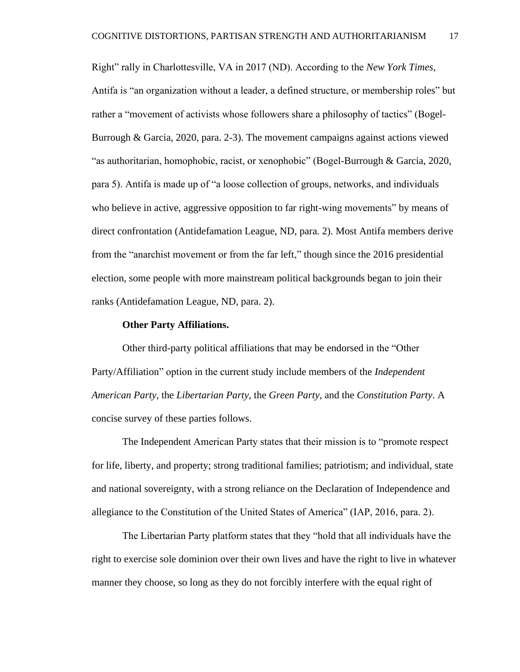Right" rally in Charlottesville, VA in 2017 (ND). According to the *New York Times*, Antifa is "an organization without a leader, a defined structure, or membership roles" but rather a "movement of activists whose followers share a philosophy of tactics" (Bogel-Burrough & Garcia, 2020, para. 2-3). The movement campaigns against actions viewed "as authoritarian, homophobic, racist, or xenophobic" (Bogel-Burrough & Garcia, 2020, para 5). Antifa is made up of "a loose collection of groups, networks, and individuals who believe in active, aggressive opposition to far right-wing movements" by means of direct confrontation (Antidefamation League, ND, para. 2). Most Antifa members derive from the "anarchist movement or from the far left," though since the 2016 presidential election, some people with more mainstream political backgrounds began to join their ranks (Antidefamation League, ND, para. 2).

#### **Other Party Affiliations.**

Other third-party political affiliations that may be endorsed in the "Other Party/Affiliation" option in the current study include members of the *Independent American Party*, the *Libertarian Party*, the *Green Party,* and the *Constitution Party*. A concise survey of these parties follows.

The Independent American Party states that their mission is to "promote respect for life, liberty, and property; strong traditional families; patriotism; and individual, state and national sovereignty, with a strong reliance on the Declaration of Independence and allegiance to the Constitution of the United States of America" (IAP, 2016, para. 2).

The Libertarian Party platform states that they "hold that all individuals have the right to exercise sole dominion over their own lives and have the right to live in whatever manner they choose, so long as they do not forcibly interfere with the equal right of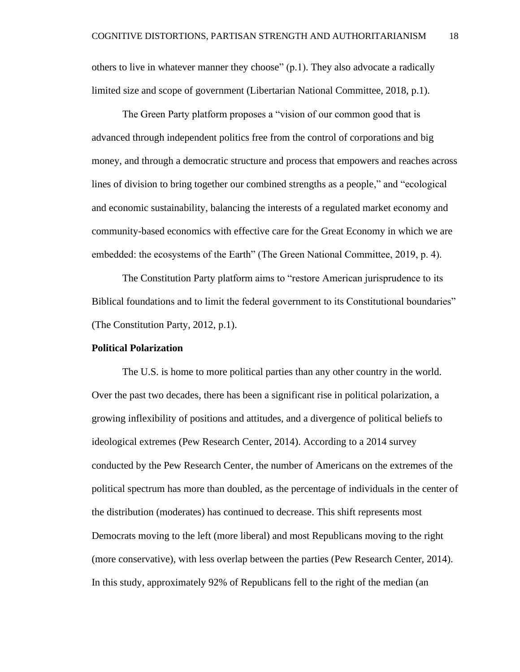others to live in whatever manner they choose" (p.1). They also advocate a radically limited size and scope of government (Libertarian National Committee, 2018, p.1).

The Green Party platform proposes a "vision of our common good that is advanced through independent politics free from the control of corporations and big money, and through a democratic structure and process that empowers and reaches across lines of division to bring together our combined strengths as a people," and "ecological and economic sustainability, balancing the interests of a regulated market economy and community-based economics with effective care for the Great Economy in which we are embedded: the ecosystems of the Earth" (The Green National Committee, 2019, p. 4).

The Constitution Party platform aims to "restore American jurisprudence to its Biblical foundations and to limit the federal government to its Constitutional boundaries" (The Constitution Party, 2012, p.1).

#### **Political Polarization**

The U.S. is home to more political parties than any other country in the world. Over the past two decades, there has been a significant rise in political polarization, a growing inflexibility of positions and attitudes, and a divergence of political beliefs to ideological extremes (Pew Research Center, 2014). According to a 2014 survey conducted by the Pew Research Center, the number of Americans on the extremes of the political spectrum has more than doubled, as the percentage of individuals in the center of the distribution (moderates) has continued to decrease. This shift represents most Democrats moving to the left (more liberal) and most Republicans moving to the right (more conservative), with less overlap between the parties (Pew Research Center, 2014). In this study, approximately 92% of Republicans fell to the right of the median (an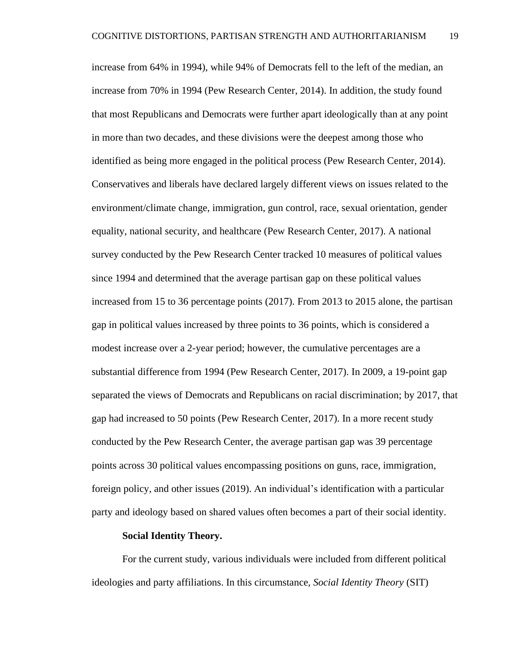increase from 64% in 1994), while 94% of Democrats fell to the left of the median, an increase from 70% in 1994 (Pew Research Center, 2014). In addition, the study found that most Republicans and Democrats were further apart ideologically than at any point in more than two decades, and these divisions were the deepest among those who identified as being more engaged in the political process (Pew Research Center, 2014). Conservatives and liberals have declared largely different views on issues related to the environment/climate change, immigration, gun control, race, sexual orientation, gender equality, national security, and healthcare (Pew Research Center, 2017). A national survey conducted by the Pew Research Center tracked 10 measures of political values since 1994 and determined that the average partisan gap on these political values increased from 15 to 36 percentage points (2017). From 2013 to 2015 alone, the partisan gap in political values increased by three points to 36 points, which is considered a modest increase over a 2-year period; however, the cumulative percentages are a substantial difference from 1994 (Pew Research Center, 2017). In 2009, a 19-point gap separated the views of Democrats and Republicans on racial discrimination; by 2017, that gap had increased to 50 points (Pew Research Center, 2017). In a more recent study conducted by the Pew Research Center, the average partisan gap was 39 percentage points across 30 political values encompassing positions on guns, race, immigration, foreign policy, and other issues (2019). An individual's identification with a particular party and ideology based on shared values often becomes a part of their social identity.

#### **Social Identity Theory.**

For the current study, various individuals were included from different political ideologies and party affiliations. In this circumstance, *Social Identity Theory* (SIT)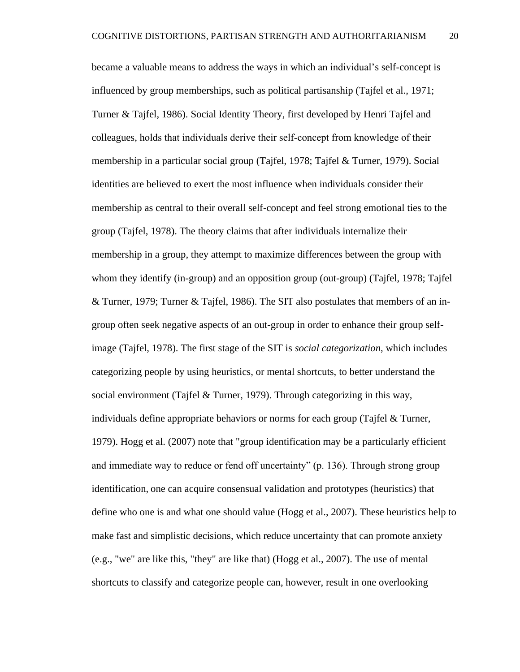became a valuable means to address the ways in which an individual's self-concept is influenced by group memberships, such as political partisanship (Tajfel et al., 1971; Turner & Tajfel, 1986). Social Identity Theory, first developed by Henri Tajfel and colleagues, holds that individuals derive their self‐concept from knowledge of their membership in a particular social group (Tajfel, 1978; Tajfel & Turner, 1979). Social identities are believed to exert the most influence when individuals consider their membership as central to their overall self-concept and feel strong emotional ties to the group (Tajfel, 1978). The theory claims that after individuals internalize their membership in a group, they attempt to maximize differences between the group with whom they identify (in-group) and an opposition group (out-group) (Tajfel, 1978; Tajfel & Turner, 1979; Turner & Tajfel, 1986). The SIT also postulates that members of an ingroup often seek negative aspects of an out-group in order to enhance their group selfimage (Tajfel, 1978). The first stage of the SIT is *social categorization*, which includes categorizing people by using heuristics, or mental shortcuts, to better understand the social environment (Tajfel & Turner, 1979). Through categorizing in this way, individuals define appropriate behaviors or norms for each group (Tajfel  $\&$  Turner, 1979). Hogg et al. (2007) note that "group identification may be a particularly efficient and immediate way to reduce or fend off uncertainty" (p. 136). Through strong group identification, one can acquire consensual validation and prototypes (heuristics) that define who one is and what one should value (Hogg et al., 2007). These heuristics help to make fast and simplistic decisions, which reduce uncertainty that can promote anxiety (e.g., "we" are like this, "they" are like that) (Hogg et al., 2007). The use of mental shortcuts to classify and categorize people can, however, result in one overlooking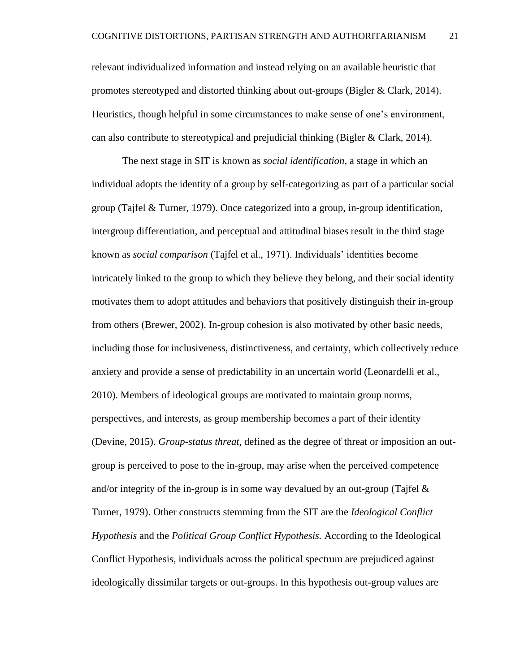relevant individualized information and instead relying on an available heuristic that promotes stereotyped and distorted thinking about out-groups (Bigler & Clark, 2014). Heuristics, though helpful in some circumstances to make sense of one's environment, can also contribute to stereotypical and prejudicial thinking (Bigler & Clark, 2014).

The next stage in SIT is known as *social identification*, a stage in which an individual adopts the identity of a group by self-categorizing as part of a particular social group (Tajfel & Turner, 1979). Once categorized into a group, in-group identification, intergroup differentiation, and perceptual and attitudinal biases result in the third stage known as *social comparison* (Tajfel et al., 1971). Individuals' identities become intricately linked to the group to which they believe they belong, and their social identity motivates them to adopt attitudes and behaviors that positively distinguish their in-group from others (Brewer, 2002). In-group cohesion is also motivated by other basic needs, including those for inclusiveness, distinctiveness, and certainty, which collectively reduce anxiety and provide a sense of predictability in an uncertain world (Leonardelli et al., 2010). Members of ideological groups are motivated to maintain group norms, perspectives, and interests, as group membership becomes a part of their identity (Devine, 2015). *Group-status threat*, defined as the degree of threat or imposition an outgroup is perceived to pose to the in-group, may arise when the perceived competence and/or integrity of the in-group is in some way devalued by an out-group (Tajfel  $\&$ Turner, 1979). Other constructs stemming from the SIT are the *Ideological Conflict Hypothesis* and the *Political Group Conflict Hypothesis.* According to the Ideological Conflict Hypothesis, individuals across the political spectrum are prejudiced against ideologically dissimilar targets or out-groups. In this hypothesis out-group values are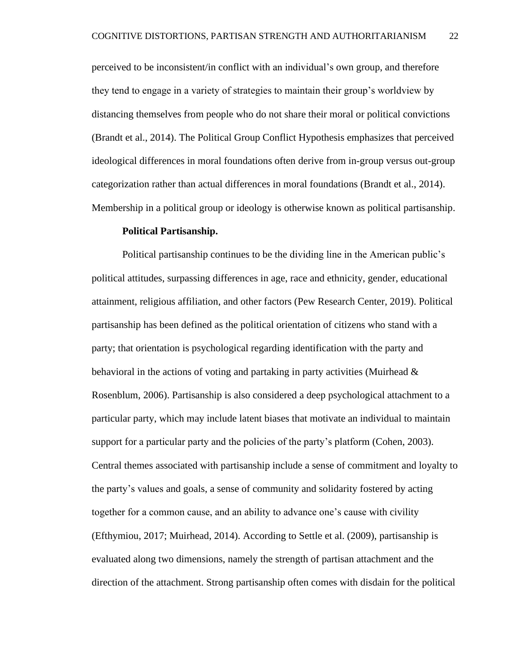perceived to be inconsistent/in conflict with an individual's own group, and therefore they tend to engage in a variety of strategies to maintain their group's worldview by distancing themselves from people who do not share their moral or political convictions (Brandt et al., 2014). The Political Group Conflict Hypothesis emphasizes that perceived ideological differences in moral foundations often derive from in-group versus out-group categorization rather than actual differences in moral foundations (Brandt et al., 2014). Membership in a political group or ideology is otherwise known as political partisanship.

#### **Political Partisanship.**

Political partisanship continues to be the dividing line in the American public's political attitudes, surpassing differences in age, race and ethnicity, gender, educational attainment, religious affiliation, and other factors (Pew Research Center, 2019). Political partisanship has been defined as the political orientation of citizens who stand with a party; that orientation is psychological regarding identification with the party and behavioral in the actions of voting and partaking in party activities (Muirhead  $\&$ Rosenblum, 2006). Partisanship is also considered a deep psychological attachment to a particular party, which may include latent biases that motivate an individual to maintain support for a particular party and the policies of the party's platform (Cohen, 2003). Central themes associated with partisanship include a sense of commitment and loyalty to the party's values and goals, a sense of community and solidarity fostered by acting together for a common cause, and an ability to advance one's cause with civility (Efthymiou, 2017; Muirhead, 2014). According to Settle et al. (2009), partisanship is evaluated along two dimensions, namely the strength of partisan attachment and the direction of the attachment. Strong partisanship often comes with disdain for the political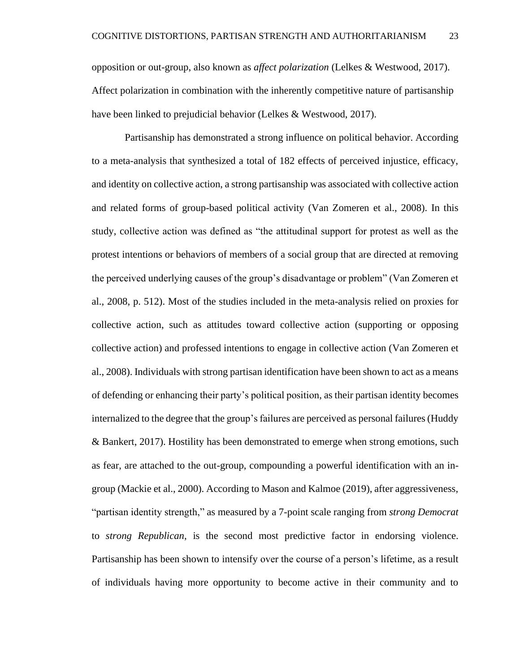opposition or out-group, also known as *affect polarization* (Lelkes & Westwood, 2017). Affect polarization in combination with the inherently competitive nature of partisanship have been linked to prejudicial behavior (Lelkes & Westwood, 2017).

Partisanship has demonstrated a strong influence on political behavior. According to a meta-analysis that synthesized a total of 182 effects of perceived injustice, efficacy, and identity on collective action, a strong partisanship was associated with collective action and related forms of group-based political activity (Van Zomeren et al., 2008). In this study, collective action was defined as "the attitudinal support for protest as well as the protest intentions or behaviors of members of a social group that are directed at removing the perceived underlying causes of the group's disadvantage or problem" (Van Zomeren et al., 2008, p. 512). Most of the studies included in the meta-analysis relied on proxies for collective action, such as attitudes toward collective action (supporting or opposing collective action) and professed intentions to engage in collective action (Van Zomeren et al., 2008). Individuals with strong partisan identification have been shown to act as a means of defending or enhancing their party's political position, as their partisan identity becomes internalized to the degree that the group's failures are perceived as personal failures (Huddy & Bankert, 2017). Hostility has been demonstrated to emerge when strong emotions, such as fear, are attached to the out-group, compounding a powerful identification with an ingroup (Mackie et al., 2000). According to Mason and Kalmoe (2019), after aggressiveness, "partisan identity strength," as measured by a 7-point scale ranging from *strong Democrat* to *strong Republican*, is the second most predictive factor in endorsing violence. Partisanship has been shown to intensify over the course of a person's lifetime, as a result of individuals having more opportunity to become active in their community and to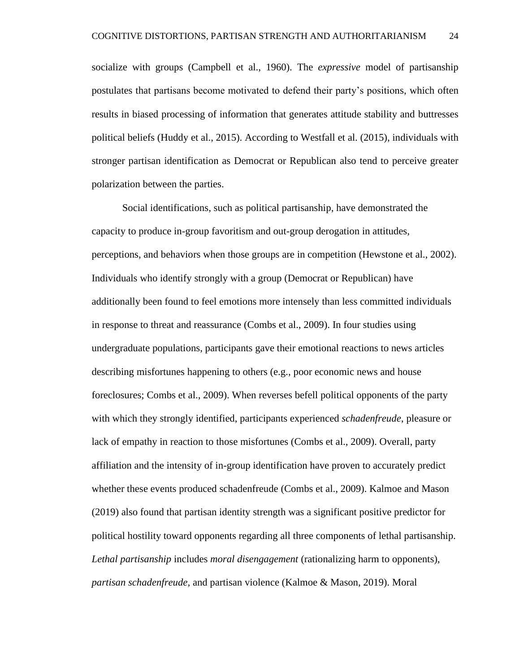socialize with groups (Campbell et al., 1960). The *expressive* model of partisanship postulates that partisans become motivated to defend their party's positions, which often results in biased processing of information that generates attitude stability and buttresses political beliefs (Huddy et al., 2015). According to Westfall et al. (2015), individuals with stronger partisan identification as Democrat or Republican also tend to perceive greater polarization between the parties.

Social identifications, such as political partisanship, have demonstrated the capacity to produce in-group favoritism and out-group derogation in attitudes, perceptions, and behaviors when those groups are in competition (Hewstone et al., 2002). Individuals who identify strongly with a group (Democrat or Republican) have additionally been found to feel emotions more intensely than less committed individuals in response to threat and reassurance (Combs et al., 2009). In four studies using undergraduate populations, participants gave their emotional reactions to news articles describing misfortunes happening to others (e.g., poor economic news and house foreclosures; Combs et al., 2009). When reverses befell political opponents of the party with which they strongly identified, participants experienced *schadenfreude*, pleasure or lack of empathy in reaction to those misfortunes (Combs et al., 2009). Overall, party affiliation and the intensity of in-group identification have proven to accurately predict whether these events produced schadenfreude (Combs et al., 2009). Kalmoe and Mason (2019) also found that partisan identity strength was a significant positive predictor for political hostility toward opponents regarding all three components of lethal partisanship. *Lethal partisanship* includes *moral disengagement* (rationalizing harm to opponents), *partisan schadenfreude*, and partisan violence (Kalmoe & Mason, 2019). Moral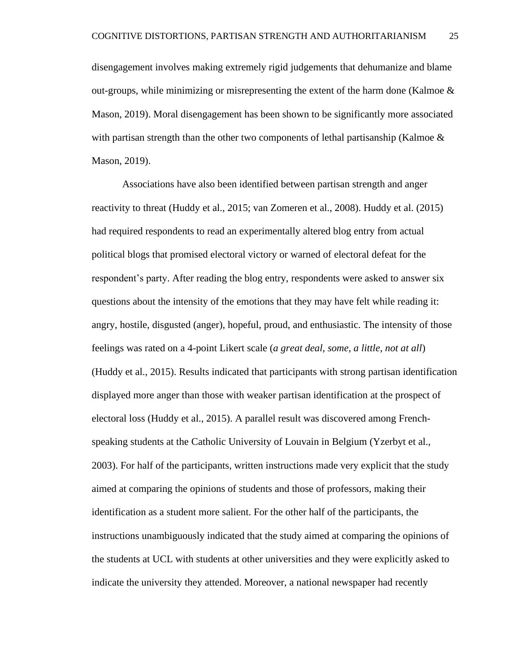disengagement involves making extremely rigid judgements that dehumanize and blame out-groups, while minimizing or misrepresenting the extent of the harm done (Kalmoe  $\&$ Mason, 2019). Moral disengagement has been shown to be significantly more associated with partisan strength than the other two components of lethal partisanship (Kalmoe  $\&$ Mason, 2019).

Associations have also been identified between partisan strength and anger reactivity to threat (Huddy et al., 2015; van Zomeren et al., 2008). Huddy et al. (2015) had required respondents to read an experimentally altered blog entry from actual political blogs that promised electoral victory or warned of electoral defeat for the respondent's party. After reading the blog entry, respondents were asked to answer six questions about the intensity of the emotions that they may have felt while reading it: angry, hostile, disgusted (anger), hopeful, proud, and enthusiastic. The intensity of those feelings was rated on a 4-point Likert scale (*a great deal*, *some*, *a little*, *not at all*) (Huddy et al., 2015). Results indicated that participants with strong partisan identification displayed more anger than those with weaker partisan identification at the prospect of electoral loss (Huddy et al., 2015). A parallel result was discovered among Frenchspeaking students at the Catholic University of Louvain in Belgium (Yzerbyt et al., 2003). For half of the participants, written instructions made very explicit that the study aimed at comparing the opinions of students and those of professors, making their identification as a student more salient. For the other half of the participants, the instructions unambiguously indicated that the study aimed at comparing the opinions of the students at UCL with students at other universities and they were explicitly asked to indicate the university they attended. Moreover, a national newspaper had recently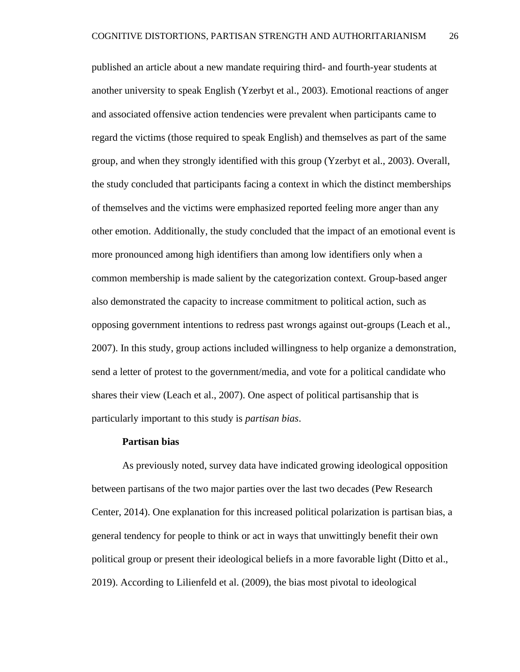published an article about a new mandate requiring third- and fourth-year students at another university to speak English (Yzerbyt et al., 2003). Emotional reactions of anger and associated offensive action tendencies were prevalent when participants came to regard the victims (those required to speak English) and themselves as part of the same group, and when they strongly identified with this group (Yzerbyt et al., 2003). Overall, the study concluded that participants facing a context in which the distinct memberships of themselves and the victims were emphasized reported feeling more anger than any other emotion. Additionally, the study concluded that the impact of an emotional event is more pronounced among high identifiers than among low identifiers only when a common membership is made salient by the categorization context. Group-based anger also demonstrated the capacity to increase commitment to political action, such as opposing government intentions to redress past wrongs against out-groups (Leach et al., 2007). In this study, group actions included willingness to help organize a demonstration, send a letter of protest to the government/media, and vote for a political candidate who shares their view (Leach et al., 2007). One aspect of political partisanship that is particularly important to this study is *partisan bias*.

#### **Partisan bias**

As previously noted, survey data have indicated growing ideological opposition between partisans of the two major parties over the last two decades (Pew Research Center, 2014). One explanation for this increased political polarization is partisan bias, a general tendency for people to think or act in ways that unwittingly benefit their own political group or present their ideological beliefs in a more favorable light (Ditto et al., 2019). According to Lilienfeld et al. (2009), the bias most pivotal to ideological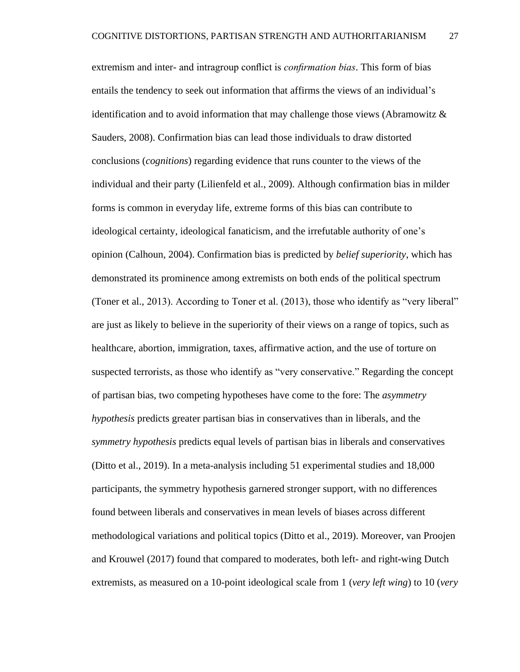extremism and inter- and intragroup conflict is *confirmation bias*. This form of bias entails the tendency to seek out information that affirms the views of an individual's identification and to avoid information that may challenge those views (Abramowitz  $\&$ Sauders, 2008). Confirmation bias can lead those individuals to draw distorted conclusions (*cognitions*) regarding evidence that runs counter to the views of the individual and their party (Lilienfeld et al., 2009). Although confirmation bias in milder forms is common in everyday life, extreme forms of this bias can contribute to ideological certainty, ideological fanaticism, and the irrefutable authority of one's opinion (Calhoun, 2004). Confirmation bias is predicted by *belief superiority*, which has demonstrated its prominence among extremists on both ends of the political spectrum (Toner et al., 2013). According to Toner et al. (2013), those who identify as "very liberal" are just as likely to believe in the superiority of their views on a range of topics, such as healthcare, abortion, immigration, taxes, affirmative action, and the use of torture on suspected terrorists, as those who identify as "very conservative." Regarding the concept of partisan bias, two competing hypotheses have come to the fore: The *asymmetry hypothesis* predicts greater partisan bias in conservatives than in liberals, and the *symmetry hypothesis* predicts equal levels of partisan bias in liberals and conservatives (Ditto et al., 2019). In a meta-analysis including 51 experimental studies and 18,000 participants, the symmetry hypothesis garnered stronger support, with no differences found between liberals and conservatives in mean levels of biases across different methodological variations and political topics (Ditto et al., 2019). Moreover, van Proojen and Krouwel (2017) found that compared to moderates, both left- and right-wing Dutch extremists, as measured on a 10-point ideological scale from 1 (*very left wing*) to 10 (*very*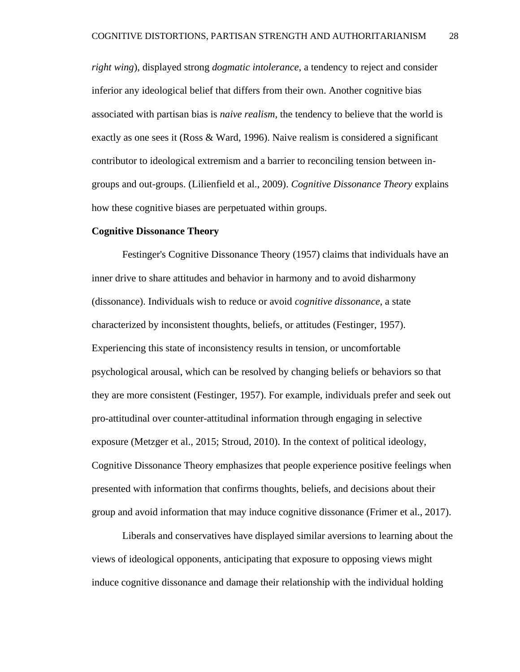*right wing*), displayed strong *dogmatic intolerance*, a tendency to reject and consider inferior any ideological belief that differs from their own. Another cognitive bias associated with partisan bias is *naive realism*, the tendency to believe that the world is exactly as one sees it (Ross & Ward, 1996). Naive realism is considered a significant contributor to ideological extremism and a barrier to reconciling tension between ingroups and out-groups. (Lilienfield et al., 2009). *Cognitive Dissonance Theory* explains how these cognitive biases are perpetuated within groups.

#### **Cognitive Dissonance Theory**

Festinger's Cognitive Dissonance Theory (1957) claims that individuals have an inner drive to share attitudes and behavior in harmony and to avoid disharmony (dissonance). Individuals wish to reduce or avoid *cognitive dissonance*, a state characterized by inconsistent thoughts, beliefs, or attitudes (Festinger, 1957). Experiencing this state of inconsistency results in tension, or uncomfortable psychological arousal, which can be resolved by changing beliefs or behaviors so that they are more consistent (Festinger, 1957). For example, individuals prefer and seek out pro-attitudinal over counter-attitudinal information through engaging in selective exposure (Metzger et al., 2015; Stroud, 2010). In the context of political ideology, Cognitive Dissonance Theory emphasizes that people experience positive feelings when presented with information that confirms thoughts, beliefs, and decisions about their group and avoid information that may induce cognitive dissonance (Frimer et al., 2017).

Liberals and conservatives have displayed similar aversions to learning about the views of ideological opponents, anticipating that exposure to opposing views might induce cognitive dissonance and damage their relationship with the individual holding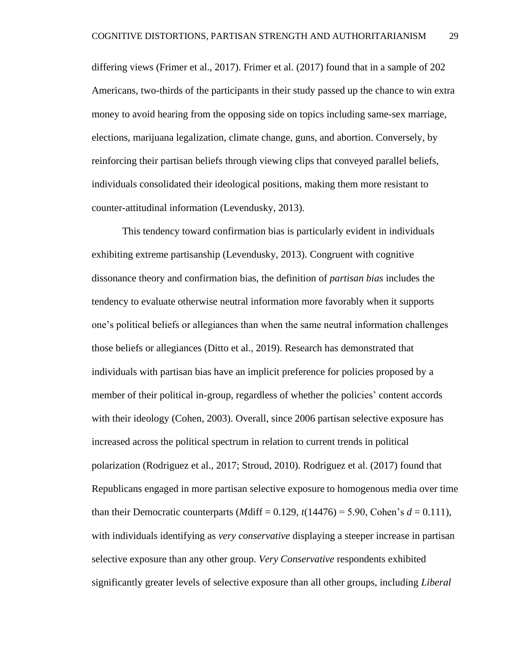differing views (Frimer et al., 2017). Frimer et al. (2017) found that in a sample of 202 Americans, two-thirds of the participants in their study passed up the chance to win extra money to avoid hearing from the opposing side on topics including same-sex marriage, elections, marijuana legalization, climate change, guns, and abortion. Conversely, by reinforcing their partisan beliefs through viewing clips that conveyed parallel beliefs, individuals consolidated their ideological positions, making them more resistant to counter-attitudinal information (Levendusky, 2013).

This tendency toward confirmation bias is particularly evident in individuals exhibiting extreme partisanship (Levendusky, 2013). Congruent with cognitive dissonance theory and confirmation bias, the definition of *partisan bias* includes the tendency to evaluate otherwise neutral information more favorably when it supports one's political beliefs or allegiances than when the same neutral information challenges those beliefs or allegiances (Ditto et al., 2019). Research has demonstrated that individuals with partisan bias have an implicit preference for policies proposed by a member of their political in-group, regardless of whether the policies' content accords with their ideology (Cohen, 2003). Overall, since 2006 partisan selective exposure has increased across the political spectrum in relation to current trends in political polarization (Rodriguez et al., 2017; Stroud, 2010). Rodriguez et al. (2017) found that Republicans engaged in more partisan selective exposure to homogenous media over time than their Democratic counterparts (*M*diff = 0.129,  $t(14476) = 5.90$ , Cohen's  $d = 0.111$ ), with individuals identifying as *very conservative* displaying a steeper increase in partisan selective exposure than any other group. *Very Conservative* respondents exhibited significantly greater levels of selective exposure than all other groups, including *Liberal*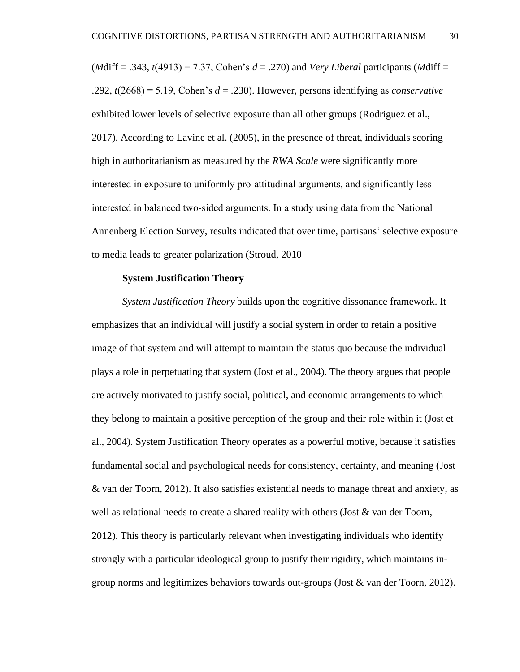(*M*diff = .343, *t*(4913) = 7.37, Cohen's *d* = .270) and *Very Liberal* participants (*M*diff = .292, *t*(2668) = 5.19, Cohen's *d* = .230). However, persons identifying as *conservative* exhibited lower levels of selective exposure than all other groups (Rodriguez et al., 2017). According to Lavine et al. (2005), in the presence of threat, individuals scoring high in authoritarianism as measured by the *RWA Scale* were significantly more interested in exposure to uniformly pro‐attitudinal arguments, and significantly less interested in balanced two‐sided arguments. In a study using data from the National Annenberg Election Survey, results indicated that over time, partisans' selective exposure to media leads to greater polarization (Stroud, 2010

#### **System Justification Theory**

*System Justification Theory* builds upon the cognitive dissonance framework. It emphasizes that an individual will justify a social system in order to retain a positive image of that system and will attempt to maintain the status quo because the individual plays a role in perpetuating that system (Jost et al., 2004). The theory argues that people are actively motivated to justify social, political, and economic arrangements to which they belong to maintain a positive perception of the group and their role within it (Jost et al., 2004). System Justification Theory operates as a powerful motive, because it satisfies fundamental social and psychological needs for consistency, certainty, and meaning (Jost & van der Toorn, 2012). It also satisfies existential needs to manage threat and anxiety, as well as relational needs to create a shared reality with others (Jost & van der Toorn, 2012). This theory is particularly relevant when investigating individuals who identify strongly with a particular ideological group to justify their rigidity, which maintains ingroup norms and legitimizes behaviors towards out-groups (Jost & van der Toorn, 2012).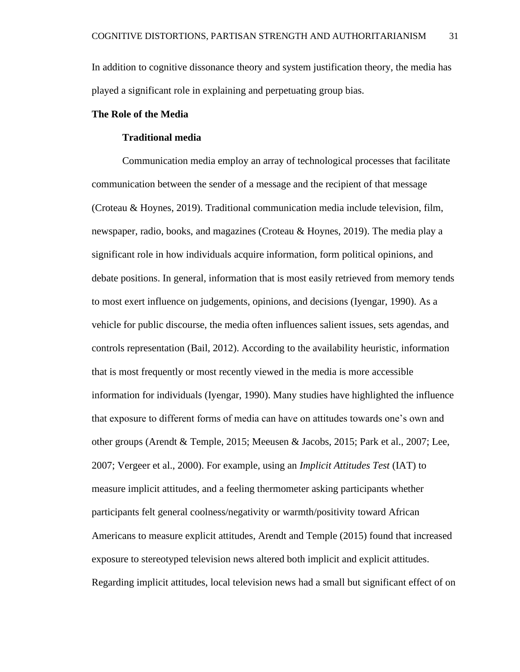In addition to cognitive dissonance theory and system justification theory, the media has played a significant role in explaining and perpetuating group bias.

# **The Role of the Media**

# **Traditional media**

Communication media employ an array of technological processes that facilitate communication between the sender of a message and the recipient of that message (Croteau & Hoynes, 2019). Traditional communication media include television, film, newspaper, radio, books, and magazines (Croteau & Hoynes, 2019). The media play a significant role in how individuals acquire information, form political opinions, and debate positions. In general, information that is most easily retrieved from memory tends to most exert influence on judgements, opinions, and decisions (Iyengar, 1990). As a vehicle for public discourse, the media often influences salient issues, sets agendas, and controls representation (Bail, 2012). According to the availability heuristic, information that is most frequently or most recently viewed in the media is more accessible information for individuals (Iyengar, 1990). Many studies have highlighted the influence that exposure to different forms of media can have on attitudes towards one's own and other groups (Arendt & Temple, 2015; Meeusen & Jacobs, 2015; Park et al., 2007; Lee, 2007; Vergeer et al., 2000). For example, using an *Implicit Attitudes Test* (IAT) to measure implicit attitudes, and a feeling thermometer asking participants whether participants felt general coolness/negativity or warmth/positivity toward African Americans to measure explicit attitudes, Arendt and Temple (2015) found that increased exposure to stereotyped television news altered both implicit and explicit attitudes. Regarding implicit attitudes, local television news had a small but significant effect of on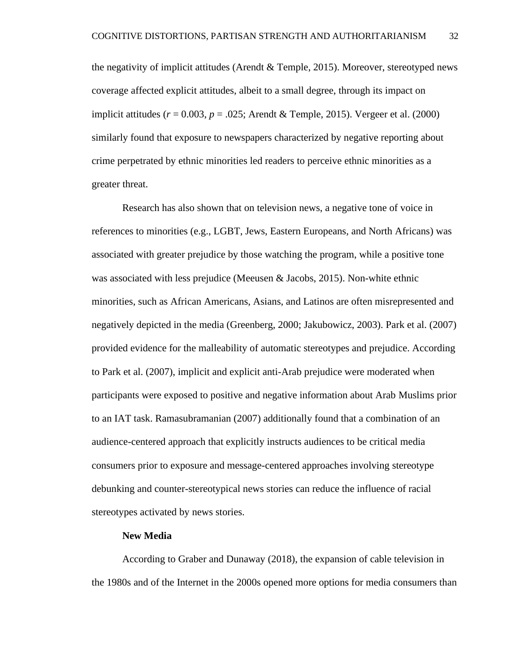the negativity of implicit attitudes (Arendt & Temple, 2015). Moreover, stereotyped news coverage affected explicit attitudes, albeit to a small degree, through its impact on implicit attitudes (*r* = 0.003, *p* = .025; Arendt & Temple, 2015). Vergeer et al. (2000) similarly found that exposure to newspapers characterized by negative reporting about crime perpetrated by ethnic minorities led readers to perceive ethnic minorities as a greater threat.

Research has also shown that on television news, a negative tone of voice in references to minorities (e.g., LGBT, Jews, Eastern Europeans, and North Africans) was associated with greater prejudice by those watching the program, while a positive tone was associated with less prejudice (Meeusen & Jacobs, 2015). Non-white ethnic minorities, such as African Americans, Asians, and Latinos are often misrepresented and negatively depicted in the media (Greenberg, 2000; Jakubowicz, 2003). Park et al. (2007) provided evidence for the malleability of automatic stereotypes and prejudice. According to Park et al. (2007), implicit and explicit anti-Arab prejudice were moderated when participants were exposed to positive and negative information about Arab Muslims prior to an IAT task. Ramasubramanian (2007) additionally found that a combination of an audience-centered approach that explicitly instructs audiences to be critical media consumers prior to exposure and message-centered approaches involving stereotype debunking and counter-stereotypical news stories can reduce the influence of racial stereotypes activated by news stories.

#### **New Media**

According to Graber and Dunaway (2018), the expansion of cable television in the 1980s and of the Internet in the 2000s opened more options for media consumers than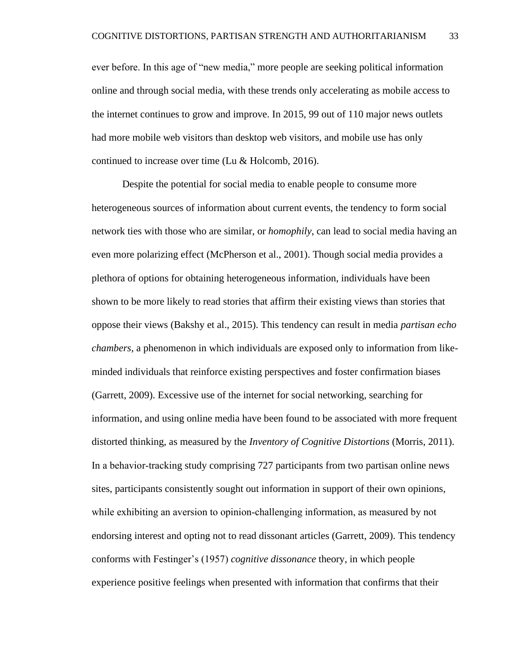ever before. In this age of "new media," more people are seeking political information online and through social media, with these trends only accelerating as mobile access to the internet continues to grow and improve. In 2015, 99 out of 110 major news outlets had more mobile web visitors than desktop web visitors, and mobile use has only continued to increase over time (Lu & Holcomb, 2016).

Despite the potential for social media to enable people to consume more heterogeneous sources of information about current events, the tendency to form social network ties with those who are similar, or *homophily*, can lead to social media having an even more polarizing effect (McPherson et al., 2001). Though social media provides a plethora of options for obtaining heterogeneous information, individuals have been shown to be more likely to read stories that affirm their existing views than stories that oppose their views (Bakshy et al., 2015). This tendency can result in media *partisan echo chambers*, a phenomenon in which individuals are exposed only to information from likeminded individuals that reinforce existing perspectives and foster confirmation biases (Garrett, 2009). Excessive use of the internet for social networking, searching for information, and using online media have been found to be associated with more frequent distorted thinking, as measured by the *Inventory of Cognitive Distortions* (Morris, 2011). In a behavior-tracking study comprising 727 participants from two partisan online news sites, participants consistently sought out information in support of their own opinions, while exhibiting an aversion to opinion-challenging information, as measured by not endorsing interest and opting not to read dissonant articles (Garrett, 2009). This tendency conforms with Festinger's (1957) *cognitive dissonance* theory, in which people experience positive feelings when presented with information that confirms that their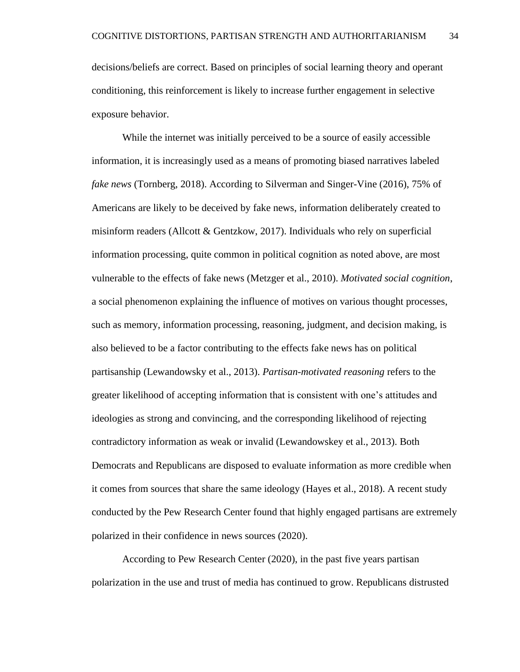decisions/beliefs are correct. Based on principles of social learning theory and operant conditioning, this reinforcement is likely to increase further engagement in selective exposure behavior.

While the internet was initially perceived to be a source of easily accessible information, it is increasingly used as a means of promoting biased narratives labeled *fake news* (Tornberg, 2018). According to Silverman and Singer-Vine (2016), 75% of Americans are likely to be deceived by fake news, information deliberately created to misinform readers (Allcott & Gentzkow, 2017). Individuals who rely on superficial information processing, quite common in political cognition as noted above, are most vulnerable to the effects of fake news (Metzger et al., 2010). *Motivated social cognition*, a social phenomenon explaining the influence of motives on various thought processes, such as memory, information processing, reasoning, judgment, and decision making, is also believed to be a factor contributing to the effects fake news has on political partisanship (Lewandowsky et al., 2013). *Partisan-motivated reasoning* refers to the greater likelihood of accepting information that is consistent with one's attitudes and ideologies as strong and convincing, and the corresponding likelihood of rejecting contradictory information as weak or invalid (Lewandowskey et al., 2013). Both Democrats and Republicans are disposed to evaluate information as more credible when it comes from sources that share the same ideology (Hayes et al., 2018). A recent study conducted by the Pew Research Center found that highly engaged partisans are extremely polarized in their confidence in news sources (2020).

According to Pew Research Center (2020), in the past five years partisan polarization in the use and trust of media has continued to grow. Republicans distrusted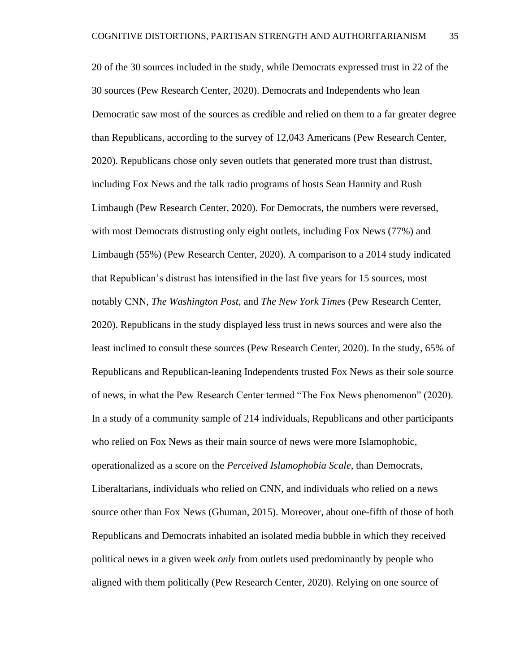20 of the 30 sources included in the study, while Democrats expressed trust in 22 of the 30 sources (Pew Research Center, 2020). Democrats and Independents who lean Democratic saw most of the sources as credible and relied on them to a far greater degree than Republicans, according to the survey of 12,043 Americans (Pew Research Center, 2020). Republicans chose only seven outlets that generated more trust than distrust, including Fox News and the talk radio programs of hosts Sean Hannity and Rush Limbaugh (Pew Research Center, 2020). For Democrats, the numbers were reversed, with most Democrats distrusting only eight outlets, including Fox News (77%) and Limbaugh (55%) (Pew Research Center, 2020). A comparison to a 2014 study indicated that Republican's distrust has intensified in the last five years for 15 sources, most notably CNN, *The Washington Post,* and *The New York Times* (Pew Research Center, 2020). Republicans in the study displayed less trust in news sources and were also the least inclined to consult these sources (Pew Research Center, 2020). In the study, 65% of Republicans and Republican-leaning Independents trusted Fox News as their sole source of news, in what the Pew Research Center termed "The Fox News phenomenon" (2020). In a study of a community sample of 214 individuals, Republicans and other participants who relied on Fox News as their main source of news were more Islamophobic, operationalized as a score on the *Perceived Islamophobia Scale*, than Democrats, Liberaltarians, individuals who relied on CNN, and individuals who relied on a news source other than Fox News (Ghuman, 2015). Moreover, about one-fifth of those of both Republicans and Democrats inhabited an isolated media bubble in which they received political news in a given week *only* from outlets used predominantly by people who aligned with them politically (Pew Research Center, 2020). Relying on one source of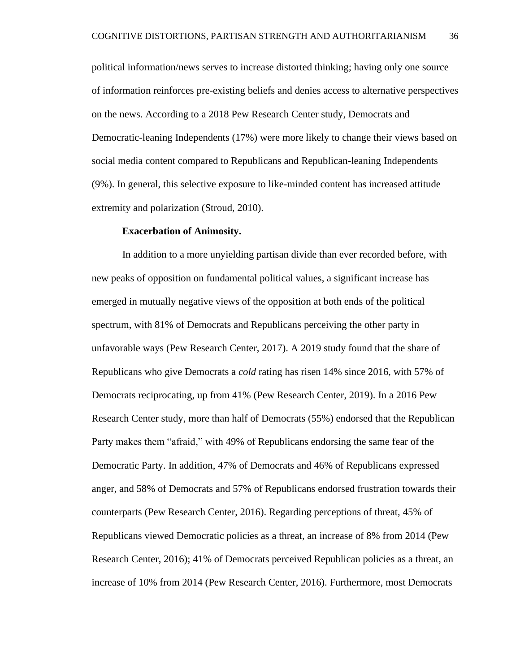political information/news serves to increase distorted thinking; having only one source of information reinforces pre-existing beliefs and denies access to alternative perspectives on the news. According to a 2018 Pew Research Center study, Democrats and Democratic-leaning Independents (17%) were more likely to change their views based on social media content compared to Republicans and Republican-leaning Independents (9%). In general, this selective exposure to like-minded content has increased attitude extremity and polarization (Stroud, 2010).

## **Exacerbation of Animosity.**

In addition to a more unyielding partisan divide than ever recorded before, with new peaks of opposition on fundamental political values, a significant increase has emerged in mutually negative views of the opposition at both ends of the political spectrum, with 81% of Democrats and Republicans perceiving the other party in unfavorable ways (Pew Research Center, 2017). A 2019 study found that the share of Republicans who give Democrats a *cold* rating has risen 14% since 2016, with 57% of Democrats reciprocating, up from 41% (Pew Research Center, 2019). In a 2016 Pew Research Center study, more than half of Democrats (55%) endorsed that the Republican Party makes them "afraid," with 49% of Republicans endorsing the same fear of the Democratic Party. In addition, 47% of Democrats and 46% of Republicans expressed anger, and 58% of Democrats and 57% of Republicans endorsed frustration towards their counterparts (Pew Research Center, 2016). Regarding perceptions of threat, 45% of Republicans viewed Democratic policies as a threat, an increase of 8% from 2014 (Pew Research Center, 2016); 41% of Democrats perceived Republican policies as a threat, an increase of 10% from 2014 (Pew Research Center, 2016). Furthermore, most Democrats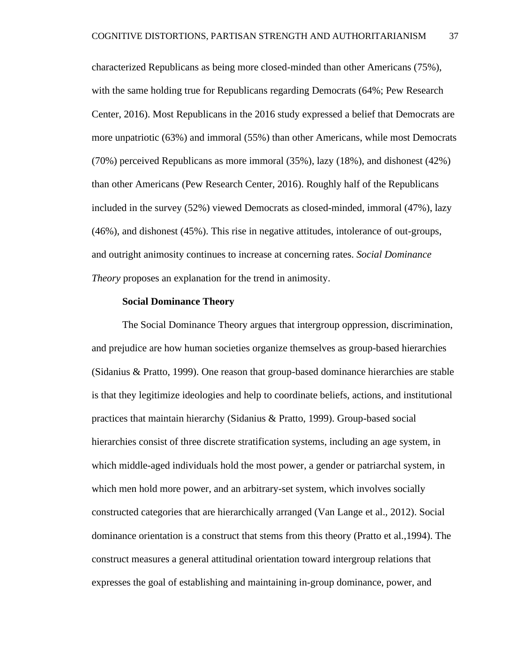characterized Republicans as being more closed-minded than other Americans (75%), with the same holding true for Republicans regarding Democrats (64%; Pew Research Center, 2016). Most Republicans in the 2016 study expressed a belief that Democrats are more unpatriotic (63%) and immoral (55%) than other Americans, while most Democrats (70%) perceived Republicans as more immoral (35%), lazy (18%), and dishonest (42%) than other Americans (Pew Research Center, 2016). Roughly half of the Republicans included in the survey (52%) viewed Democrats as closed-minded, immoral (47%), lazy (46%), and dishonest (45%). This rise in negative attitudes, intolerance of out-groups, and outright animosity continues to increase at concerning rates. *Social Dominance Theory* proposes an explanation for the trend in animosity.

## **Social Dominance Theory**

The Social Dominance Theory argues that intergroup oppression, discrimination, and prejudice are how human societies organize themselves as group-based hierarchies (Sidanius & Pratto, 1999). One reason that group-based dominance hierarchies are stable is that they legitimize ideologies and help to coordinate beliefs, actions, and institutional practices that maintain hierarchy (Sidanius & Pratto, 1999). Group-based social hierarchies consist of three discrete stratification systems, including an age system, in which middle-aged individuals hold the most power, a gender or patriarchal system, in which men hold more power, and an arbitrary-set system, which involves socially constructed categories that are hierarchically arranged (Van Lange et al., 2012). Social dominance orientation is a construct that stems from this theory (Pratto et al.,1994). The construct measures a general attitudinal orientation toward intergroup relations that expresses the goal of establishing and maintaining in-group dominance, power, and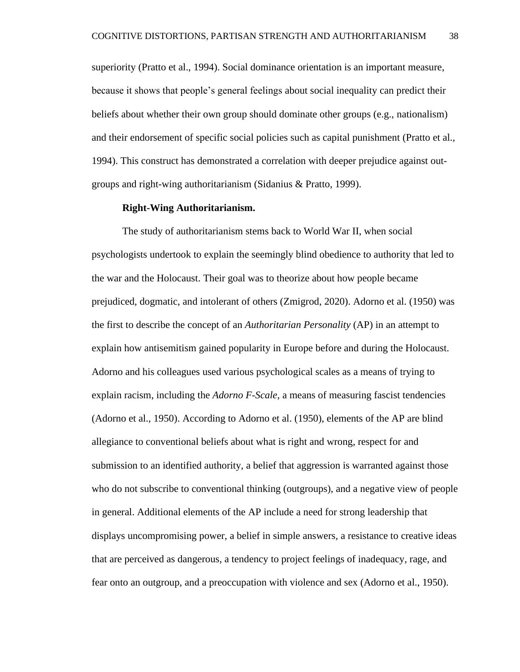superiority (Pratto et al., 1994). Social dominance orientation is an important measure, because it shows that people's general feelings about social inequality can predict their beliefs about whether their own group should dominate other groups (e.g., nationalism) and their endorsement of specific social policies such as capital punishment (Pratto et al., 1994). This construct has demonstrated a correlation with deeper prejudice against outgroups and right-wing authoritarianism (Sidanius & Pratto, 1999).

## **Right-Wing Authoritarianism.**

The study of authoritarianism stems back to World War II, when social psychologists undertook to explain the seemingly blind obedience to authority that led to the war and the Holocaust. Their goal was to theorize about how people became prejudiced, dogmatic, and intolerant of others (Zmigrod, 2020). Adorno et al. (1950) was the first to describe the concept of an *Authoritarian Personality* (AP) in an attempt to explain how antisemitism gained popularity in Europe before and during the Holocaust. Adorno and his colleagues used various psychological scales as a means of trying to explain racism, including the *Adorno F-Scale,* a means of measuring fascist tendencies (Adorno et al., 1950). According to Adorno et al. (1950), elements of the AP are blind allegiance to conventional beliefs about what is right and wrong, respect for and submission to an identified authority, a belief that aggression is warranted against those who do not subscribe to conventional thinking (outgroups), and a negative view of people in general. Additional elements of the AP include a need for strong leadership that displays uncompromising power, a belief in simple answers, a resistance to creative ideas that are perceived as dangerous, a tendency to project feelings of inadequacy, rage, and fear onto an outgroup, and a preoccupation with violence and sex (Adorno et al., 1950).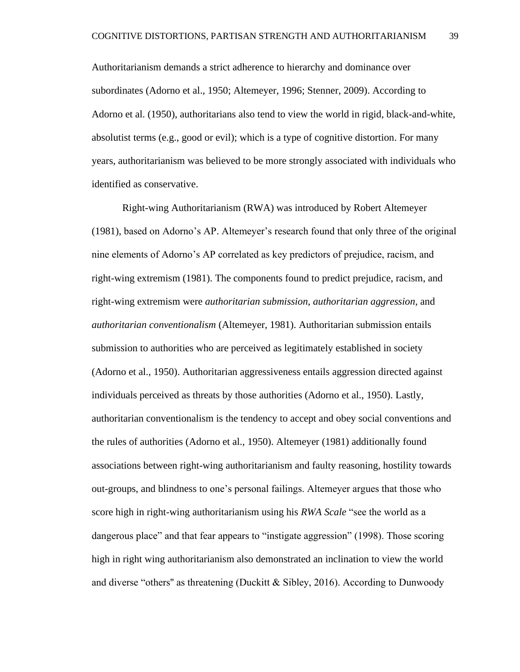Authoritarianism demands a strict adherence to hierarchy and dominance over subordinates (Adorno et al., 1950; Altemeyer, 1996; Stenner, 2009). According to Adorno et al. (1950), authoritarians also tend to view the world in rigid, black-and-white, absolutist terms (e.g., good or evil); which is a type of cognitive distortion. For many years, authoritarianism was believed to be more strongly associated with individuals who identified as conservative.

Right-wing Authoritarianism (RWA) was introduced by Robert Altemeyer (1981), based on Adorno's AP. Altemeyer's research found that only three of the original nine elements of Adorno's AP correlated as key predictors of prejudice, racism, and right-wing extremism (1981). The components found to predict prejudice, racism, and right-wing extremism were *authoritarian submission*, *authoritarian aggression*, and *authoritarian conventionalism* (Altemeyer, 1981). Authoritarian submission entails submission to authorities who are perceived as legitimately established in society (Adorno et al., 1950). Authoritarian aggressiveness entails aggression directed against individuals perceived as threats by those authorities (Adorno et al., 1950). Lastly, authoritarian conventionalism is the tendency to accept and obey social conventions and the rules of authorities (Adorno et al., 1950). Altemeyer (1981) additionally found associations between right-wing authoritarianism and faulty reasoning, hostility towards out-groups, and blindness to one's personal failings. Altemeyer argues that those who score high in right-wing authoritarianism using his *RWA Scale* "see the world as a dangerous place" and that fear appears to "instigate aggression" (1998). Those scoring high in right wing authoritarianism also demonstrated an inclination to view the world and diverse "others" as threatening (Duckitt & Sibley, 2016). According to Dunwoody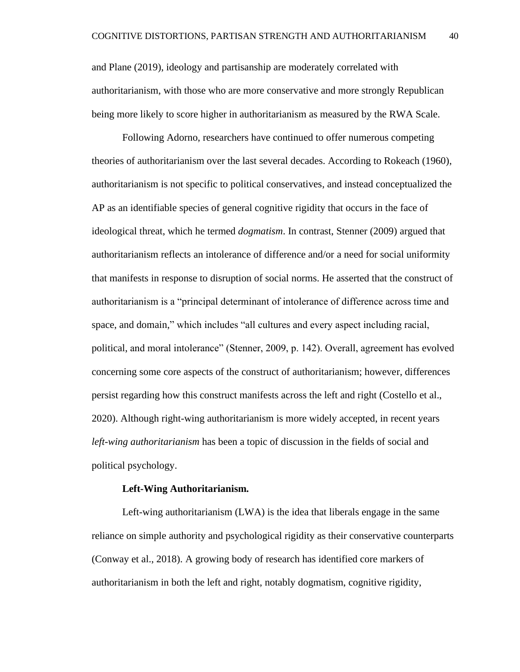and Plane (2019), ideology and partisanship are moderately correlated with authoritarianism, with those who are more conservative and more strongly Republican being more likely to score higher in authoritarianism as measured by the RWA Scale.

Following Adorno, researchers have continued to offer numerous competing theories of authoritarianism over the last several decades. According to Rokeach (1960), authoritarianism is not specific to political conservatives, and instead conceptualized the AP as an identifiable species of general cognitive rigidity that occurs in the face of ideological threat, which he termed *dogmatism*. In contrast, Stenner (2009) argued that authoritarianism reflects an intolerance of difference and/or a need for social uniformity that manifests in response to disruption of social norms. He asserted that the construct of authoritarianism is a "principal determinant of intolerance of difference across time and space, and domain," which includes "all cultures and every aspect including racial, political, and moral intolerance" (Stenner, 2009, p. 142). Overall, agreement has evolved concerning some core aspects of the construct of authoritarianism; however, differences persist regarding how this construct manifests across the left and right (Costello et al., 2020). Although right-wing authoritarianism is more widely accepted, in recent years *left-wing authoritarianism* has been a topic of discussion in the fields of social and political psychology.

#### **Left-Wing Authoritarianism***.*

Left-wing authoritarianism (LWA) is the idea that liberals engage in the same reliance on simple authority and psychological rigidity as their conservative counterparts (Conway et al., 2018). A growing body of research has identified core markers of authoritarianism in both the left and right, notably dogmatism, cognitive rigidity,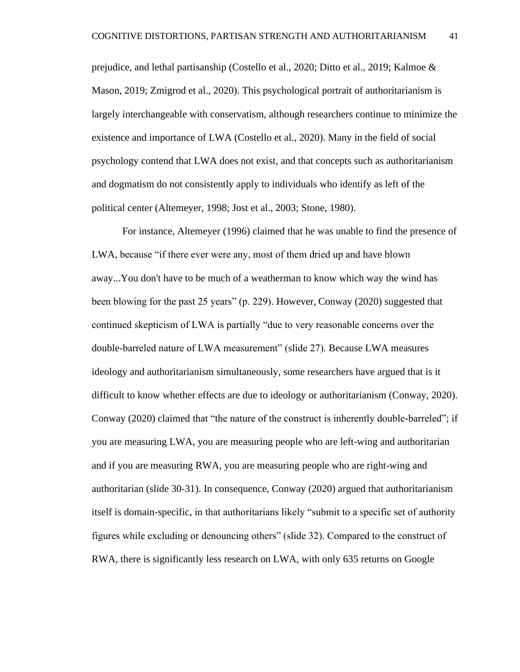prejudice, and lethal partisanship (Costello et al., 2020; Ditto et al., 2019; Kalmoe & Mason, 2019; Zmigrod et al., 2020). This psychological portrait of authoritarianism is largely interchangeable with conservatism, although researchers continue to minimize the existence and importance of LWA (Costello et al., 2020). Many in the field of social psychology contend that LWA does not exist, and that concepts such as authoritarianism and dogmatism do not consistently apply to individuals who identify as left of the political center (Altemeyer, 1998; Jost et al., 2003; Stone, 1980).

For instance, Altemeyer (1996) claimed that he was unable to find the presence of LWA, because "if there ever were any, most of them dried up and have blown away...You don't have to be much of a weatherman to know which way the wind has been blowing for the past 25 years" (p. 229). However, Conway (2020) suggested that continued skepticism of LWA is partially "due to very reasonable concerns over the double-barreled nature of LWA measurement" (slide 27). Because LWA measures ideology and authoritarianism simultaneously, some researchers have argued that is it difficult to know whether effects are due to ideology or authoritarianism (Conway, 2020). Conway (2020) claimed that "the nature of the construct is inherently double-barreled"; if you are measuring LWA, you are measuring people who are left-wing and authoritarian and if you are measuring RWA, you are measuring people who are right-wing and authoritarian (slide 30-31). In consequence, Conway (2020) argued that authoritarianism itself is domain-specific, in that authoritarians likely "submit to a specific set of authority figures while excluding or denouncing others" (slide 32). Compared to the construct of RWA, there is significantly less research on LWA, with only 635 returns on Google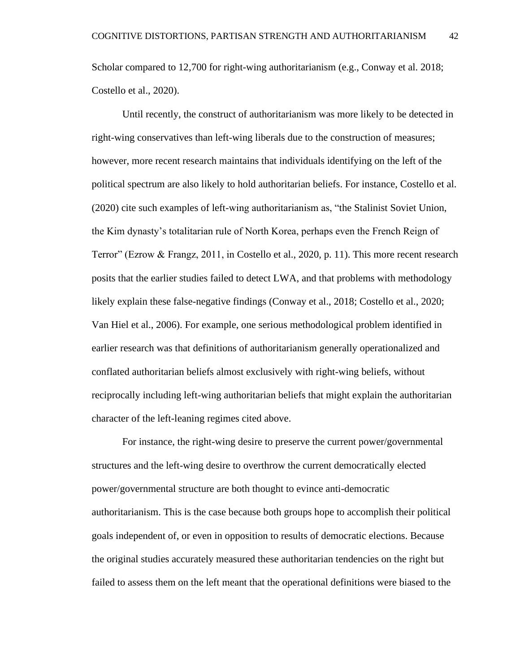Scholar compared to 12,700 for right-wing authoritarianism (e.g., Conway et al. 2018; Costello et al., 2020).

Until recently, the construct of authoritarianism was more likely to be detected in right-wing conservatives than left-wing liberals due to the construction of measures; however, more recent research maintains that individuals identifying on the left of the political spectrum are also likely to hold authoritarian beliefs. For instance, Costello et al. (2020) cite such examples of left-wing authoritarianism as, "the Stalinist Soviet Union, the Kim dynasty's totalitarian rule of North Korea, perhaps even the French Reign of Terror" (Ezrow & Frangz, 2011, in Costello et al., 2020, p. 11). This more recent research posits that the earlier studies failed to detect LWA, and that problems with methodology likely explain these false-negative findings (Conway et al., 2018; Costello et al., 2020; Van Hiel et al., 2006). For example, one serious methodological problem identified in earlier research was that definitions of authoritarianism generally operationalized and conflated authoritarian beliefs almost exclusively with right-wing beliefs, without reciprocally including left-wing authoritarian beliefs that might explain the authoritarian character of the left-leaning regimes cited above.

For instance, the right-wing desire to preserve the current power/governmental structures and the left-wing desire to overthrow the current democratically elected power/governmental structure are both thought to evince anti-democratic authoritarianism. This is the case because both groups hope to accomplish their political goals independent of, or even in opposition to results of democratic elections. Because the original studies accurately measured these authoritarian tendencies on the right but failed to assess them on the left meant that the operational definitions were biased to the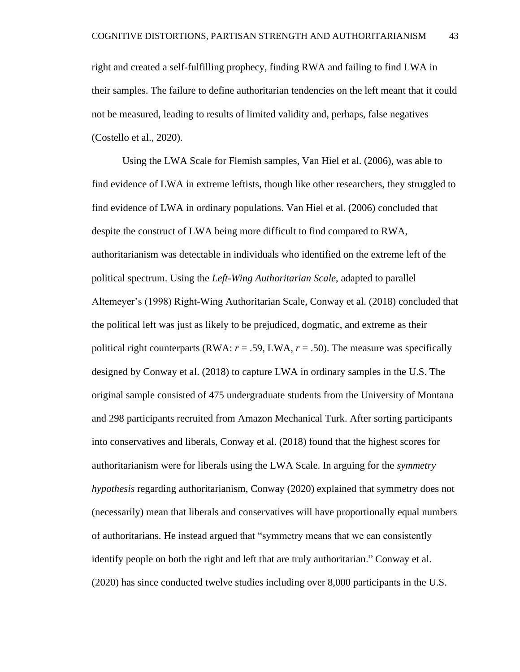right and created a self-fulfilling prophecy, finding RWA and failing to find LWA in their samples. The failure to define authoritarian tendencies on the left meant that it could not be measured, leading to results of limited validity and, perhaps, false negatives (Costello et al., 2020).

Using the LWA Scale for Flemish samples, Van Hiel et al. (2006), was able to find evidence of LWA in extreme leftists, though like other researchers, they struggled to find evidence of LWA in ordinary populations. Van Hiel et al. (2006) concluded that despite the construct of LWA being more difficult to find compared to RWA, authoritarianism was detectable in individuals who identified on the extreme left of the political spectrum. Using the *Left-Wing Authoritarian Scale*, adapted to parallel Altemeyer's (1998) Right-Wing Authoritarian Scale, Conway et al. (2018) concluded that the political left was just as likely to be prejudiced, dogmatic, and extreme as their political right counterparts (RWA:  $r = .59$ , LWA,  $r = .50$ ). The measure was specifically designed by Conway et al. (2018) to capture LWA in ordinary samples in the U.S. The original sample consisted of 475 undergraduate students from the University of Montana and 298 participants recruited from Amazon Mechanical Turk. After sorting participants into conservatives and liberals, Conway et al. (2018) found that the highest scores for authoritarianism were for liberals using the LWA Scale. In arguing for the *symmetry hypothesis* regarding authoritarianism, Conway (2020) explained that symmetry does not (necessarily) mean that liberals and conservatives will have proportionally equal numbers of authoritarians. He instead argued that "symmetry means that we can consistently identify people on both the right and left that are truly authoritarian." Conway et al. (2020) has since conducted twelve studies including over 8,000 participants in the U.S.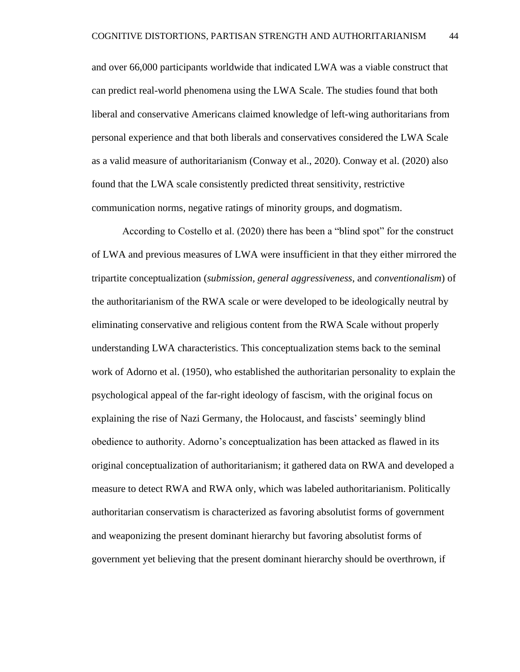and over 66,000 participants worldwide that indicated LWA was a viable construct that can predict real-world phenomena using the LWA Scale. The studies found that both liberal and conservative Americans claimed knowledge of left-wing authoritarians from personal experience and that both liberals and conservatives considered the LWA Scale as a valid measure of authoritarianism (Conway et al., 2020). Conway et al. (2020) also found that the LWA scale consistently predicted threat sensitivity, restrictive communication norms, negative ratings of minority groups, and dogmatism.

According to Costello et al. (2020) there has been a "blind spot" for the construct of LWA and previous measures of LWA were insufficient in that they either mirrored the tripartite conceptualization (*submission*, *general aggressiveness*, and *conventionalism*) of the authoritarianism of the RWA scale or were developed to be ideologically neutral by eliminating conservative and religious content from the RWA Scale without properly understanding LWA characteristics. This conceptualization stems back to the seminal work of Adorno et al. (1950), who established the authoritarian personality to explain the psychological appeal of the far-right ideology of fascism, with the original focus on explaining the rise of Nazi Germany, the Holocaust, and fascists' seemingly blind obedience to authority. Adorno's conceptualization has been attacked as flawed in its original conceptualization of authoritarianism; it gathered data on RWA and developed a measure to detect RWA and RWA only, which was labeled authoritarianism. Politically authoritarian conservatism is characterized as favoring absolutist forms of government and weaponizing the present dominant hierarchy but favoring absolutist forms of government yet believing that the present dominant hierarchy should be overthrown, if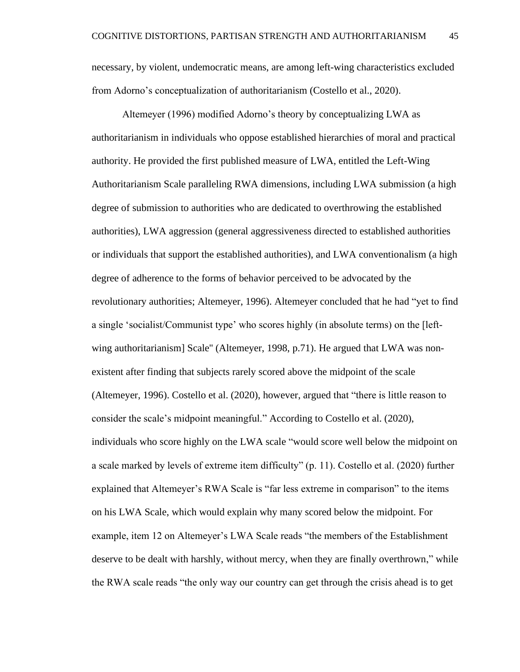necessary, by violent, undemocratic means, are among left-wing characteristics excluded from Adorno's conceptualization of authoritarianism (Costello et al., 2020).

Altemeyer (1996) modified Adorno's theory by conceptualizing LWA as authoritarianism in individuals who oppose established hierarchies of moral and practical authority. He provided the first published measure of LWA, entitled the Left-Wing Authoritarianism Scale paralleling RWA dimensions, including LWA submission (a high degree of submission to authorities who are dedicated to overthrowing the established authorities), LWA aggression (general aggressiveness directed to established authorities or individuals that support the established authorities), and LWA conventionalism (a high degree of adherence to the forms of behavior perceived to be advocated by the revolutionary authorities; Altemeyer, 1996). Altemeyer concluded that he had "yet to find a single 'socialist/Communist type' who scores highly (in absolute terms) on the [leftwing authoritarianism] Scale'' (Altemeyer, 1998, p.71). He argued that LWA was nonexistent after finding that subjects rarely scored above the midpoint of the scale (Altemeyer, 1996). Costello et al. (2020), however, argued that "there is little reason to consider the scale's midpoint meaningful." According to Costello et al. (2020), individuals who score highly on the LWA scale "would score well below the midpoint on a scale marked by levels of extreme item difficulty" (p. 11). Costello et al. (2020) further explained that Altemeyer's RWA Scale is "far less extreme in comparison" to the items on his LWA Scale, which would explain why many scored below the midpoint. For example, item 12 on Altemeyer's LWA Scale reads "the members of the Establishment deserve to be dealt with harshly, without mercy, when they are finally overthrown," while the RWA scale reads "the only way our country can get through the crisis ahead is to get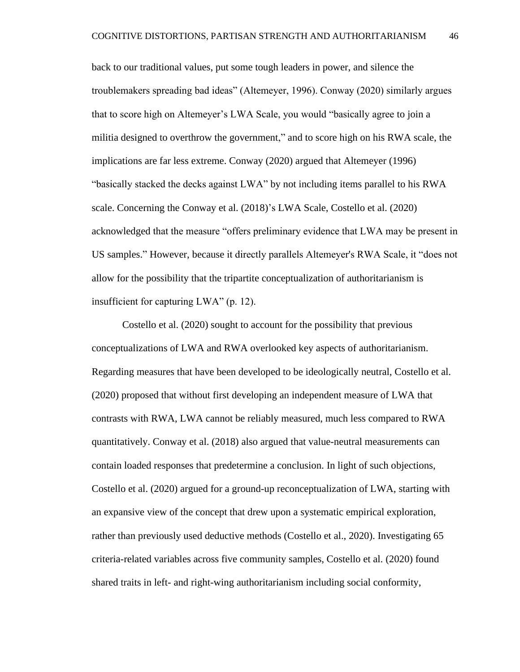back to our traditional values, put some tough leaders in power, and silence the troublemakers spreading bad ideas" (Altemeyer, 1996). Conway (2020) similarly argues that to score high on Altemeyer's LWA Scale, you would "basically agree to join a militia designed to overthrow the government," and to score high on his RWA scale, the implications are far less extreme. Conway (2020) argued that Altemeyer (1996) "basically stacked the decks against LWA" by not including items parallel to his RWA scale. Concerning the Conway et al. (2018)'s LWA Scale, Costello et al. (2020) acknowledged that the measure "offers preliminary evidence that LWA may be present in US samples." However, because it directly parallels Altemeyer's RWA Scale, it "does not allow for the possibility that the tripartite conceptualization of authoritarianism is insufficient for capturing LWA" (p. 12).

Costello et al. (2020) sought to account for the possibility that previous conceptualizations of LWA and RWA overlooked key aspects of authoritarianism. Regarding measures that have been developed to be ideologically neutral, Costello et al. (2020) proposed that without first developing an independent measure of LWA that contrasts with RWA, LWA cannot be reliably measured, much less compared to RWA quantitatively. Conway et al. (2018) also argued that value-neutral measurements can contain loaded responses that predetermine a conclusion. In light of such objections, Costello et al. (2020) argued for a ground-up reconceptualization of LWA, starting with an expansive view of the concept that drew upon a systematic empirical exploration, rather than previously used deductive methods (Costello et al., 2020). Investigating 65 criteria-related variables across five community samples, Costello et al. (2020) found shared traits in left- and right-wing authoritarianism including social conformity,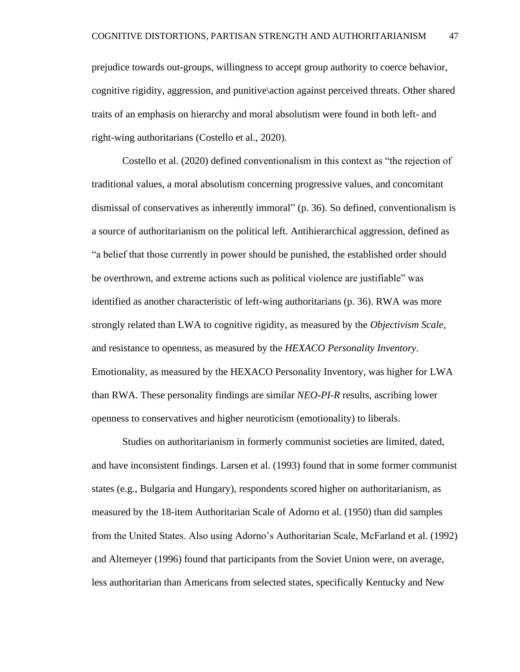prejudice towards out-groups, willingness to accept group authority to coerce behavior, cognitive rigidity, aggression, and punitive\action against perceived threats. Other shared traits of an emphasis on hierarchy and moral absolutism were found in both left- and right-wing authoritarians (Costello et al., 2020).

Costello et al. (2020) defined conventionalism in this context as "the rejection of traditional values, a moral absolutism concerning progressive values, and concomitant dismissal of conservatives as inherently immoral" (p. 36). So defined, conventionalism is a source of authoritarianism on the political left. Antihierarchical aggression, defined as "a belief that those currently in power should be punished, the established order should be overthrown, and extreme actions such as political violence are justifiable" was identified as another characteristic of left-wing authoritarians (p. 36). RWA was more strongly related than LWA to cognitive rigidity, as measured by the *Objectivism Scale,* and resistance to openness, as measured by the *HEXACO Personality Inventory.* Emotionality, as measured by the HEXACO Personality Inventory, was higher for LWA than RWA. These personality findings are similar *NEO-PI-R* results, ascribing lower openness to conservatives and higher neuroticism (emotionality) to liberals.

Studies on authoritarianism in formerly communist societies are limited, dated, and have inconsistent findings. Larsen et al. (1993) found that in some former communist states (e.g., Bulgaria and Hungary), respondents scored higher on authoritarianism, as measured by the 18-item Authoritarian Scale of Adorno et al. (1950) than did samples from the United States. Also using Adorno's Authoritarian Scale, McFarland et al. (1992) and Altemeyer (1996) found that participants from the Soviet Union were, on average, less authoritarian than Americans from selected states, specifically Kentucky and New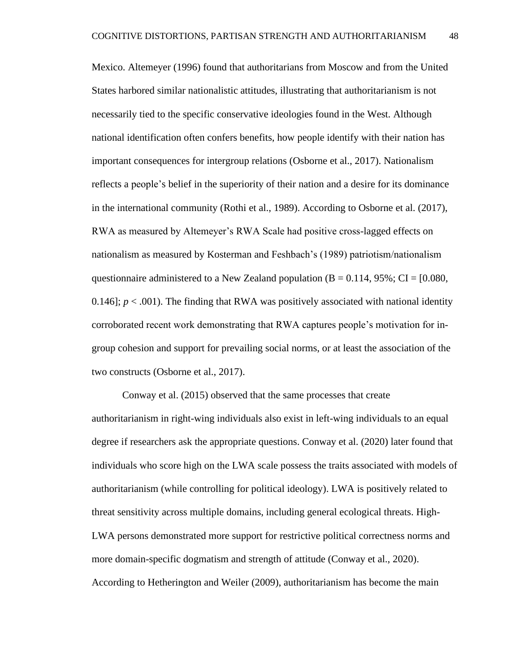Mexico. Altemeyer (1996) found that authoritarians from Moscow and from the United States harbored similar nationalistic attitudes, illustrating that authoritarianism is not necessarily tied to the specific conservative ideologies found in the West. Although national identification often confers benefits, how people identify with their nation has important consequences for intergroup relations (Osborne et al., 2017). Nationalism reflects a people's belief in the superiority of their nation and a desire for its dominance in the international community (Rothi et al., 1989). According to Osborne et al. (2017), RWA as measured by Altemeyer's RWA Scale had positive cross-lagged effects on nationalism as measured by Kosterman and Feshbach's (1989) patriotism/nationalism questionnaire administered to a New Zealand population ( $B = 0.114$ ,  $95\%$ ; CI = [0.080, 0.146];  $p < .001$ ). The finding that RWA was positively associated with national identity corroborated recent work demonstrating that RWA captures people's motivation for ingroup cohesion and support for prevailing social norms, or at least the association of the two constructs (Osborne et al., 2017).

Conway et al. (2015) observed that the same processes that create authoritarianism in right-wing individuals also exist in left-wing individuals to an equal degree if researchers ask the appropriate questions. Conway et al. (2020) later found that individuals who score high on the LWA scale possess the traits associated with models of authoritarianism (while controlling for political ideology). LWA is positively related to threat sensitivity across multiple domains, including general ecological threats. High-LWA persons demonstrated more support for restrictive political correctness norms and more domain-specific dogmatism and strength of attitude (Conway et al., 2020). According to Hetherington and Weiler (2009), authoritarianism has become the main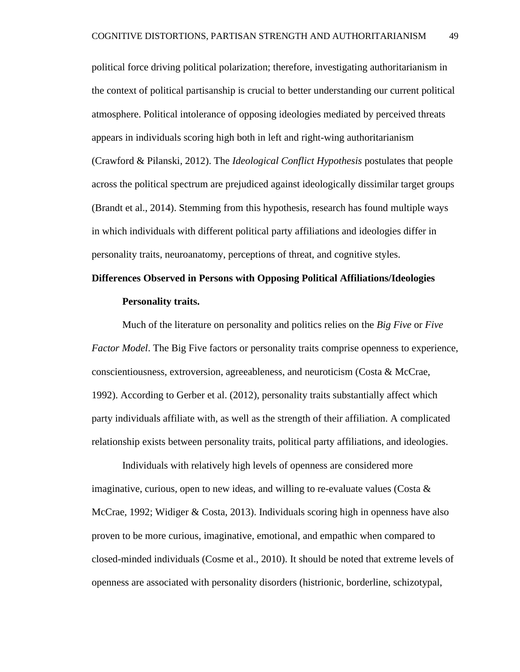political force driving political polarization; therefore, investigating authoritarianism in the context of political partisanship is crucial to better understanding our current political atmosphere. Political intolerance of opposing ideologies mediated by perceived threats appears in individuals scoring high both in left and right-wing authoritarianism (Crawford & Pilanski, 2012). The *Ideological Conflict Hypothesis* postulates that people across the political spectrum are prejudiced against ideologically dissimilar target groups (Brandt et al., 2014). Stemming from this hypothesis, research has found multiple ways in which individuals with different political party affiliations and ideologies differ in personality traits, neuroanatomy, perceptions of threat, and cognitive styles.

# **Differences Observed in Persons with Opposing Political Affiliations/Ideologies Personality traits.**

Much of the literature on personality and politics relies on the *Big Five* or *Five Factor Model*. The Big Five factors or personality traits comprise openness to experience, conscientiousness, extroversion, agreeableness, and neuroticism (Costa & McCrae, 1992). According to Gerber et al. (2012), personality traits substantially affect which party individuals affiliate with, as well as the strength of their affiliation. A complicated relationship exists between personality traits, political party affiliations, and ideologies.

Individuals with relatively high levels of openness are considered more imaginative, curious, open to new ideas, and willing to re-evaluate values (Costa  $\&$ McCrae, 1992; Widiger & Costa, 2013). Individuals scoring high in openness have also proven to be more curious, imaginative, emotional, and empathic when compared to closed-minded individuals (Cosme et al., 2010). It should be noted that extreme levels of openness are associated with personality disorders (histrionic, borderline, schizotypal,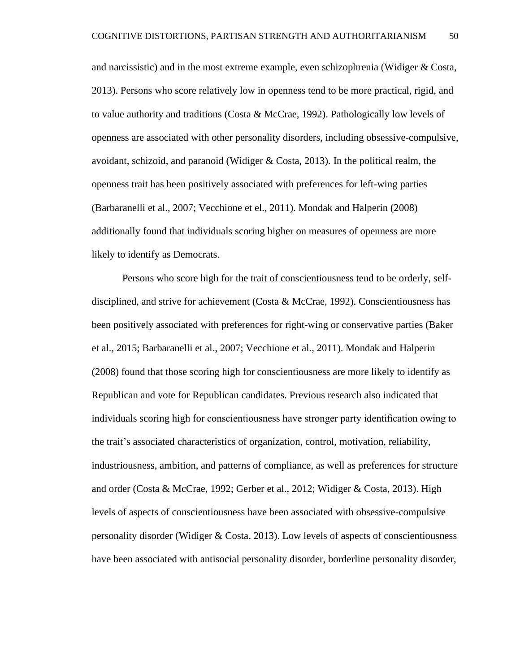and narcissistic) and in the most extreme example, even schizophrenia (Widiger & Costa, 2013). Persons who score relatively low in openness tend to be more practical, rigid, and to value authority and traditions (Costa  $\&$  McCrae, 1992). Pathologically low levels of openness are associated with other personality disorders, including obsessive-compulsive, avoidant, schizoid, and paranoid (Widiger & Costa, 2013). In the political realm, the openness trait has been positively associated with preferences for left-wing parties (Barbaranelli et al., 2007; Vecchione et el., 2011). Mondak and Halperin (2008) additionally found that individuals scoring higher on measures of openness are more likely to identify as Democrats.

Persons who score high for the trait of conscientiousness tend to be orderly, selfdisciplined, and strive for achievement (Costa & McCrae, 1992). Conscientiousness has been positively associated with preferences for right-wing or conservative parties (Baker et al., 2015; Barbaranelli et al., 2007; Vecchione et al., 2011). Mondak and Halperin (2008) found that those scoring high for conscientiousness are more likely to identify as Republican and vote for Republican candidates. Previous research also indicated that individuals scoring high for conscientiousness have stronger party identification owing to the trait's associated characteristics of organization, control, motivation, reliability, industriousness, ambition, and patterns of compliance, as well as preferences for structure and order (Costa & McCrae, 1992; Gerber et al., 2012; Widiger & Costa, 2013). High levels of aspects of conscientiousness have been associated with obsessive-compulsive personality disorder (Widiger & Costa, 2013). Low levels of aspects of conscientiousness have been associated with antisocial personality disorder, borderline personality disorder,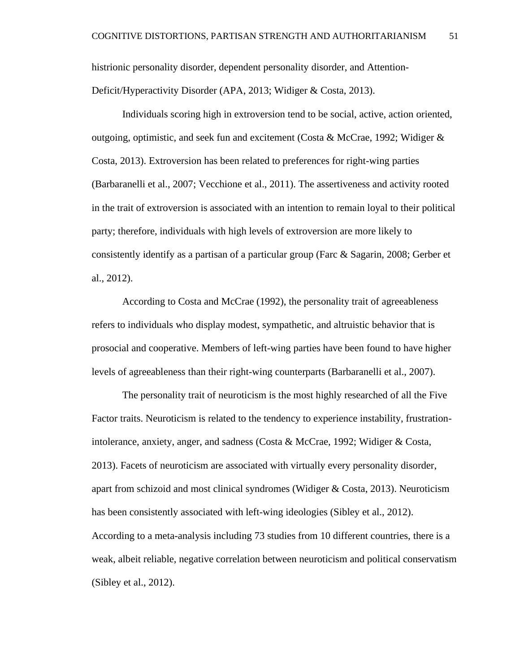histrionic personality disorder, dependent personality disorder, and Attention-Deficit/Hyperactivity Disorder (APA, 2013; Widiger & Costa, 2013).

Individuals scoring high in extroversion tend to be social, active, action oriented, outgoing, optimistic, and seek fun and excitement (Costa & McCrae, 1992; Widiger & Costa, 2013). Extroversion has been related to preferences for right-wing parties (Barbaranelli et al., 2007; Vecchione et al., 2011). The assertiveness and activity rooted in the trait of extroversion is associated with an intention to remain loyal to their political party; therefore, individuals with high levels of extroversion are more likely to consistently identify as a partisan of a particular group (Farc & Sagarin, 2008; Gerber et al., 2012).

According to Costa and McCrae (1992), the personality trait of agreeableness refers to individuals who display modest, sympathetic, and altruistic behavior that is prosocial and cooperative. Members of left-wing parties have been found to have higher levels of agreeableness than their right-wing counterparts (Barbaranelli et al., 2007).

The personality trait of neuroticism is the most highly researched of all the Five Factor traits. Neuroticism is related to the tendency to experience instability, frustrationintolerance, anxiety, anger, and sadness (Costa & McCrae, 1992; Widiger & Costa, 2013). Facets of neuroticism are associated with virtually every personality disorder, apart from schizoid and most clinical syndromes (Widiger  $& Costa$ , 2013). Neuroticism has been consistently associated with left-wing ideologies (Sibley et al., 2012). According to a meta-analysis including 73 studies from 10 different countries, there is a weak, albeit reliable, negative correlation between neuroticism and political conservatism (Sibley et al., 2012).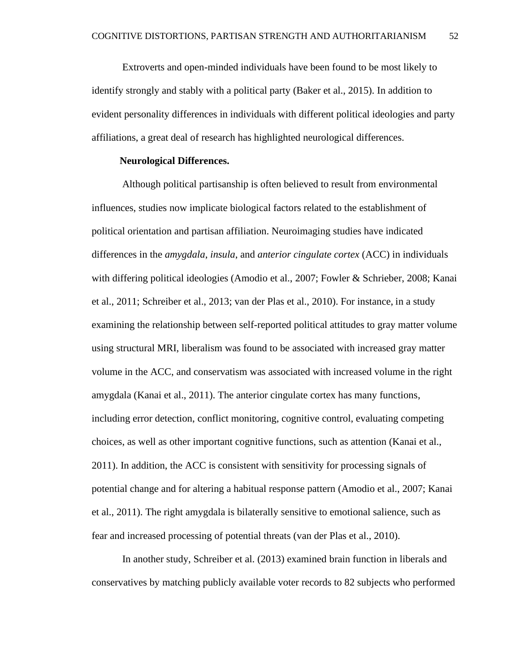Extroverts and open-minded individuals have been found to be most likely to identify strongly and stably with a political party (Baker et al., 2015). In addition to evident personality differences in individuals with different political ideologies and party affiliations, a great deal of research has highlighted neurological differences.

# **Neurological Differences.**

Although political partisanship is often believed to result from environmental influences, studies now implicate biological factors related to the establishment of political orientation and partisan affiliation. Neuroimaging studies have indicated differences in the *amygdala*, *insula*, and *anterior cingulate cortex* (ACC) in individuals with differing political ideologies (Amodio et al., 2007; Fowler & Schrieber, 2008; Kanai et al., 2011; Schreiber et al., 2013; van der Plas et al., 2010). For instance, in a study examining the relationship between self-reported political attitudes to gray matter volume using structural MRI, liberalism was found to be associated with increased gray matter volume in the ACC, and conservatism was associated with increased volume in the right amygdala (Kanai et al., 2011). The anterior cingulate cortex has many functions, including error detection, conflict monitoring, cognitive control, evaluating competing choices, as well as other important cognitive functions, such as attention (Kanai et al., 2011). In addition, the ACC is consistent with sensitivity for processing signals of potential change and for altering a habitual response pattern (Amodio et al., 2007; Kanai et al., 2011). The right amygdala is bilaterally sensitive to emotional salience, such as fear and increased processing of potential threats (van der Plas et al., 2010).

In another study, Schreiber et al. (2013) examined brain function in liberals and conservatives by matching publicly available voter records to 82 subjects who performed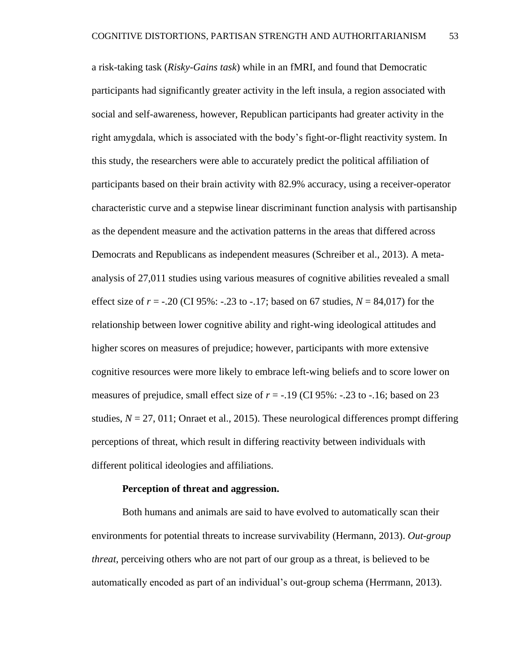a risk-taking task (*Risky-Gains task*) while in an fMRI, and found that Democratic participants had significantly greater activity in the left insula, a region associated with social and self-awareness, however, Republican participants had greater activity in the right amygdala, which is associated with the body's fight-or-flight reactivity system. In this study, the researchers were able to accurately predict the political affiliation of participants based on their brain activity with 82.9% accuracy, using a receiver-operator characteristic curve and a stepwise linear discriminant function analysis with partisanship as the dependent measure and the activation patterns in the areas that differed across Democrats and Republicans as independent measures (Schreiber et al., 2013). A metaanalysis of 27,011 studies using various measures of cognitive abilities revealed a small effect size of  $r = -0.20$  (CI 95%:  $-.23$  to  $-.17$ ; based on 67 studies,  $N = 84,017$ ) for the relationship between lower cognitive ability and right-wing ideological attitudes and higher scores on measures of prejudice; however, participants with more extensive cognitive resources were more likely to embrace left-wing beliefs and to score lower on measures of prejudice, small effect size of  $r = -.19$  (CI 95%:  $-.23$  to  $-.16$ ; based on 23 studies,  $N = 27$ , 011; Onraet et al., 2015). These neurological differences prompt differing perceptions of threat, which result in differing reactivity between individuals with different political ideologies and affiliations.

#### **Perception of threat and aggression.**

Both humans and animals are said to have evolved to automatically scan their environments for potential threats to increase survivability (Hermann, 2013). *Out-group threat*, perceiving others who are not part of our group as a threat, is believed to be automatically encoded as part of an individual's out-group schema (Herrmann, 2013).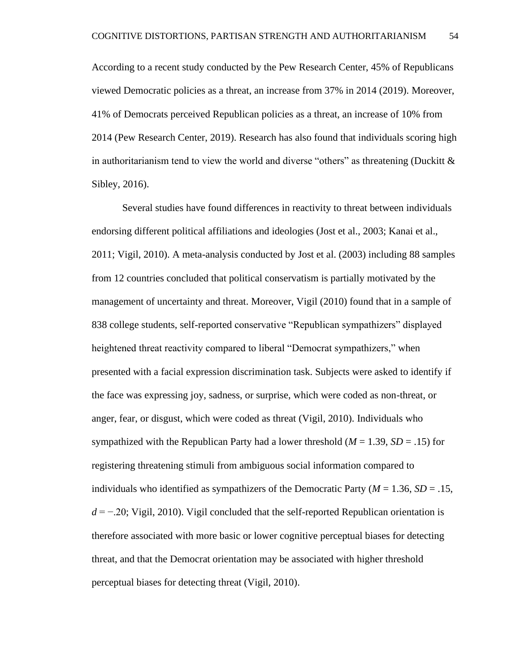According to a recent study conducted by the Pew Research Center, 45% of Republicans viewed Democratic policies as a threat, an increase from 37% in 2014 (2019). Moreover, 41% of Democrats perceived Republican policies as a threat, an increase of 10% from 2014 (Pew Research Center, 2019). Research has also found that individuals scoring high in authoritarianism tend to view the world and diverse "others" as threatening (Duckitt  $\&$ Sibley, 2016).

Several studies have found differences in reactivity to threat between individuals endorsing different political affiliations and ideologies (Jost et al., 2003; Kanai et al., 2011; Vigil, 2010). A meta-analysis conducted by Jost et al. (2003) including 88 samples from 12 countries concluded that political conservatism is partially motivated by the management of uncertainty and threat. Moreover, Vigil (2010) found that in a sample of 838 college students, self-reported conservative "Republican sympathizers" displayed heightened threat reactivity compared to liberal "Democrat sympathizers," when presented with a facial expression discrimination task. Subjects were asked to identify if the face was expressing joy, sadness, or surprise, which were coded as non-threat, or anger, fear, or disgust, which were coded as threat (Vigil, 2010). Individuals who sympathized with the Republican Party had a lower threshold  $(M = 1.39, SD = .15)$  for registering threatening stimuli from ambiguous social information compared to individuals who identified as sympathizers of the Democratic Party ( $M = 1.36$ ,  $SD = .15$ , *d* = −.20; Vigil, 2010). Vigil concluded that the self-reported Republican orientation is therefore associated with more basic or lower cognitive perceptual biases for detecting threat, and that the Democrat orientation may be associated with higher threshold perceptual biases for detecting threat (Vigil, 2010).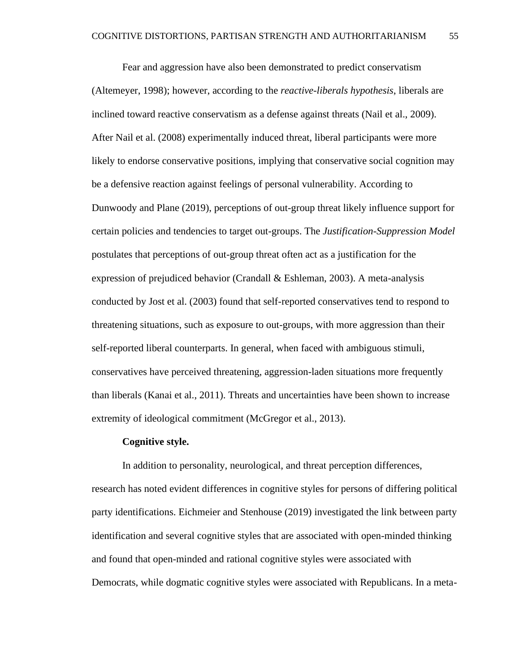Fear and aggression have also been demonstrated to predict conservatism (Altemeyer, 1998); however, according to the *reactive-liberals hypothesis*, liberals are inclined toward reactive conservatism as a defense against threats (Nail et al., 2009). After Nail et al. (2008) experimentally induced threat, liberal participants were more likely to endorse conservative positions, implying that conservative social cognition may be a defensive reaction against feelings of personal vulnerability. According to Dunwoody and Plane (2019), perceptions of out-group threat likely influence support for certain policies and tendencies to target out-groups. The *Justification-Suppression Model* postulates that perceptions of out-group threat often act as a justification for the expression of prejudiced behavior (Crandall & Eshleman, 2003). A meta-analysis conducted by Jost et al. (2003) found that self-reported conservatives tend to respond to threatening situations, such as exposure to out-groups, with more aggression than their self-reported liberal counterparts. In general, when faced with ambiguous stimuli, conservatives have perceived threatening, aggression-laden situations more frequently than liberals (Kanai et al., 2011). Threats and uncertainties have been shown to increase extremity of ideological commitment (McGregor et al., 2013).

#### **Cognitive style.**

In addition to personality, neurological, and threat perception differences, research has noted evident differences in cognitive styles for persons of differing political party identifications. Eichmeier and Stenhouse (2019) investigated the link between party identification and several cognitive styles that are associated with open-minded thinking and found that open-minded and rational cognitive styles were associated with Democrats, while dogmatic cognitive styles were associated with Republicans. In a meta-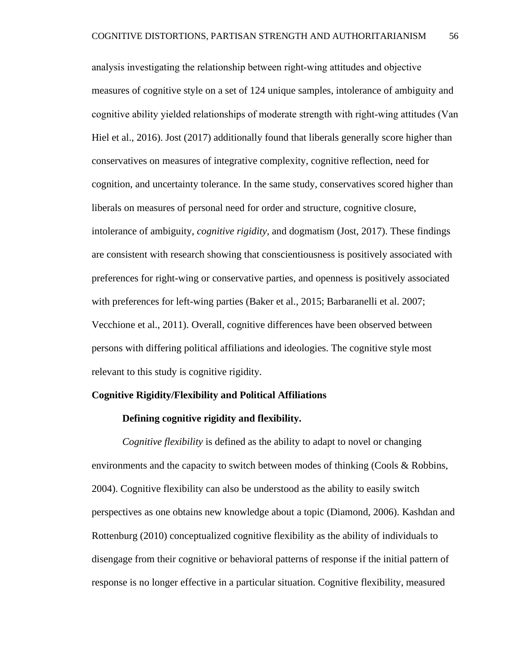analysis investigating the relationship between right‐wing attitudes and objective measures of cognitive style on a set of 124 unique samples, intolerance of ambiguity and cognitive ability yielded relationships of moderate strength with right‐wing attitudes (Van Hiel et al., 2016). Jost (2017) additionally found that liberals generally score higher than conservatives on measures of integrative complexity, cognitive reflection, need for cognition, and uncertainty tolerance. In the same study, conservatives scored higher than liberals on measures of personal need for order and structure, cognitive closure, intolerance of ambiguity, *cognitive rigidity,* and dogmatism (Jost, 2017). These findings are consistent with research showing that conscientiousness is positively associated with preferences for right-wing or conservative parties, and openness is positively associated with preferences for left-wing parties (Baker et al., 2015; Barbaranelli et al. 2007; Vecchione et al., 2011). Overall, cognitive differences have been observed between persons with differing political affiliations and ideologies. The cognitive style most relevant to this study is cognitive rigidity.

# **Cognitive Rigidity/Flexibility and Political Affiliations**

# **Defining cognitive rigidity and flexibility.**

*Cognitive flexibility* is defined as the ability to adapt to novel or changing environments and the capacity to switch between modes of thinking (Cools & Robbins, 2004). Cognitive flexibility can also be understood as the ability to easily switch perspectives as one obtains new knowledge about a topic (Diamond, 2006). Kashdan and Rottenburg (2010) conceptualized cognitive flexibility as the ability of individuals to disengage from their cognitive or behavioral patterns of response if the initial pattern of response is no longer effective in a particular situation. Cognitive flexibility, measured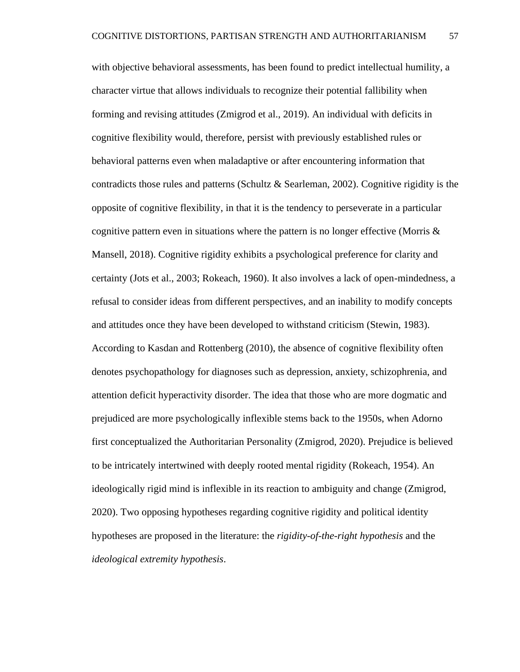with objective behavioral assessments, has been found to predict intellectual humility, a character virtue that allows individuals to recognize their potential fallibility when forming and revising attitudes (Zmigrod et al., 2019). An individual with deficits in cognitive flexibility would, therefore, persist with previously established rules or behavioral patterns even when maladaptive or after encountering information that contradicts those rules and patterns (Schultz & Searleman, 2002). Cognitive rigidity is the opposite of cognitive flexibility, in that it is the tendency to perseverate in a particular cognitive pattern even in situations where the pattern is no longer effective (Morris  $\&$ Mansell, 2018). Cognitive rigidity exhibits a psychological preference for clarity and certainty (Jots et al., 2003; Rokeach, 1960). It also involves a lack of open-mindedness, a refusal to consider ideas from different perspectives, and an inability to modify concepts and attitudes once they have been developed to withstand criticism (Stewin, 1983). According to Kasdan and Rottenberg (2010), the absence of cognitive flexibility often denotes psychopathology for diagnoses such as depression, anxiety, schizophrenia, and attention deficit hyperactivity disorder. The idea that those who are more dogmatic and prejudiced are more psychologically inflexible stems back to the 1950s, when Adorno first conceptualized the Authoritarian Personality (Zmigrod, 2020). Prejudice is believed to be intricately intertwined with deeply rooted mental rigidity (Rokeach, 1954). An ideologically rigid mind is inflexible in its reaction to ambiguity and change (Zmigrod, 2020). Two opposing hypotheses regarding cognitive rigidity and political identity hypotheses are proposed in the literature: the *rigidity-of-the-right hypothesis* and the *ideological extremity hypothesis*.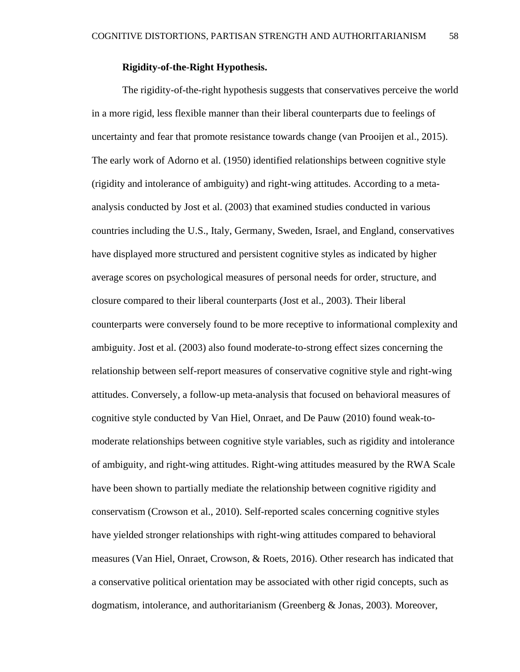# **Rigidity-of-the-Right Hypothesis.**

The rigidity-of-the-right hypothesis suggests that conservatives perceive the world in a more rigid, less flexible manner than their liberal counterparts due to feelings of uncertainty and fear that promote resistance towards change (van Prooijen et al., 2015). The early work of Adorno et al. (1950) identified relationships between cognitive style (rigidity and intolerance of ambiguity) and right-wing attitudes. According to a metaanalysis conducted by Jost et al. (2003) that examined studies conducted in various countries including the U.S., Italy, Germany, Sweden, Israel, and England, conservatives have displayed more structured and persistent cognitive styles as indicated by higher average scores on psychological measures of personal needs for order, structure, and closure compared to their liberal counterparts (Jost et al., 2003). Their liberal counterparts were conversely found to be more receptive to informational complexity and ambiguity. Jost et al. (2003) also found moderate-to-strong effect sizes concerning the relationship between self-report measures of conservative cognitive style and right-wing attitudes. Conversely, a follow-up meta-analysis that focused on behavioral measures of cognitive style conducted by Van Hiel, Onraet, and De Pauw (2010) found weak-tomoderate relationships between cognitive style variables, such as rigidity and intolerance of ambiguity, and right-wing attitudes. Right-wing attitudes measured by the RWA Scale have been shown to partially mediate the relationship between cognitive rigidity and conservatism (Crowson et al., 2010). Self-reported scales concerning cognitive styles have yielded stronger relationships with right-wing attitudes compared to behavioral measures (Van Hiel, Onraet, Crowson, & Roets, 2016). Other research has indicated that a conservative political orientation may be associated with other rigid concepts, such as dogmatism, intolerance, and authoritarianism (Greenberg & Jonas, 2003). Moreover,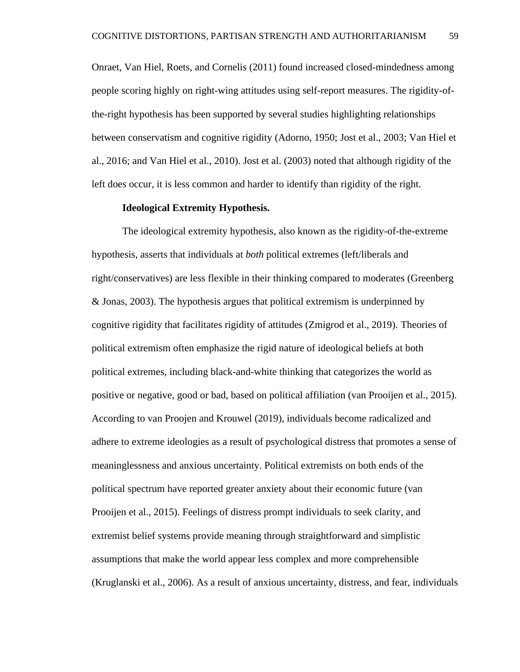Onraet, Van Hiel, Roets, and Cornelis (2011) found increased closed-mindedness among people scoring highly on right-wing attitudes using self-report measures. The rigidity-ofthe-right hypothesis has been supported by several studies highlighting relationships between conservatism and cognitive rigidity (Adorno, 1950; Jost et al., 2003; Van Hiel et al., 2016; and Van Hiel et al., 2010). Jost et al. (2003) noted that although rigidity of the left does occur, it is less common and harder to identify than rigidity of the right.

## **Ideological Extremity Hypothesis.**

The ideological extremity hypothesis, also known as the rigidity-of-the-extreme hypothesis, asserts that individuals at *both* political extremes (left/liberals and right/conservatives) are less flexible in their thinking compared to moderates (Greenberg & Jonas, 2003). The hypothesis argues that political extremism is underpinned by cognitive rigidity that facilitates rigidity of attitudes (Zmigrod et al., 2019). Theories of political extremism often emphasize the rigid nature of ideological beliefs at both political extremes, including black-and-white thinking that categorizes the world as positive or negative, good or bad, based on political affiliation (van Prooijen et al., 2015). According to van Proojen and Krouwel (2019), individuals become radicalized and adhere to extreme ideologies as a result of psychological distress that promotes a sense of meaninglessness and anxious uncertainty. Political extremists on both ends of the political spectrum have reported greater anxiety about their economic future (van Prooijen et al., 2015). Feelings of distress prompt individuals to seek clarity, and extremist belief systems provide meaning through straightforward and simplistic assumptions that make the world appear less complex and more comprehensible (Kruglanski et al., 2006). As a result of anxious uncertainty, distress, and fear, individuals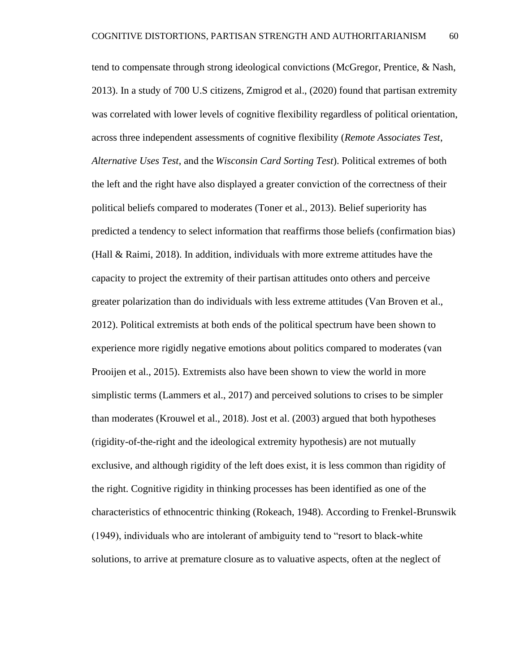tend to compensate through strong ideological convictions (McGregor, Prentice, & Nash, 2013). In a study of 700 U.S citizens, Zmigrod et al., (2020) found that partisan extremity was correlated with lower levels of cognitive flexibility regardless of political orientation, across three independent assessments of cognitive flexibility (*Remote Associates Test*, *Alternative Uses Test*, and the *Wisconsin Card Sorting Test*). Political extremes of both the left and the right have also displayed a greater conviction of the correctness of their political beliefs compared to moderates (Toner et al., 2013). Belief superiority has predicted a tendency to select information that reaffirms those beliefs (confirmation bias) (Hall & Raimi, 2018). In addition, individuals with more extreme attitudes have the capacity to project the extremity of their partisan attitudes onto others and perceive greater polarization than do individuals with less extreme attitudes (Van Broven et al., 2012). Political extremists at both ends of the political spectrum have been shown to experience more rigidly negative emotions about politics compared to moderates (van Prooijen et al., 2015). Extremists also have been shown to view the world in more simplistic terms (Lammers et al., 2017) and perceived solutions to crises to be simpler than moderates (Krouwel et al., 2018). Jost et al. (2003) argued that both hypotheses (rigidity-of-the-right and the ideological extremity hypothesis) are not mutually exclusive, and although rigidity of the left does exist, it is less common than rigidity of the right. Cognitive rigidity in thinking processes has been identified as one of the characteristics of ethnocentric thinking (Rokeach, 1948). According to Frenkel-Brunswik (1949), individuals who are intolerant of ambiguity tend to "resort to black-white

solutions, to arrive at premature closure as to valuative aspects, often at the neglect of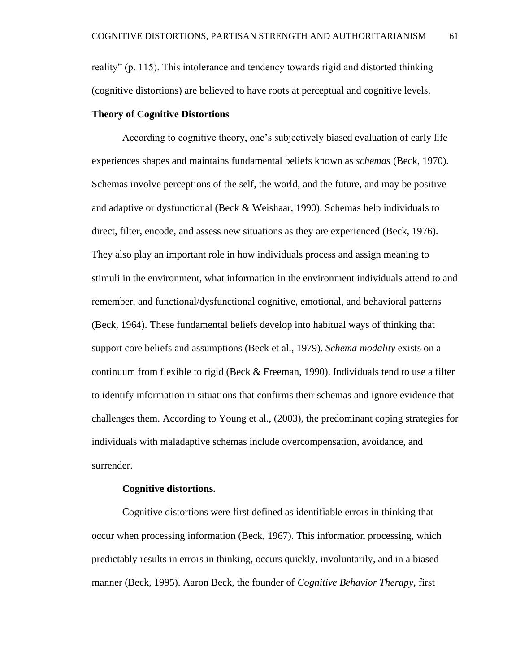reality" (p. 115). This intolerance and tendency towards rigid and distorted thinking (cognitive distortions) are believed to have roots at perceptual and cognitive levels.

# **Theory of Cognitive Distortions**

According to cognitive theory, one's subjectively biased evaluation of early life experiences shapes and maintains fundamental beliefs known as *schemas* (Beck, 1970). Schemas involve perceptions of the self, the world, and the future, and may be positive and adaptive or dysfunctional (Beck & Weishaar, 1990). Schemas help individuals to direct, filter, encode, and assess new situations as they are experienced (Beck, 1976). They also play an important role in how individuals process and assign meaning to stimuli in the environment, what information in the environment individuals attend to and remember, and functional/dysfunctional cognitive, emotional, and behavioral patterns (Beck, 1964). These fundamental beliefs develop into habitual ways of thinking that support core beliefs and assumptions (Beck et al., 1979). *Schema modality* exists on a continuum from flexible to rigid (Beck & Freeman, 1990). Individuals tend to use a filter to identify information in situations that confirms their schemas and ignore evidence that challenges them. According to Young et al., (2003), the predominant coping strategies for individuals with maladaptive schemas include overcompensation, avoidance, and surrender.

#### **Cognitive distortions.**

Cognitive distortions were first defined as identifiable errors in thinking that occur when processing information (Beck, 1967). This information processing, which predictably results in errors in thinking, occurs quickly, involuntarily, and in a biased manner (Beck, 1995). Aaron Beck, the founder of *Cognitive Behavior Therapy*, first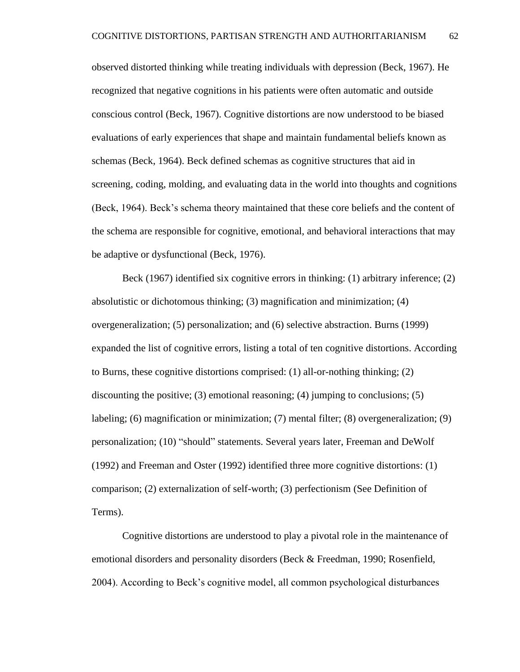observed distorted thinking while treating individuals with depression (Beck, 1967). He recognized that negative cognitions in his patients were often automatic and outside conscious control (Beck, 1967). Cognitive distortions are now understood to be biased evaluations of early experiences that shape and maintain fundamental beliefs known as schemas (Beck, 1964). Beck defined schemas as cognitive structures that aid in screening, coding, molding, and evaluating data in the world into thoughts and cognitions (Beck, 1964). Beck's schema theory maintained that these core beliefs and the content of the schema are responsible for cognitive, emotional, and behavioral interactions that may be adaptive or dysfunctional (Beck, 1976).

Beck (1967) identified six cognitive errors in thinking: (1) arbitrary inference; (2) absolutistic or dichotomous thinking; (3) magnification and minimization; (4) overgeneralization; (5) personalization; and (6) selective abstraction. Burns (1999) expanded the list of cognitive errors, listing a total of ten cognitive distortions. According to Burns, these cognitive distortions comprised: (1) all-or-nothing thinking; (2) discounting the positive; (3) emotional reasoning; (4) jumping to conclusions; (5) labeling; (6) magnification or minimization; (7) mental filter; (8) overgeneralization; (9) personalization; (10) "should" statements. Several years later, Freeman and DeWolf (1992) and Freeman and Oster (1992) identified three more cognitive distortions: (1) comparison; (2) externalization of self-worth; (3) perfectionism (See Definition of Terms).

Cognitive distortions are understood to play a pivotal role in the maintenance of emotional disorders and personality disorders (Beck & Freedman, 1990; Rosenfield, 2004). According to Beck's cognitive model, all common psychological disturbances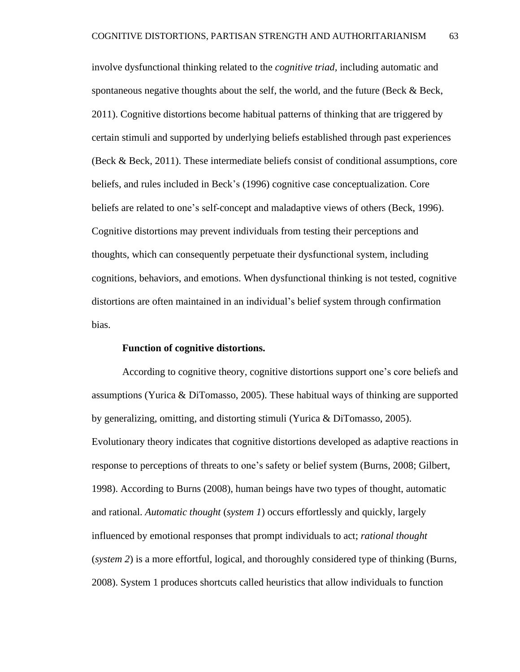involve dysfunctional thinking related to the *cognitive triad,* including automatic and spontaneous negative thoughts about the self, the world, and the future (Beck & Beck, 2011). Cognitive distortions become habitual patterns of thinking that are triggered by certain stimuli and supported by underlying beliefs established through past experiences (Beck & Beck, 2011). These intermediate beliefs consist of conditional assumptions, core beliefs, and rules included in Beck's (1996) cognitive case conceptualization. Core beliefs are related to one's self-concept and maladaptive views of others (Beck, 1996). Cognitive distortions may prevent individuals from testing their perceptions and thoughts, which can consequently perpetuate their dysfunctional system, including cognitions, behaviors, and emotions. When dysfunctional thinking is not tested, cognitive distortions are often maintained in an individual's belief system through confirmation bias.

## **Function of cognitive distortions.**

According to cognitive theory, cognitive distortions support one's core beliefs and assumptions (Yurica & DiTomasso, 2005). These habitual ways of thinking are supported by generalizing, omitting, and distorting stimuli (Yurica & DiTomasso, 2005). Evolutionary theory indicates that cognitive distortions developed as adaptive reactions in response to perceptions of threats to one's safety or belief system (Burns, 2008; Gilbert, 1998). According to Burns (2008), human beings have two types of thought, automatic and rational. *Automatic thought* (*system 1*) occurs effortlessly and quickly, largely influenced by emotional responses that prompt individuals to act; *rational thought* (*system 2*) is a more effortful, logical, and thoroughly considered type of thinking (Burns, 2008). System 1 produces shortcuts called heuristics that allow individuals to function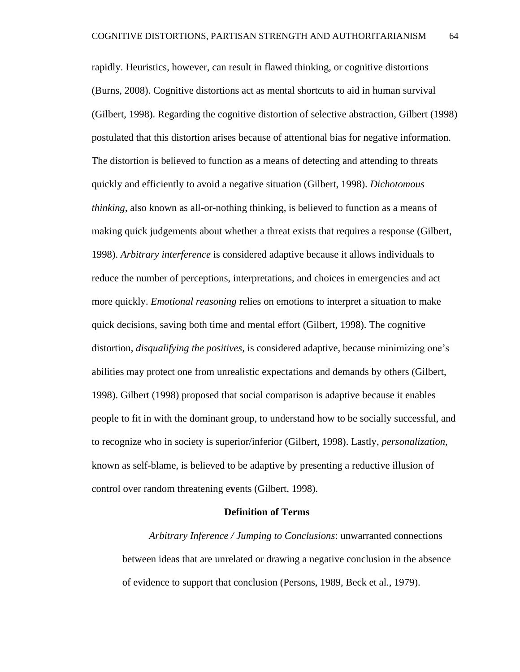rapidly. Heuristics, however, can result in flawed thinking, or cognitive distortions (Burns, 2008). Cognitive distortions act as mental shortcuts to aid in human survival (Gilbert, 1998). Regarding the cognitive distortion of selective abstraction, Gilbert (1998) postulated that this distortion arises because of attentional bias for negative information. The distortion is believed to function as a means of detecting and attending to threats quickly and efficiently to avoid a negative situation (Gilbert, 1998). *Dichotomous thinking*, also known as all-or-nothing thinking, is believed to function as a means of making quick judgements about whether a threat exists that requires a response (Gilbert, 1998). *Arbitrary interference* is considered adaptive because it allows individuals to reduce the number of perceptions, interpretations, and choices in emergencies and act more quickly. *Emotional reasoning* relies on emotions to interpret a situation to make quick decisions, saving both time and mental effort (Gilbert, 1998). The cognitive distortion, *disqualifying the positives,* is considered adaptive, because minimizing one's abilities may protect one from unrealistic expectations and demands by others (Gilbert, 1998). Gilbert (1998) proposed that social comparison is adaptive because it enables people to fit in with the dominant group, to understand how to be socially successful, and to recognize who in society is superior/inferior (Gilbert, 1998). Lastly, *personalization,* known as self-blame, is believed to be adaptive by presenting a reductive illusion of control over random threatening e**v**ents (Gilbert, 1998).

## **Definition of Terms**

*Arbitrary Inference / Jumping to Conclusions*: unwarranted connections between ideas that are unrelated or drawing a negative conclusion in the absence of evidence to support that conclusion (Persons, 1989, Beck et al., 1979).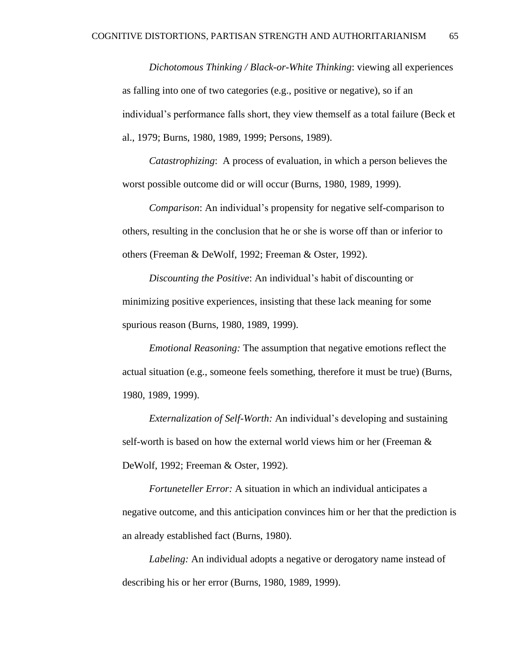*Dichotomous Thinking / Black-or-White Thinking*: viewing all experiences as falling into one of two categories (e.g., positive or negative), so if an individual's performance falls short, they view themself as a total failure (Beck et al., 1979; Burns, 1980, 1989, 1999; Persons, 1989).

*Catastrophizing*: A process of evaluation, in which a person believes the worst possible outcome did or will occur (Burns, 1980, 1989, 1999).

*Comparison*: An individual's propensity for negative self-comparison to others, resulting in the conclusion that he or she is worse off than or inferior to others (Freeman & DeWolf, 1992; Freeman & Oster, 1992).

*Discounting the Positive*: An individual's habit of discounting or minimizing positive experiences, insisting that these lack meaning for some spurious reason (Burns, 1980, 1989, 1999).

*Emotional Reasoning:* The assumption that negative emotions reflect the actual situation (e.g., someone feels something, therefore it must be true) (Burns, 1980, 1989, 1999).

*Externalization of Self-Worth:* An individual's developing and sustaining self-worth is based on how the external world views him or her (Freeman & DeWolf, 1992; Freeman & Oster, 1992).

*Fortuneteller Error:* A situation in which an individual anticipates a negative outcome, and this anticipation convinces him or her that the prediction is an already established fact (Burns, 1980).

*Labeling:* An individual adopts a negative or derogatory name instead of describing his or her error (Burns, 1980, 1989, 1999).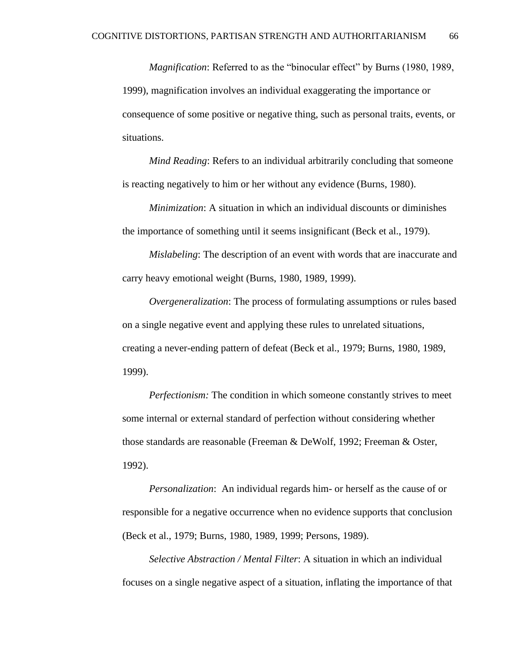*Magnification*: Referred to as the "binocular effect" by Burns (1980, 1989, 1999), magnification involves an individual exaggerating the importance or consequence of some positive or negative thing, such as personal traits, events, or situations.

*Mind Reading*: Refers to an individual arbitrarily concluding that someone is reacting negatively to him or her without any evidence (Burns, 1980).

*Minimization*: A situation in which an individual discounts or diminishes the importance of something until it seems insignificant (Beck et al., 1979).

*Mislabeling*: The description of an event with words that are inaccurate and carry heavy emotional weight (Burns, 1980, 1989, 1999).

*Overgeneralization*: The process of formulating assumptions or rules based on a single negative event and applying these rules to unrelated situations, creating a never-ending pattern of defeat (Beck et al., 1979; Burns, 1980, 1989, 1999).

*Perfectionism:* The condition in which someone constantly strives to meet some internal or external standard of perfection without considering whether those standards are reasonable (Freeman & DeWolf, 1992; Freeman & Oster, 1992).

*Personalization*: An individual regards him- or herself as the cause of or responsible for a negative occurrence when no evidence supports that conclusion (Beck et al., 1979; Burns, 1980, 1989, 1999; Persons, 1989).

*Selective Abstraction / Mental Filter*: A situation in which an individual focuses on a single negative aspect of a situation, inflating the importance of that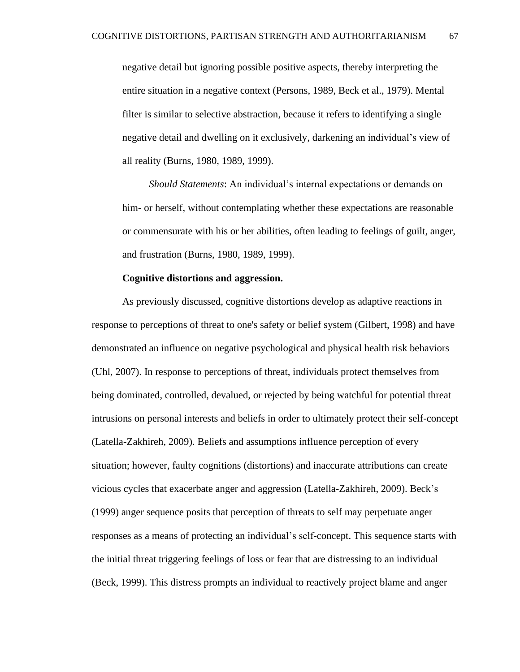negative detail but ignoring possible positive aspects, thereby interpreting the entire situation in a negative context (Persons, 1989, Beck et al., 1979). Mental filter is similar to selective abstraction, because it refers to identifying a single negative detail and dwelling on it exclusively, darkening an individual's view of all reality (Burns, 1980, 1989, 1999).

*Should Statements*: An individual's internal expectations or demands on him- or herself, without contemplating whether these expectations are reasonable or commensurate with his or her abilities, often leading to feelings of guilt, anger, and frustration (Burns, 1980, 1989, 1999).

#### **Cognitive distortions and aggression.**

As previously discussed, cognitive distortions develop as adaptive reactions in response to perceptions of threat to one's safety or belief system (Gilbert, 1998) and have demonstrated an influence on negative psychological and physical health risk behaviors (Uhl, 2007). In response to perceptions of threat, individuals protect themselves from being dominated, controlled, devalued, or rejected by being watchful for potential threat intrusions on personal interests and beliefs in order to ultimately protect their self-concept (Latella-Zakhireh, 2009). Beliefs and assumptions influence perception of every situation; however, faulty cognitions (distortions) and inaccurate attributions can create vicious cycles that exacerbate anger and aggression (Latella-Zakhireh, 2009). Beck's (1999) anger sequence posits that perception of threats to self may perpetuate anger responses as a means of protecting an individual's self-concept. This sequence starts with the initial threat triggering feelings of loss or fear that are distressing to an individual (Beck, 1999). This distress prompts an individual to reactively project blame and anger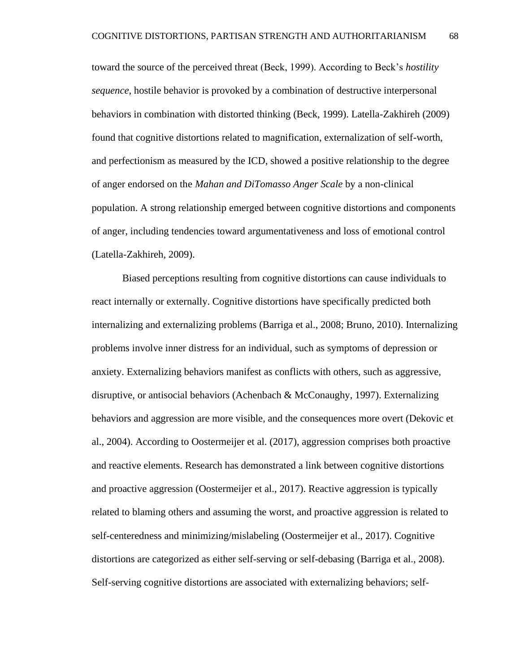toward the source of the perceived threat (Beck, 1999). According to Beck's *hostility sequence*, hostile behavior is provoked by a combination of destructive interpersonal behaviors in combination with distorted thinking (Beck, 1999). Latella-Zakhireh (2009) found that cognitive distortions related to magnification, externalization of self-worth, and perfectionism as measured by the ICD, showed a positive relationship to the degree of anger endorsed on the *Mahan and DiTomasso Anger Scale* by a non-clinical population. A strong relationship emerged between cognitive distortions and components of anger, including tendencies toward argumentativeness and loss of emotional control (Latella-Zakhireh, 2009).

Biased perceptions resulting from cognitive distortions can cause individuals to react internally or externally. Cognitive distortions have specifically predicted both internalizing and externalizing problems (Barriga et al., 2008; Bruno, 2010). Internalizing problems involve inner distress for an individual, such as symptoms of depression or anxiety. Externalizing behaviors manifest as conflicts with others, such as aggressive, disruptive, or antisocial behaviors (Achenbach & McConaughy, 1997). Externalizing behaviors and aggression are more visible, and the consequences more overt (Dekovic et al., 2004). According to Oostermeijer et al. (2017), aggression comprises both proactive and reactive elements. Research has demonstrated a link between cognitive distortions and proactive aggression (Oostermeijer et al., 2017). Reactive aggression is typically related to blaming others and assuming the worst, and proactive aggression is related to self-centeredness and minimizing/mislabeling (Oostermeijer et al., 2017). Cognitive distortions are categorized as either self-serving or self-debasing (Barriga et al., 2008). Self-serving cognitive distortions are associated with externalizing behaviors; self-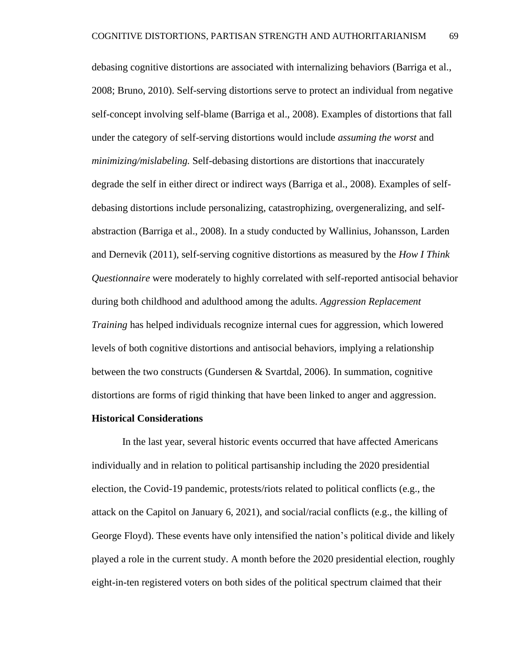debasing cognitive distortions are associated with internalizing behaviors (Barriga et al., 2008; Bruno, 2010). Self-serving distortions serve to protect an individual from negative self-concept involving self-blame (Barriga et al., 2008). Examples of distortions that fall under the category of self-serving distortions would include *assuming the worst* and *minimizing/mislabeling.* Self-debasing distortions are distortions that inaccurately degrade the self in either direct or indirect ways (Barriga et al., 2008). Examples of selfdebasing distortions include personalizing, catastrophizing*,* overgeneralizing, and selfabstraction (Barriga et al., 2008). In a study conducted by Wallinius, Johansson, Larden and Dernevik (2011), self-serving cognitive distortions as measured by the *How I Think Questionnaire* were moderately to highly correlated with self-reported antisocial behavior during both childhood and adulthood among the adults. *Aggression Replacement Training* has helped individuals recognize internal cues for aggression, which lowered levels of both cognitive distortions and antisocial behaviors, implying a relationship between the two constructs (Gundersen & Svartdal, 2006). In summation, cognitive distortions are forms of rigid thinking that have been linked to anger and aggression.

### **Historical Considerations**

In the last year, several historic events occurred that have affected Americans individually and in relation to political partisanship including the 2020 presidential election, the Covid-19 pandemic, protests/riots related to political conflicts (e.g., the attack on the Capitol on January 6, 2021), and social/racial conflicts (e.g., the killing of George Floyd). These events have only intensified the nation's political divide and likely played a role in the current study. A month before the 2020 presidential election, roughly eight-in-ten registered voters on both sides of the political spectrum claimed that their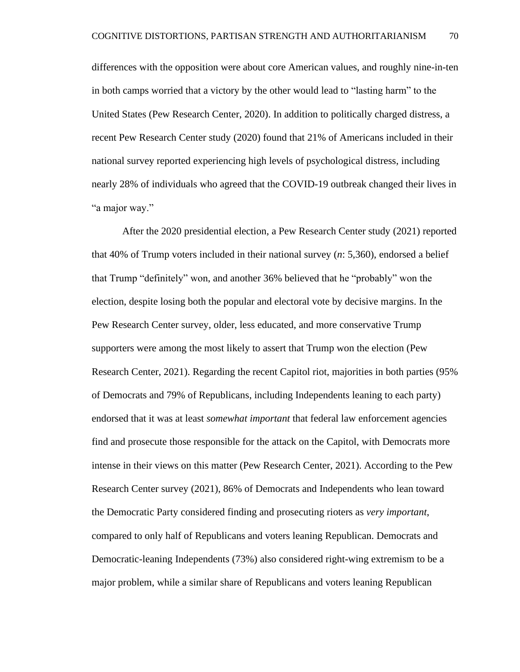differences with the opposition were about core American values, and roughly nine-in-ten in both camps worried that a victory by the other would lead to "lasting harm" to the United States (Pew Research Center, 2020). In addition to politically charged distress, a recent Pew Research Center study (2020) found that 21% of Americans included in their national survey reported experiencing high levels of psychological distress, including nearly 28% of individuals who agreed that the COVID-19 outbreak changed their lives in "a major way."

After the 2020 presidential election, a Pew Research Center study (2021) reported that 40% of Trump voters included in their national survey (*n*: 5,360), endorsed a belief that Trump "definitely" won, and another 36% believed that he "probably" won the election, despite losing both the popular and electoral vote by decisive margins. In the Pew Research Center survey, older, less educated, and more conservative Trump supporters were among the most likely to assert that Trump won the election (Pew Research Center, 2021). Regarding the recent Capitol riot, majorities in both parties (95% of Democrats and 79% of Republicans, including Independents leaning to each party) endorsed that it was at least *somewhat important* that federal law enforcement agencies find and prosecute those responsible for the attack on the Capitol, with Democrats more intense in their views on this matter (Pew Research Center, 2021). According to the Pew Research Center survey (2021), 86% of Democrats and Independents who lean toward the Democratic Party considered finding and prosecuting rioters as *very important*, compared to only half of Republicans and voters leaning Republican. Democrats and Democratic-leaning Independents (73%) also considered right-wing extremism to be a major problem, while a similar share of Republicans and voters leaning Republican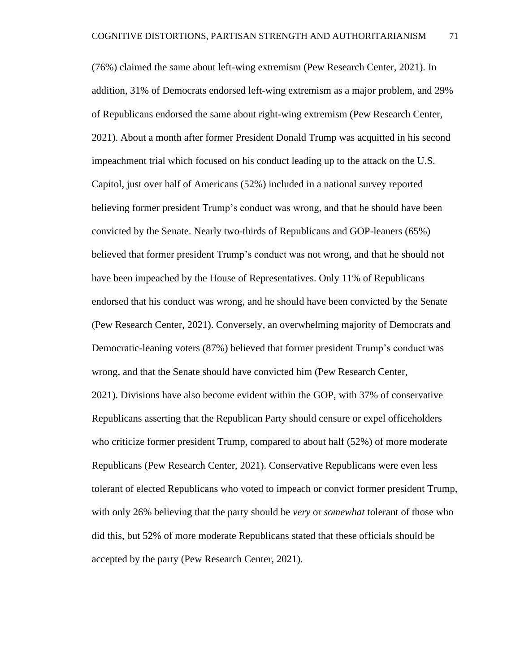(76%) claimed the same about left-wing extremism (Pew Research Center, 2021). In addition, 31% of Democrats endorsed left-wing extremism as a major problem, and 29% of Republicans endorsed the same about right-wing extremism (Pew Research Center, 2021). About a month after former President Donald Trump was acquitted in his second impeachment trial which focused on his conduct leading up to the attack on the U.S. Capitol, just over half of Americans (52%) included in a national survey reported believing former president Trump's conduct was wrong, and that he should have been convicted by the Senate. Nearly two-thirds of Republicans and GOP-leaners (65%) believed that former president Trump's conduct was not wrong, and that he should not have been impeached by the House of Representatives. Only 11% of Republicans endorsed that his conduct was wrong, and he should have been convicted by the Senate (Pew Research Center, 2021). Conversely, an overwhelming majority of Democrats and Democratic-leaning voters (87%) believed that former president Trump's conduct was wrong, and that the Senate should have convicted him (Pew Research Center, 2021). Divisions have also become evident within the GOP, with 37% of conservative Republicans asserting that the Republican Party should censure or expel officeholders who criticize former president Trump, compared to about half (52%) of more moderate Republicans (Pew Research Center, 2021). Conservative Republicans were even less tolerant of elected Republicans who voted to impeach or convict former president Trump, with only 26% believing that the party should be *very* or *somewhat* tolerant of those who did this, but 52% of more moderate Republicans stated that these officials should be accepted by the party (Pew Research Center, 2021).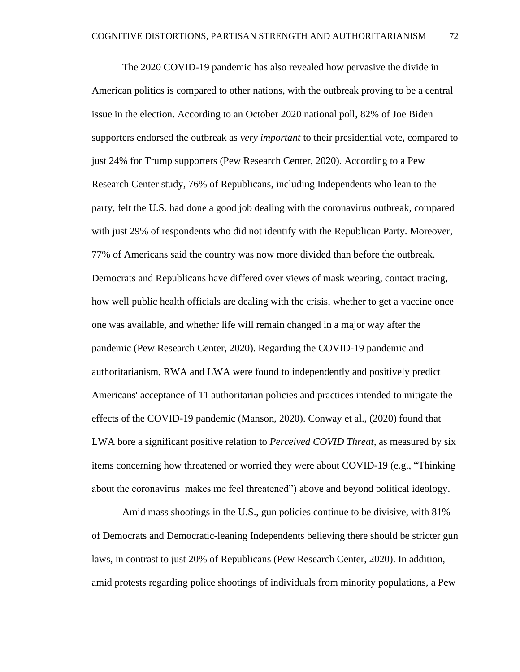The 2020 COVID-19 pandemic has also revealed how pervasive the divide in American politics is compared to other nations, with the outbreak proving to be a central issue in the election. According to an October 2020 national poll, 82% of Joe Biden supporters endorsed the outbreak as *very important* to their presidential vote, compared to just 24% for Trump supporters (Pew Research Center, 2020). According to a Pew Research Center study, 76% of Republicans, including Independents who lean to the party, felt the U.S. had done a good job dealing with the coronavirus outbreak, compared with just 29% of respondents who did not identify with the Republican Party. Moreover, 77% of Americans said the country was now more divided than before the outbreak. Democrats and Republicans have differed over views of mask wearing, contact tracing, how well public health officials are dealing with the crisis, whether to get a vaccine once one was available, and whether life will remain changed in a major way after the pandemic (Pew Research Center, 2020). Regarding the COVID-19 pandemic and authoritarianism, RWA and LWA were found to independently and positively predict Americans' acceptance of 11 authoritarian policies and practices intended to mitigate the effects of the COVID-19 pandemic (Manson, 2020). Conway et al., (2020) found that LWA bore a significant positive relation to *Perceived COVID Threat,* as measured by six items concerning how threatened or worried they were about COVID-19 (e.g., "Thinking about the coronavirus makes me feel threatened") above and beyond political ideology.

Amid mass shootings in the U.S., gun policies continue to be divisive, with 81% of Democrats and Democratic-leaning Independents believing there should be stricter gun laws, in contrast to just 20% of Republicans (Pew Research Center, 2020). In addition, amid protests regarding police shootings of individuals from minority populations, a Pew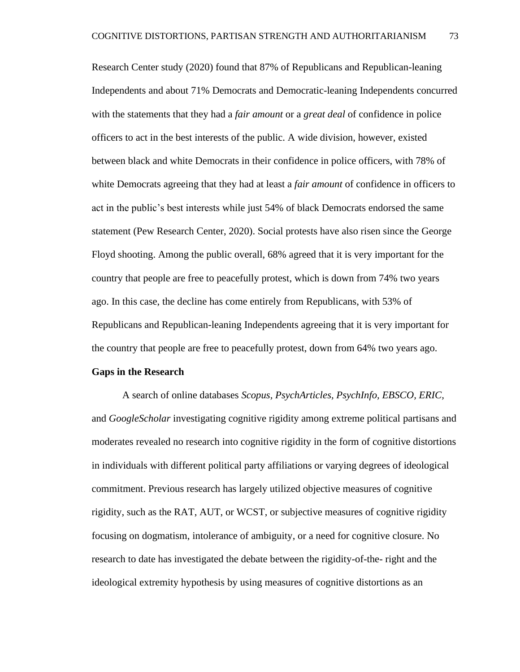Research Center study (2020) found that 87% of Republicans and Republican-leaning Independents and about 71% Democrats and Democratic-leaning Independents concurred with the statements that they had a *fair amount* or a *great deal* of confidence in police officers to act in the best interests of the public. A wide division, however, existed between black and white Democrats in their confidence in police officers, with 78% of white Democrats agreeing that they had at least a *fair amount* of confidence in officers to act in the public's best interests while just 54% of black Democrats endorsed the same statement (Pew Research Center, 2020). Social protests have also risen since the George Floyd shooting. Among the public overall, 68% agreed that it is very important for the country that people are free to peacefully protest, which is down from 74% two years ago. In this case, the decline has come entirely from Republicans, with 53% of Republicans and Republican-leaning Independents agreeing that it is very important for the country that people are free to peacefully protest, down from 64% two years ago.

#### **Gaps in the Research**

A search of online databases *Scopus, PsychArticles, PsychInfo, EBSCO, ERIC,*  and *GoogleScholar* investigating cognitive rigidity among extreme political partisans and moderates revealed no research into cognitive rigidity in the form of cognitive distortions in individuals with different political party affiliations or varying degrees of ideological commitment. Previous research has largely utilized objective measures of cognitive rigidity, such as the RAT, AUT, or WCST, or subjective measures of cognitive rigidity focusing on dogmatism, intolerance of ambiguity, or a need for cognitive closure. No research to date has investigated the debate between the rigidity-of-the- right and the ideological extremity hypothesis by using measures of cognitive distortions as an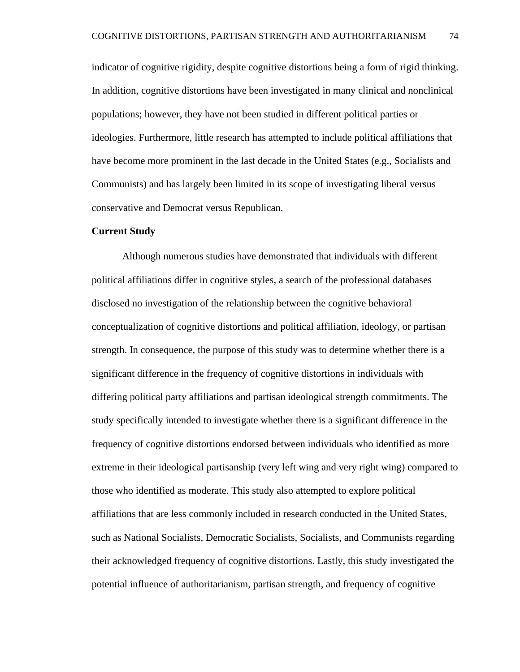indicator of cognitive rigidity, despite cognitive distortions being a form of rigid thinking. In addition, cognitive distortions have been investigated in many clinical and nonclinical populations; however, they have not been studied in different political parties or ideologies. Furthermore, little research has attempted to include political affiliations that have become more prominent in the last decade in the United States (e.g., Socialists and Communists) and has largely been limited in its scope of investigating liberal versus conservative and Democrat versus Republican.

# **Current Study**

Although numerous studies have demonstrated that individuals with different political affiliations differ in cognitive styles, a search of the professional databases disclosed no investigation of the relationship between the cognitive behavioral conceptualization of cognitive distortions and political affiliation, ideology, or partisan strength. In consequence, the purpose of this study was to determine whether there is a significant difference in the frequency of cognitive distortions in individuals with differing political party affiliations and partisan ideological strength commitments. The study specifically intended to investigate whether there is a significant difference in the frequency of cognitive distortions endorsed between individuals who identified as more extreme in their ideological partisanship (very left wing and very right wing) compared to those who identified as moderate. This study also attempted to explore political affiliations that are less commonly included in research conducted in the United States, such as National Socialists, Democratic Socialists, Socialists, and Communists regarding their acknowledged frequency of cognitive distortions. Lastly, this study investigated the potential influence of authoritarianism, partisan strength, and frequency of cognitive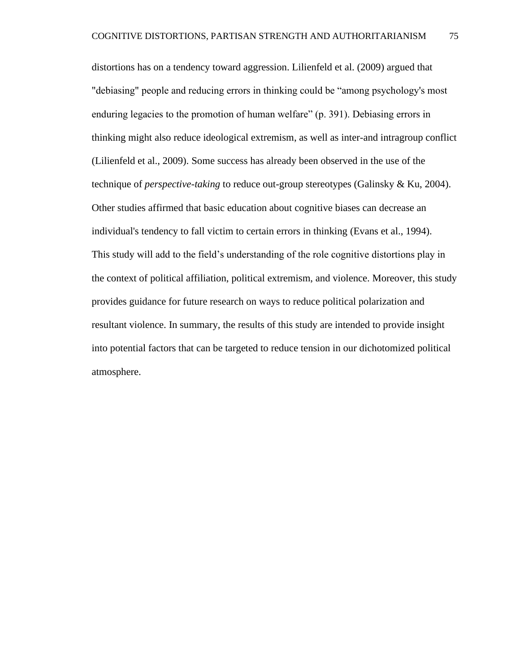distortions has on a tendency toward aggression. Lilienfeld et al. (2009) argued that "debiasing" people and reducing errors in thinking could be "among psychology's most enduring legacies to the promotion of human welfare" (p. 391). Debiasing errors in thinking might also reduce ideological extremism, as well as inter-and intragroup conflict (Lilienfeld et al., 2009). Some success has already been observed in the use of the technique of *perspective-taking* to reduce out-group stereotypes (Galinsky & Ku, 2004). Other studies affirmed that basic education about cognitive biases can decrease an individual's tendency to fall victim to certain errors in thinking (Evans et al., 1994). This study will add to the field's understanding of the role cognitive distortions play in the context of political affiliation, political extremism, and violence. Moreover, this study provides guidance for future research on ways to reduce political polarization and resultant violence. In summary, the results of this study are intended to provide insight into potential factors that can be targeted to reduce tension in our dichotomized political atmosphere.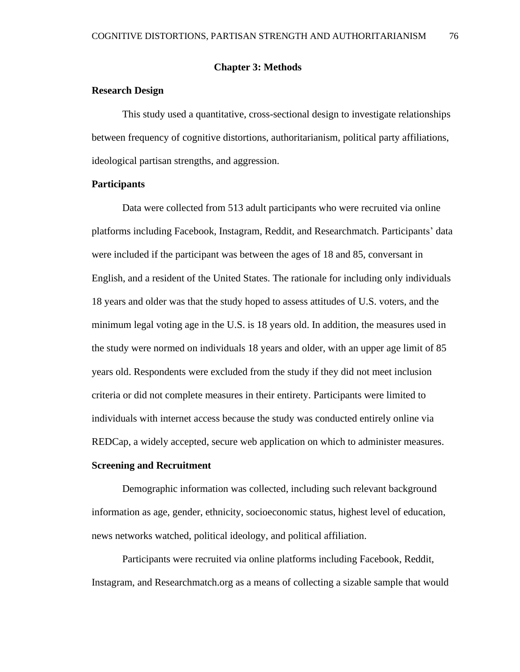# **Chapter 3: Methods**

# **Research Design**

This study used a quantitative, cross-sectional design to investigate relationships between frequency of cognitive distortions, authoritarianism, political party affiliations, ideological partisan strengths, and aggression.

# **Participants**

Data were collected from 513 adult participants who were recruited via online platforms including Facebook, Instagram, Reddit, and Researchmatch. Participants' data were included if the participant was between the ages of 18 and 85, conversant in English, and a resident of the United States. The rationale for including only individuals 18 years and older was that the study hoped to assess attitudes of U.S. voters, and the minimum legal voting age in the U.S. is 18 years old. In addition, the measures used in the study were normed on individuals 18 years and older, with an upper age limit of 85 years old. Respondents were excluded from the study if they did not meet inclusion criteria or did not complete measures in their entirety. Participants were limited to individuals with internet access because the study was conducted entirely online via REDCap, a widely accepted, secure web application on which to administer measures.

# **Screening and Recruitment**

Demographic information was collected, including such relevant background information as age, gender, ethnicity, socioeconomic status, highest level of education, news networks watched, political ideology, and political affiliation.

Participants were recruited via online platforms including Facebook, Reddit, Instagram, and Researchmatch.org as a means of collecting a sizable sample that would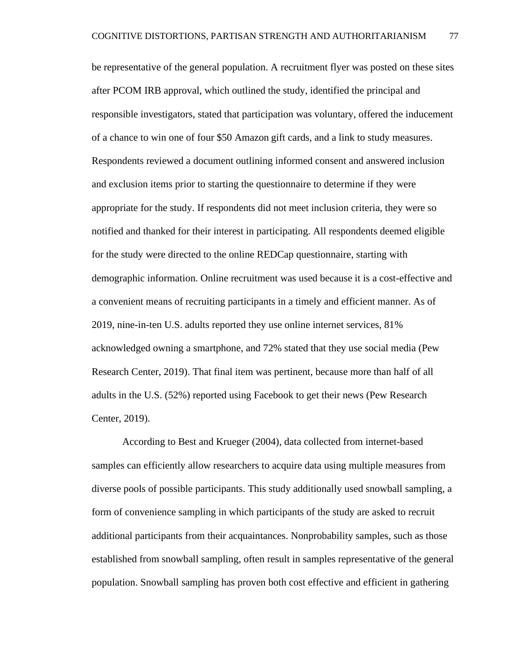be representative of the general population. A recruitment flyer was posted on these sites after PCOM IRB approval, which outlined the study, identified the principal and responsible investigators, stated that participation was voluntary, offered the inducement of a chance to win one of four \$50 Amazon gift cards, and a link to study measures. Respondents reviewed a document outlining informed consent and answered inclusion and exclusion items prior to starting the questionnaire to determine if they were appropriate for the study. If respondents did not meet inclusion criteria, they were so notified and thanked for their interest in participating. All respondents deemed eligible for the study were directed to the online REDCap questionnaire, starting with demographic information. Online recruitment was used because it is a cost-effective and a convenient means of recruiting participants in a timely and efficient manner. As of 2019, nine-in-ten U.S. adults reported they use online internet services, 81% acknowledged owning a smartphone, and 72% stated that they use social media (Pew Research Center, 2019). That final item was pertinent, because more than half of all adults in the U.S. (52%) reported using Facebook to get their news (Pew Research Center, 2019).

According to Best and Krueger (2004), data collected from internet-based samples can efficiently allow researchers to acquire data using multiple measures from diverse pools of possible participants. This study additionally used snowball sampling, a form of convenience sampling in which participants of the study are asked to recruit additional participants from their acquaintances. Nonprobability samples, such as those established from snowball sampling, often result in samples representative of the general population. Snowball sampling has proven both cost effective and efficient in gathering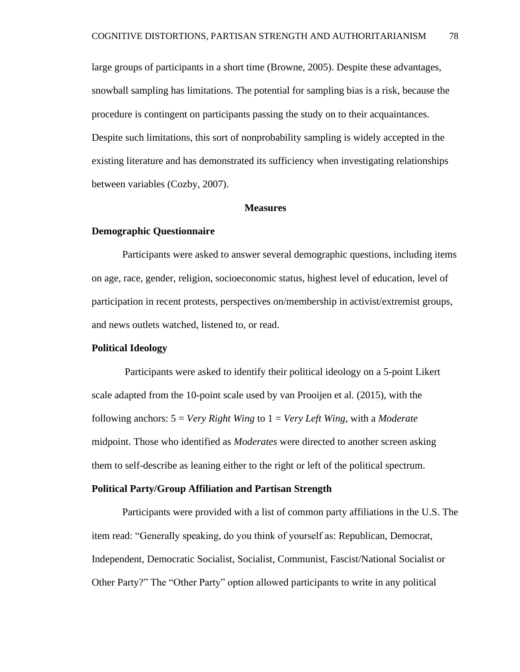large groups of participants in a short time (Browne, 2005). Despite these advantages, snowball sampling has limitations. The potential for sampling bias is a risk, because the procedure is contingent on participants passing the study on to their acquaintances. Despite such limitations, this sort of nonprobability sampling is widely accepted in the existing literature and has demonstrated its sufficiency when investigating relationships between variables (Cozby, 2007).

#### **Measures**

### **Demographic Questionnaire**

Participants were asked to answer several demographic questions, including items on age, race, gender, religion, socioeconomic status, highest level of education, level of participation in recent protests, perspectives on/membership in activist/extremist groups, and news outlets watched, listened to, or read.

# **Political Ideology**

Participants were asked to identify their political ideology on a 5-point Likert scale adapted from the 10-point scale used by van Prooijen et al. (2015), with the following anchors: 5 = *Very Right Wing* to 1 = *Very Left Wing*, with a *Moderate*  midpoint. Those who identified as *Moderates* were directed to another screen asking them to self-describe as leaning either to the right or left of the political spectrum.

#### **Political Party/Group Affiliation and Partisan Strength**

Participants were provided with a list of common party affiliations in the U.S. The item read: "Generally speaking, do you think of yourself as: Republican, Democrat, Independent, Democratic Socialist, Socialist, Communist, Fascist/National Socialist or Other Party?" The "Other Party" option allowed participants to write in any political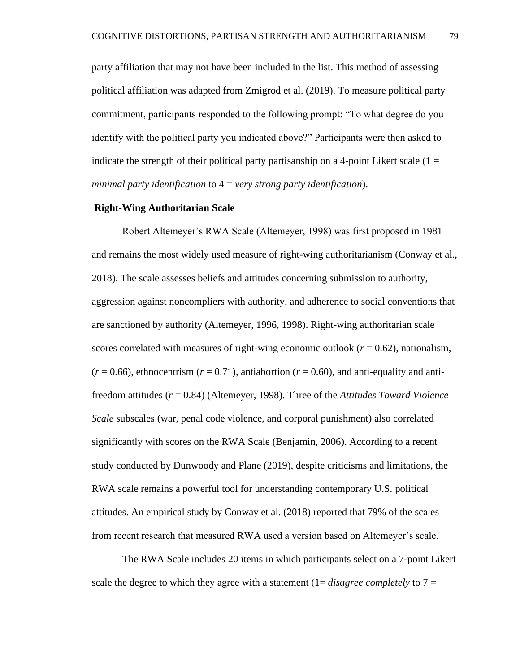party affiliation that may not have been included in the list. This method of assessing political affiliation was adapted from Zmigrod et al. (2019). To measure political party commitment, participants responded to the following prompt: "To what degree do you identify with the political party you indicated above?" Participants were then asked to indicate the strength of their political party partisanship on a 4-point Likert scale  $(1 =$ *minimal party identification* to 4 = *very strong party identification*).

## **Right-Wing Authoritarian Scale**

Robert Altemeyer's RWA Scale (Altemeyer, 1998) was first proposed in 1981 and remains the most widely used measure of right-wing authoritarianism (Conway et al., 2018). The scale assesses beliefs and attitudes concerning submission to authority, aggression against noncompliers with authority, and adherence to social conventions that are sanctioned by authority (Altemeyer, 1996, 1998). Right-wing authoritarian scale scores correlated with measures of right-wing economic outlook  $(r = 0.62)$ , nationalism,  $(r = 0.66)$ , ethnocentrism  $(r = 0.71)$ , antiabortion  $(r = 0.60)$ , and anti-equality and antifreedom attitudes (*r* = 0.84) (Altemeyer, 1998). Three of the *Attitudes Toward Violence Scale* subscales (war, penal code violence, and corporal punishment) also correlated significantly with scores on the RWA Scale (Benjamin, 2006). According to a recent study conducted by Dunwoody and Plane (2019), despite criticisms and limitations, the RWA scale remains a powerful tool for understanding contemporary U.S. political attitudes. An empirical study by Conway et al. (2018) reported that 79% of the scales from recent research that measured RWA used a version based on Altemeyer's scale.

The RWA Scale includes 20 items in which participants select on a 7-point Likert scale the degree to which they agree with a statement  $(1=disagree \text{ completely to } 7=$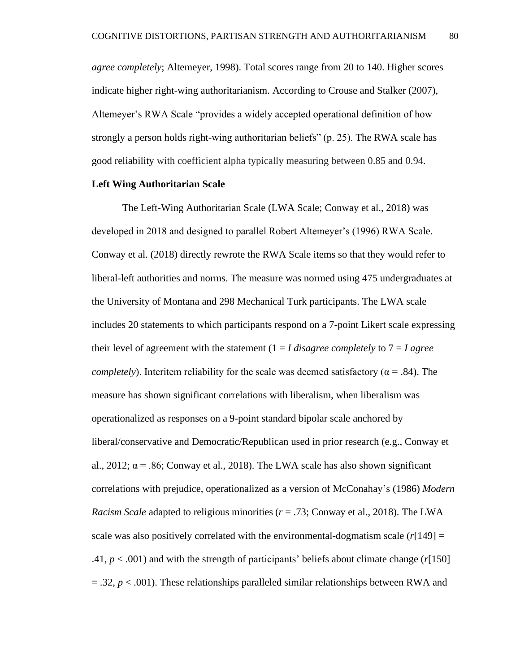*agree completely*; Altemeyer, 1998). Total scores range from 20 to 140. Higher scores indicate higher right-wing authoritarianism. According to Crouse and Stalker (2007), Altemeyer's RWA Scale "provides a widely accepted operational definition of how strongly a person holds right-wing authoritarian beliefs" (p. 25). The RWA scale has good reliability with coefficient alpha typically measuring between 0.85 and 0.94.

# **Left Wing Authoritarian Scale**

The Left-Wing Authoritarian Scale (LWA Scale; Conway et al., 2018) was developed in 2018 and designed to parallel Robert Altemeyer's (1996) RWA Scale. Conway et al. (2018) directly rewrote the RWA Scale items so that they would refer to liberal-left authorities and norms. The measure was normed using 475 undergraduates at the University of Montana and 298 Mechanical Turk participants. The LWA scale includes 20 statements to which participants respond on a 7-point Likert scale expressing their level of agreement with the statement  $(1 – I \, disagree \, completely \, to \, 7 – I \, agree)$ *completely*). Interitem reliability for the scale was deemed satisfactory ( $\alpha$  = .84). The measure has shown significant correlations with liberalism, when liberalism was operationalized as responses on a 9-point standard bipolar scale anchored by liberal/conservative and Democratic/Republican used in prior research (e.g., Conway et al., 2012;  $\alpha$  = .86; Conway et al., 2018). The LWA scale has also shown significant correlations with prejudice, operationalized as a version of McConahay's (1986) *Modern Racism Scale* adapted to religious minorities ( $r = .73$ ; Conway et al., 2018). The LWA scale was also positively correlated with the environmental-dogmatism scale  $(r[149] =$ .41, *p* < .001) and with the strength of participants' beliefs about climate change (*r*[150]  $=$  .32,  $p <$  .001). These relationships paralleled similar relationships between RWA and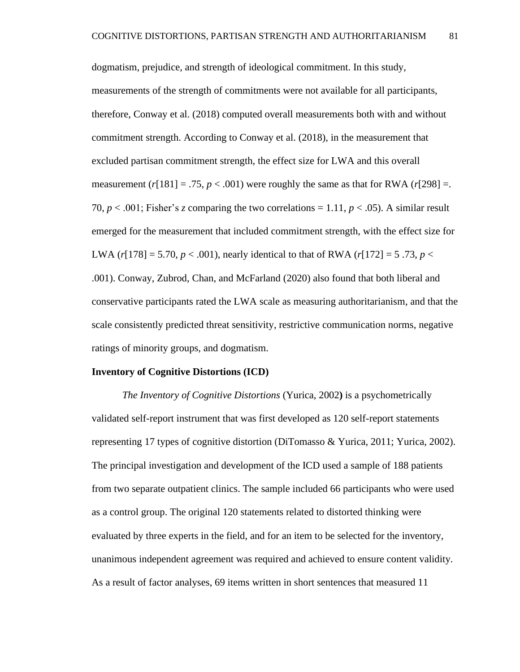dogmatism, prejudice, and strength of ideological commitment. In this study, measurements of the strength of commitments were not available for all participants, therefore, Conway et al. (2018) computed overall measurements both with and without commitment strength. According to Conway et al. (2018), in the measurement that excluded partisan commitment strength, the effect size for LWA and this overall measurement  $(r[181] = .75, p < .001)$  were roughly the same as that for RWA  $(r[298] = .001)$ 70,  $p < .001$ ; Fisher's *z* comparing the two correlations = 1.11,  $p < .05$ ). A similar result emerged for the measurement that included commitment strength, with the effect size for LWA  $(r[178] = 5.70, p < .001)$ , nearly identical to that of RWA  $(r[172] = 5.73, p <$ .001). Conway, Zubrod, Chan, and McFarland (2020) also found that both liberal and conservative participants rated the LWA scale as measuring authoritarianism, and that the scale consistently predicted threat sensitivity, restrictive communication norms, negative ratings of minority groups, and dogmatism.

#### **Inventory of Cognitive Distortions (ICD)**

*The Inventory of Cognitive Distortions* (Yurica, 2002**)** is a psychometrically validated self-report instrument that was first developed as 120 self-report statements representing 17 types of cognitive distortion (DiTomasso & Yurica, 2011; Yurica, 2002). The principal investigation and development of the ICD used a sample of 188 patients from two separate outpatient clinics. The sample included 66 participants who were used as a control group. The original 120 statements related to distorted thinking were evaluated by three experts in the field, and for an item to be selected for the inventory, unanimous independent agreement was required and achieved to ensure content validity. As a result of factor analyses, 69 items written in short sentences that measured 11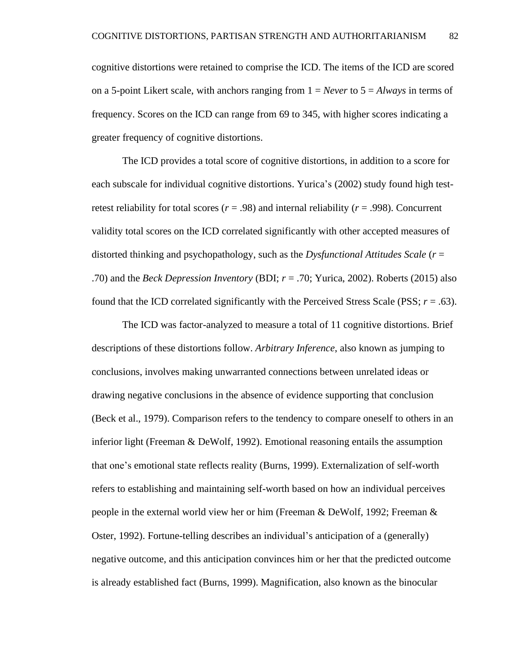cognitive distortions were retained to comprise the ICD. The items of the ICD are scored on a 5-point Likert scale, with anchors ranging from 1 = *Never* to 5 = *Always* in terms of frequency. Scores on the ICD can range from 69 to 345, with higher scores indicating a greater frequency of cognitive distortions.

The ICD provides a total score of cognitive distortions, in addition to a score for each subscale for individual cognitive distortions. Yurica's (2002) study found high testretest reliability for total scores  $(r = .98)$  and internal reliability  $(r = .998)$ . Concurrent validity total scores on the ICD correlated significantly with other accepted measures of distorted thinking and psychopathology, such as the *Dysfunctional Attitudes Scale* (*r* = .70) and the *Beck Depression Inventory* (BDI; *r* = .70; Yurica, 2002). Roberts (2015) also found that the ICD correlated significantly with the Perceived Stress Scale (PSS;  $r = .63$ ).

The ICD was factor-analyzed to measure a total of 11 cognitive distortions. Brief descriptions of these distortions follow. *Arbitrary Inference*, also known as jumping to conclusions, involves making unwarranted connections between unrelated ideas or drawing negative conclusions in the absence of evidence supporting that conclusion (Beck et al., 1979). Comparison refers to the tendency to compare oneself to others in an inferior light (Freeman & DeWolf, 1992). Emotional reasoning entails the assumption that one's emotional state reflects reality (Burns, 1999). Externalization of self-worth refers to establishing and maintaining self-worth based on how an individual perceives people in the external world view her or him (Freeman & DeWolf, 1992; Freeman & Oster, 1992). Fortune-telling describes an individual's anticipation of a (generally) negative outcome, and this anticipation convinces him or her that the predicted outcome is already established fact (Burns, 1999). Magnification, also known as the binocular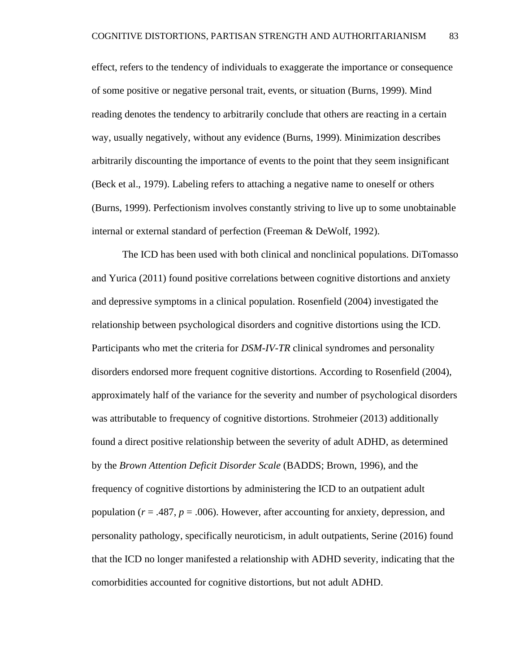effect, refers to the tendency of individuals to exaggerate the importance or consequence of some positive or negative personal trait, events, or situation (Burns, 1999). Mind reading denotes the tendency to arbitrarily conclude that others are reacting in a certain way, usually negatively, without any evidence (Burns, 1999). Minimization describes arbitrarily discounting the importance of events to the point that they seem insignificant (Beck et al., 1979). Labeling refers to attaching a negative name to oneself or others (Burns, 1999). Perfectionism involves constantly striving to live up to some unobtainable internal or external standard of perfection (Freeman & DeWolf, 1992).

The ICD has been used with both clinical and nonclinical populations. DiTomasso and Yurica (2011) found positive correlations between cognitive distortions and anxiety and depressive symptoms in a clinical population. Rosenfield (2004) investigated the relationship between psychological disorders and cognitive distortions using the ICD. Participants who met the criteria for *DSM-IV-TR* clinical syndromes and personality disorders endorsed more frequent cognitive distortions. According to Rosenfield (2004), approximately half of the variance for the severity and number of psychological disorders was attributable to frequency of cognitive distortions. Strohmeier (2013) additionally found a direct positive relationship between the severity of adult ADHD, as determined by the *Brown Attention Deficit Disorder Scale* (BADDS; Brown, 1996), and the frequency of cognitive distortions by administering the ICD to an outpatient adult population (*r* = .487, *p* = .006). However, after accounting for anxiety, depression, and personality pathology, specifically neuroticism, in adult outpatients, Serine (2016) found that the ICD no longer manifested a relationship with ADHD severity, indicating that the comorbidities accounted for cognitive distortions, but not adult ADHD.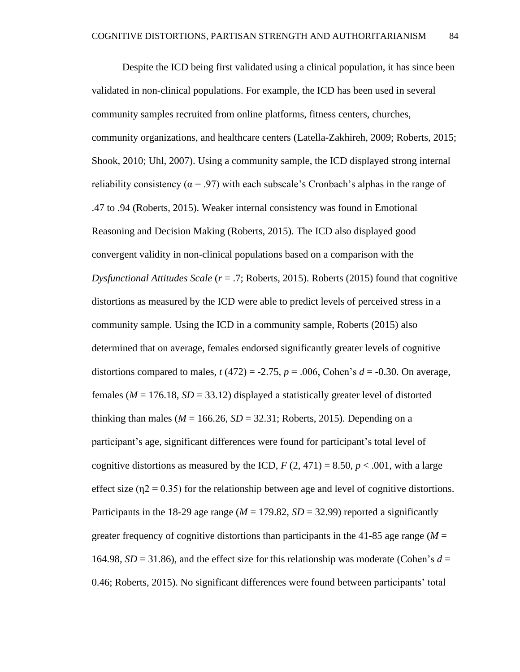Despite the ICD being first validated using a clinical population, it has since been validated in non-clinical populations. For example, the ICD has been used in several community samples recruited from online platforms, fitness centers, churches, community organizations, and healthcare centers (Latella-Zakhireh, 2009; Roberts, 2015; Shook, 2010; Uhl, 2007). Using a community sample, the ICD displayed strong internal reliability consistency ( $\alpha$  = .97) with each subscale's Cronbach's alphas in the range of .47 to .94 (Roberts, 2015). Weaker internal consistency was found in Emotional Reasoning and Decision Making (Roberts, 2015). The ICD also displayed good convergent validity in non-clinical populations based on a comparison with the *Dysfunctional Attitudes Scale* (*r* = .7; Roberts, 2015). Roberts (2015) found that cognitive distortions as measured by the ICD were able to predict levels of perceived stress in a community sample. Using the ICD in a community sample, Roberts (2015) also determined that on average, females endorsed significantly greater levels of cognitive distortions compared to males,  $t(472) = -2.75$ ,  $p = .006$ , Cohen's  $d = -0.30$ . On average, females ( $M = 176.18$ ,  $SD = 33.12$ ) displayed a statistically greater level of distorted thinking than males ( $M = 166.26$ ,  $SD = 32.31$ ; Roberts, 2015). Depending on a participant's age, significant differences were found for participant's total level of cognitive distortions as measured by the ICD,  $F(2, 471) = 8.50$ ,  $p < .001$ , with a large effect size ( $\eta$ 2 = 0.35) for the relationship between age and level of cognitive distortions. Participants in the 18-29 age range ( $M = 179.82$ ,  $SD = 32.99$ ) reported a significantly greater frequency of cognitive distortions than participants in the  $41-85$  age range ( $M =$ 164.98,  $SD = 31.86$ ), and the effect size for this relationship was moderate (Cohen's  $d =$ 0.46; Roberts, 2015). No significant differences were found between participants' total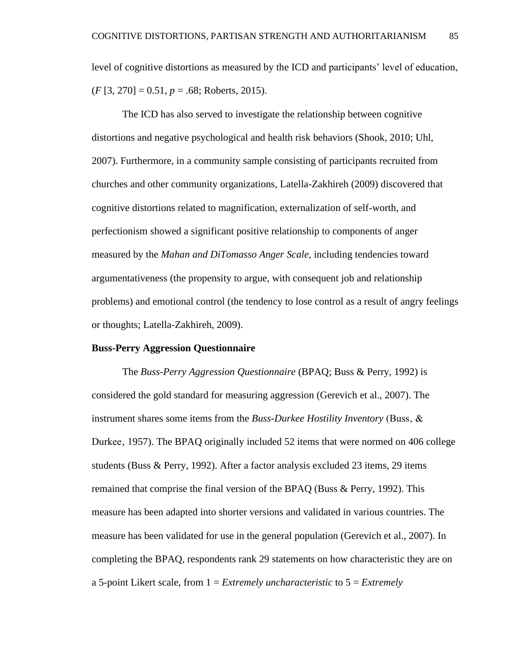level of cognitive distortions as measured by the ICD and participants' level of education, (*F* [3, 270] = 0.51, *p* = .68; Roberts, 2015).

The ICD has also served to investigate the relationship between cognitive distortions and negative psychological and health risk behaviors (Shook, 2010; Uhl, 2007). Furthermore, in a community sample consisting of participants recruited from churches and other community organizations, Latella-Zakhireh (2009) discovered that cognitive distortions related to magnification, externalization of self-worth, and perfectionism showed a significant positive relationship to components of anger measured by the *Mahan and DiTomasso Anger Scale,* including tendencies toward argumentativeness (the propensity to argue, with consequent job and relationship problems) and emotional control (the tendency to lose control as a result of angry feelings or thoughts; Latella-Zakhireh, 2009).

#### **Buss-Perry Aggression Questionnaire**

The *Buss-Perry Aggression Questionnaire* (BPAQ; Buss & Perry, 1992) is considered the gold standard for measuring aggression (Gerevich et al., 2007). The instrument shares some items from the *Buss-Durkee Hostility Inventory* (Buss, & Durkee, 1957). The BPAQ originally included 52 items that were normed on 406 college students (Buss & Perry, 1992). After a factor analysis excluded 23 items, 29 items remained that comprise the final version of the BPAQ (Buss & Perry, 1992). This measure has been adapted into shorter versions and validated in various countries. The measure has been validated for use in the general population (Gerevich et al., 2007). In completing the BPAQ, respondents rank 29 statements on how characteristic they are on a 5-point Likert scale, from 1 = *Extremely uncharacteristic* to 5 = *Extremely*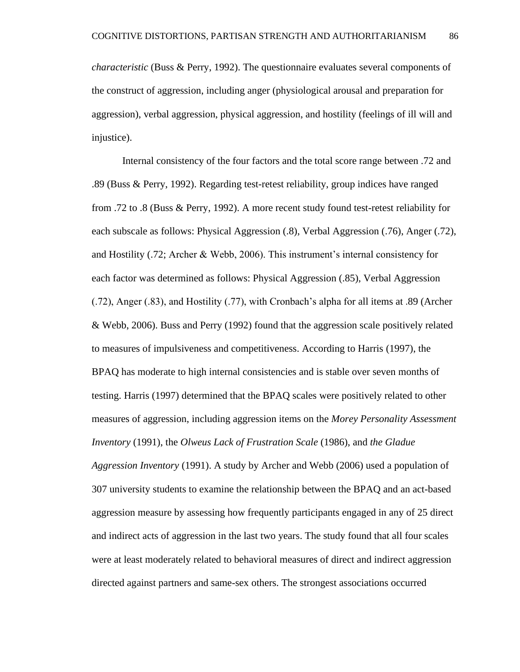*characteristic* (Buss & Perry, 1992). The questionnaire evaluates several components of the construct of aggression, including anger (physiological arousal and preparation for aggression), verbal aggression, physical aggression, and hostility (feelings of ill will and injustice).

Internal consistency of the four factors and the total score range between .72 and .89 (Buss & Perry, 1992). Regarding test-retest reliability, group indices have ranged from .72 to .8 (Buss & Perry, 1992). A more recent study found test-retest reliability for each subscale as follows: Physical Aggression (.8), Verbal Aggression (.76), Anger (.72), and Hostility (.72; Archer & Webb, 2006). This instrument's internal consistency for each factor was determined as follows: Physical Aggression (.85), Verbal Aggression (.72), Anger (.83), and Hostility (.77), with Cronbach's alpha for all items at .89 (Archer & Webb, 2006). Buss and Perry (1992) found that the aggression scale positively related to measures of impulsiveness and competitiveness. According to Harris (1997), the BPAQ has moderate to high internal consistencies and is stable over seven months of testing. Harris (1997) determined that the BPAQ scales were positively related to other measures of aggression, including aggression items on the *Morey Personality Assessment Inventory* (1991), the *Olweus Lack of Frustration Scale* (1986), and *the Gladue Aggression Inventory* (1991). A study by Archer and Webb (2006) used a population of 307 university students to examine the relationship between the BPAQ and an act-based aggression measure by assessing how frequently participants engaged in any of 25 direct and indirect acts of aggression in the last two years. The study found that all four scales were at least moderately related to behavioral measures of direct and indirect aggression directed against partners and same-sex others. The strongest associations occurred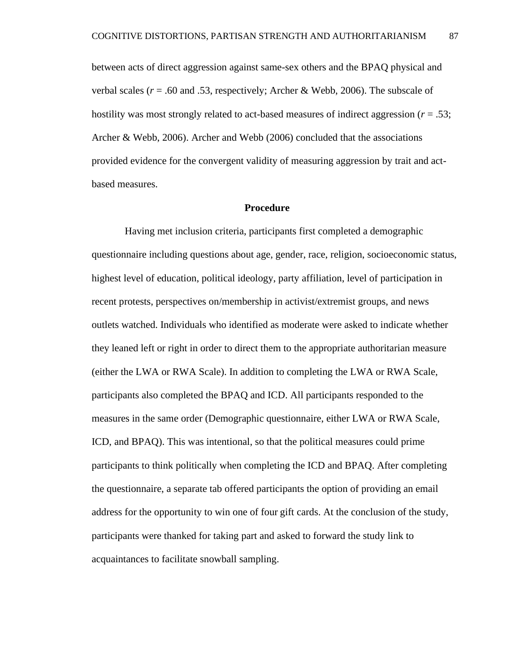between acts of direct aggression against same-sex others and the BPAQ physical and verbal scales ( $r = .60$  and .53, respectively; Archer & Webb, 2006). The subscale of hostility was most strongly related to act-based measures of indirect aggression (*r* = .53; Archer & Webb, 2006). Archer and Webb (2006) concluded that the associations provided evidence for the convergent validity of measuring aggression by trait and actbased measures.

#### **Procedure**

Having met inclusion criteria, participants first completed a demographic questionnaire including questions about age, gender, race, religion, socioeconomic status, highest level of education, political ideology, party affiliation, level of participation in recent protests, perspectives on/membership in activist/extremist groups, and news outlets watched. Individuals who identified as moderate were asked to indicate whether they leaned left or right in order to direct them to the appropriate authoritarian measure (either the LWA or RWA Scale). In addition to completing the LWA or RWA Scale, participants also completed the BPAQ and ICD. All participants responded to the measures in the same order (Demographic questionnaire, either LWA or RWA Scale, ICD, and BPAQ). This was intentional, so that the political measures could prime participants to think politically when completing the ICD and BPAQ. After completing the questionnaire, a separate tab offered participants the option of providing an email address for the opportunity to win one of four gift cards. At the conclusion of the study, participants were thanked for taking part and asked to forward the study link to acquaintances to facilitate snowball sampling.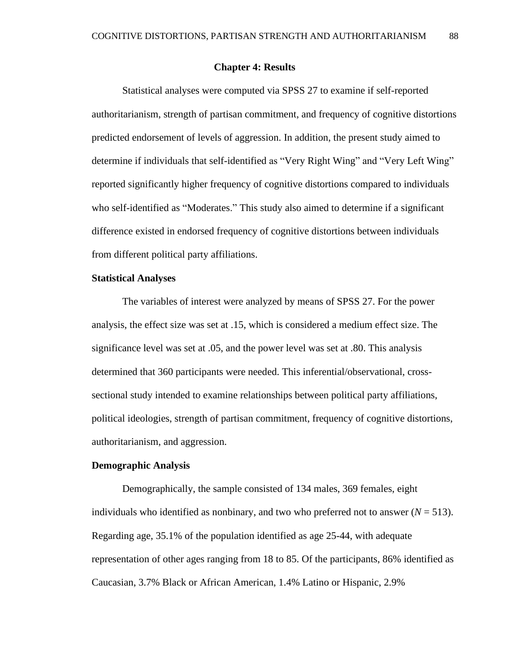### **Chapter 4: Results**

Statistical analyses were computed via SPSS 27 to examine if self-reported authoritarianism, strength of partisan commitment, and frequency of cognitive distortions predicted endorsement of levels of aggression. In addition, the present study aimed to determine if individuals that self-identified as "Very Right Wing" and "Very Left Wing" reported significantly higher frequency of cognitive distortions compared to individuals who self-identified as "Moderates." This study also aimed to determine if a significant difference existed in endorsed frequency of cognitive distortions between individuals from different political party affiliations.

# **Statistical Analyses**

The variables of interest were analyzed by means of SPSS 27. For the power analysis, the effect size was set at .15, which is considered a medium effect size. The significance level was set at .05, and the power level was set at .80. This analysis determined that 360 participants were needed. This inferential/observational, crosssectional study intended to examine relationships between political party affiliations, political ideologies, strength of partisan commitment, frequency of cognitive distortions, authoritarianism, and aggression.

### **Demographic Analysis**

Demographically, the sample consisted of 134 males, 369 females, eight individuals who identified as nonbinary, and two who preferred not to answer  $(N = 513)$ . Regarding age, 35.1% of the population identified as age 25-44, with adequate representation of other ages ranging from 18 to 85. Of the participants, 86% identified as Caucasian, 3.7% Black or African American, 1.4% Latino or Hispanic, 2.9%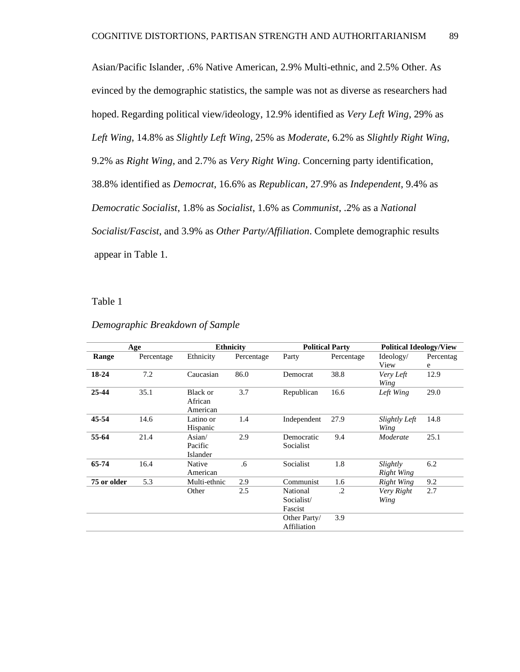Asian/Pacific Islander, .6% Native American, 2.9% Multi-ethnic, and 2.5% Other. As evinced by the demographic statistics, the sample was not as diverse as researchers had hoped. Regarding political view/ideology, 12.9% identified as *Very Left Wing*, 29% as *Left Wing*, 14.8% as *Slightly Left Wing*, 25% as *Moderate*, 6.2% as *Slightly Right Wing*, 9.2% as *Right Wing*, and 2.7% as *Very Right Wing*. Concerning party identification, 38.8% identified as *Democrat*, 16.6% as *Republican*, 27.9% as *Independent*, 9.4% as *Democratic Socialist*, 1.8% as *Socialist*, 1.6% as *Communist*, .2% as a *National Socialist/Fascist*, and 3.9% as *Other Party/Affiliation*. Complete demographic results appear in Table 1.

Table 1

|             | Age        | <b>Ethnicity</b> |            | <b>Political Party</b> |            | <b>Political Ideology/View</b> |           |
|-------------|------------|------------------|------------|------------------------|------------|--------------------------------|-----------|
| Range       | Percentage | Ethnicity        | Percentage | Party                  | Percentage | Ideology/                      | Percentag |
|             |            |                  |            |                        |            | View                           | e         |
| 18-24       | 7.2        | Caucasian        | 86.0       | Democrat               | 38.8       | Very Left                      | 12.9      |
|             |            |                  |            |                        |            | Wing                           |           |
| 25-44       | 35.1       | <b>Black or</b>  | 3.7        | Republican             | 16.6       | Left Wing                      | 29.0      |
|             |            | African          |            |                        |            |                                |           |
|             |            | American         |            |                        |            |                                |           |
| 45-54       | 14.6       | Latino or        | 1.4        | Independent            | 27.9       | Slightly Left                  | 14.8      |
|             |            | Hispanic         |            |                        |            | Wing                           |           |
| 55-64       | 21.4       | Asian/           | 2.9        | Democratic             | 9.4        | Moderate                       | 25.1      |
|             |            | Pacific          |            | Socialist              |            |                                |           |
|             |            | Islander         |            |                        |            |                                |           |
| 65-74       | 16.4       | Native           | .6         | Socialist              | 1.8        | Slightly                       | 6.2       |
|             |            | American         |            |                        |            | Right Wing                     |           |
| 75 or older | 5.3        | Multi-ethnic     | 2.9        | Communist              | 1.6        | Right Wing                     | 9.2       |
|             |            | Other            | 2.5        | National               | $\cdot$    | Very Right                     | 2.7       |
|             |            |                  |            | Socialist/             |            | Wing                           |           |
|             |            |                  |            | Fascist                |            |                                |           |
|             |            |                  |            | Other Party/           | 3.9        |                                |           |
|             |            |                  |            | Affiliation            |            |                                |           |
|             |            |                  |            |                        |            |                                |           |

#### *Demographic Breakdown of Sample*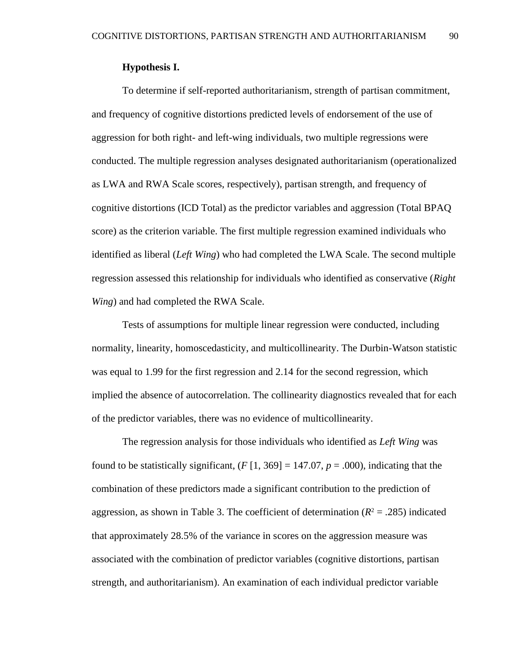# **Hypothesis I.**

To determine if self-reported authoritarianism, strength of partisan commitment, and frequency of cognitive distortions predicted levels of endorsement of the use of aggression for both right- and left-wing individuals, two multiple regressions were conducted. The multiple regression analyses designated authoritarianism (operationalized as LWA and RWA Scale scores, respectively), partisan strength, and frequency of cognitive distortions (ICD Total) as the predictor variables and aggression (Total BPAQ score) as the criterion variable. The first multiple regression examined individuals who identified as liberal (*Left Wing*) who had completed the LWA Scale. The second multiple regression assessed this relationship for individuals who identified as conservative (*Right Wing*) and had completed the RWA Scale.

Tests of assumptions for multiple linear regression were conducted, including normality, linearity, homoscedasticity, and multicollinearity. The Durbin-Watson statistic was equal to 1.99 for the first regression and 2.14 for the second regression, which implied the absence of autocorrelation. The collinearity diagnostics revealed that for each of the predictor variables, there was no evidence of multicollinearity.

The regression analysis for those individuals who identified as *Left Wing* was found to be statistically significant,  $(F [1, 369] = 147.07, p = .000)$ , indicating that the combination of these predictors made a significant contribution to the prediction of aggression, as shown in Table 3. The coefficient of determination  $(R^2 = .285)$  indicated that approximately 28.5% of the variance in scores on the aggression measure was associated with the combination of predictor variables (cognitive distortions, partisan strength, and authoritarianism). An examination of each individual predictor variable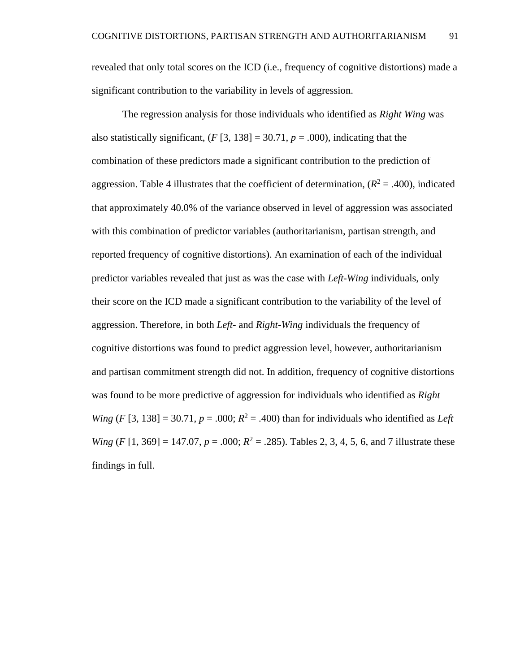revealed that only total scores on the ICD (i.e., frequency of cognitive distortions) made a significant contribution to the variability in levels of aggression.

The regression analysis for those individuals who identified as *Right Wing* was also statistically significant,  $(F[3, 138] = 30.71, p = .000)$ , indicating that the combination of these predictors made a significant contribution to the prediction of aggression. Table 4 illustrates that the coefficient of determination,  $(R^2 = .400)$ , indicated that approximately 40.0% of the variance observed in level of aggression was associated with this combination of predictor variables (authoritarianism, partisan strength, and reported frequency of cognitive distortions). An examination of each of the individual predictor variables revealed that just as was the case with *Left-Wing* individuals, only their score on the ICD made a significant contribution to the variability of the level of aggression. Therefore, in both *Left-* and *Right-Wing* individuals the frequency of cognitive distortions was found to predict aggression level, however, authoritarianism and partisan commitment strength did not. In addition, frequency of cognitive distortions was found to be more predictive of aggression for individuals who identified as *Right Wing* (*F* [3, 138] = 30.71,  $p = .000$ ;  $R^2 = .400$ ) than for individuals who identified as *Left Wing*  $(F [1, 369] = 147.07, p = .000; R^2 = .285)$ . Tables 2, 3, 4, 5, 6, and 7 illustrate these findings in full.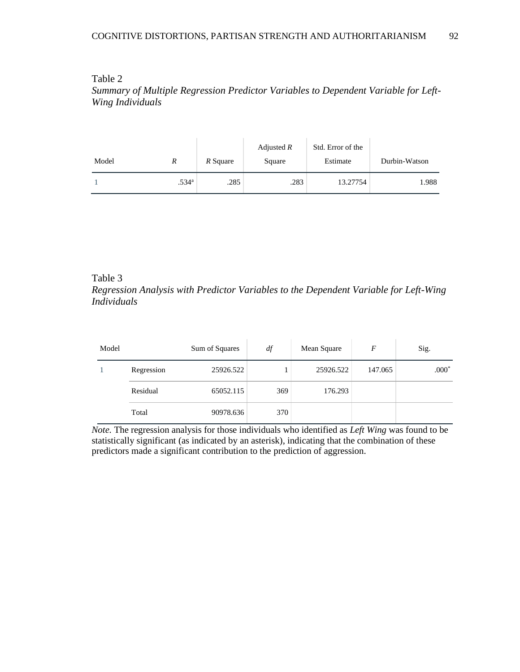### Table 2

*Summary of Multiple Regression Predictor Variables to Dependent Variable for Left-Wing Individuals* 

| Model | R                 | R Square | Adjusted $R$<br>Square | Std. Error of the<br>Estimate | Durbin-Watson |
|-------|-------------------|----------|------------------------|-------------------------------|---------------|
|       | .534 <sup>a</sup> | .285     | .283                   | 13.27754                      | 1.988         |

# Table 3

# *Regression Analysis with Predictor Variables to the Dependent Variable for Left-Wing Individuals*

| Model |            | Sum of Squares | df  | Mean Square | F       | Sig.    |
|-------|------------|----------------|-----|-------------|---------|---------|
|       | Regression | 25926.522      |     | 25926.522   | 147.065 | $.000*$ |
|       | Residual   | 65052.115      | 369 | 176.293     |         |         |
|       | Total      | 90978.636      | 370 |             |         |         |

*Note.* The regression analysis for those individuals who identified as *Left Wing* was found to be statistically significant (as indicated by an asterisk), indicating that the combination of these predictors made a significant contribution to the prediction of aggression.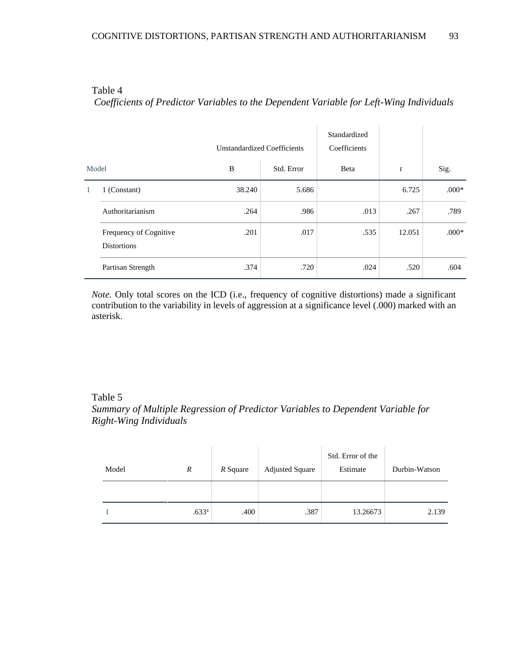# Table 4 *Coefficients of Predictor Variables to the Dependent Variable for Left-Wing Individuals*

|       |                                              | <b>Unstandardized Coefficients</b> |            | Standardized<br>Coefficients |                  |         |
|-------|----------------------------------------------|------------------------------------|------------|------------------------------|------------------|---------|
| Model |                                              | B                                  | Std. Error | Beta                         | $\boldsymbol{t}$ | Sig.    |
|       | 1 (Constant)                                 | 38.240                             | 5.686      |                              | 6.725            | $.000*$ |
|       | Authoritarianism                             | .264                               | .986       | .013                         | .267             | .789    |
|       | Frequency of Cognitive<br><b>Distortions</b> | .201                               | .017       | .535                         | 12.051           | $.000*$ |
|       | Partisan Strength                            | .374                               | .720       | .024                         | .520             | .604    |

*Note.* Only total scores on the ICD (i.e., frequency of cognitive distortions) made a significant contribution to the variability in levels of aggression at a significance level (.000) marked with an asterisk.

### Table 5

*Summary of Multiple Regression of Predictor Variables to Dependent Variable for Right-Wing Individuals*

| Model | R                 | R Square | <b>Adjusted Square</b> | Std. Error of the<br>Estimate | Durbin-Watson |
|-------|-------------------|----------|------------------------|-------------------------------|---------------|
|       |                   |          |                        |                               |               |
|       | .633 <sup>a</sup> | .400     | .387                   | 13.26673                      | 2.139         |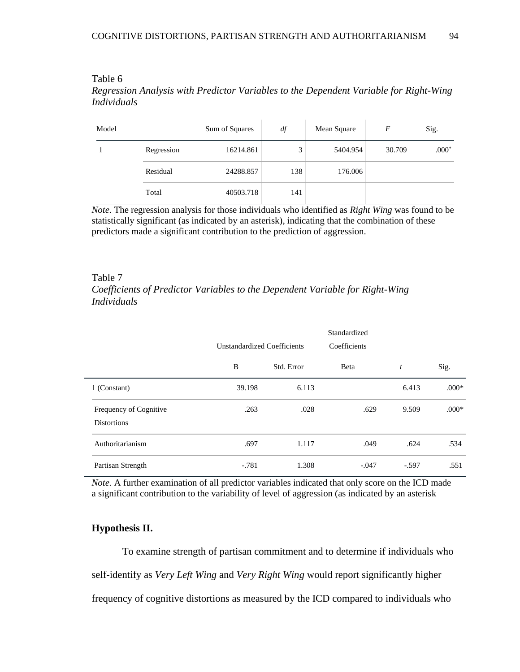# Table 6 *Regression Analysis with Predictor Variables to the Dependent Variable for Right-Wing Individuals*

| Model |            | Sum of Squares | df  | Mean Square | F      | Sig.    |
|-------|------------|----------------|-----|-------------|--------|---------|
|       | Regression | 16214.861      | 3   | 5404.954    | 30.709 | $.000*$ |
|       | Residual   | 24288.857      | 138 | 176.006     |        |         |
|       | Total      | 40503.718      | 141 |             |        |         |

*Note.* The regression analysis for those individuals who identified as *Right Wing* was found to be statistically significant (as indicated by an asterisk), indicating that the combination of these predictors made a significant contribution to the prediction of aggression.

# Table 7 *Coefficients of Predictor Variables to the Dependent Variable for Right-Wing Individuals*

|                                                     | Standardized<br>Coefficients<br><b>Unstandardized Coefficients</b> |            |         |                  |         |
|-----------------------------------------------------|--------------------------------------------------------------------|------------|---------|------------------|---------|
|                                                     | B                                                                  | Std. Error | Beta    | $\boldsymbol{t}$ | Sig.    |
| 1 (Constant)                                        | 39.198                                                             | 6.113      |         | 6.413            | $.000*$ |
| <b>Frequency of Cognitive</b><br><b>Distortions</b> | .263                                                               | .028       | .629    | 9.509            | $.000*$ |
| Authoritarianism                                    | .697                                                               | 1.117      | .049    | .624             | .534    |
| Partisan Strength                                   | $-.781$                                                            | 1.308      | $-.047$ | $-.597$          | .551    |

*Note.* A further examination of all predictor variables indicated that only score on the ICD made a significant contribution to the variability of level of aggression (as indicated by an asterisk

# **Hypothesis II.**

÷.

To examine strength of partisan commitment and to determine if individuals who self-identify as *Very Left Wing* and *Very Right Wing* would report significantly higher frequency of cognitive distortions as measured by the ICD compared to individuals who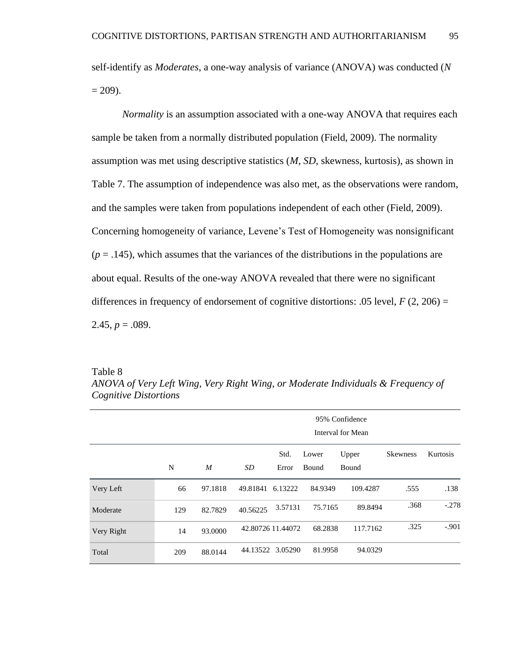self-identify as *Moderates*, a one-way analysis of variance (ANOVA) was conducted (*N*  $= 209$ ).

*Normality* is an assumption associated with a one-way ANOVA that requires each sample be taken from a normally distributed population (Field, 2009). The normality assumption was met using descriptive statistics (*M, SD,* skewness, kurtosis), as shown in Table 7. The assumption of independence was also met, as the observations were random, and the samples were taken from populations independent of each other (Field, 2009). Concerning homogeneity of variance, Levene's Test of Homogeneity was nonsignificant  $(p = .145)$ , which assumes that the variances of the distributions in the populations are about equal. Results of the one-way ANOVA revealed that there were no significant differences in frequency of endorsement of cognitive distortions: .05 level,  $F(2, 206) =$ 2.45,  $p = .089$ .

| m<br>ш<br>. 7 |  |
|---------------|--|
|---------------|--|

|            |     | 95% Confidence<br>Interval for Mean |          |                   |                |                |                 |          |
|------------|-----|-------------------------------------|----------|-------------------|----------------|----------------|-----------------|----------|
|            | N   | M                                   | SD       | Std.<br>Error     | Lower<br>Bound | Upper<br>Bound | <b>Skewness</b> | Kurtosis |
| Very Left  | 66  | 97.1818                             | 49.81841 | 6.13222           | 84.9349        | 109.4287       | .555            | .138     |
| Moderate   | 129 | 82.7829                             | 40.56225 | 3.57131           | 75.7165        | 89.8494        | .368            | $-.278$  |
| Very Right | 14  | 93.0000                             |          | 42.80726 11.44072 | 68.2838        | 117.7162       | .325            | $-.901$  |
| Total      | 209 | 88.0144                             |          | 44.13522 3.05290  | 81.9958        | 94.0329        |                 |          |

*ANOVA of Very Left Wing, Very Right Wing*, *or Moderate Individuals & Frequency of Cognitive Distortions*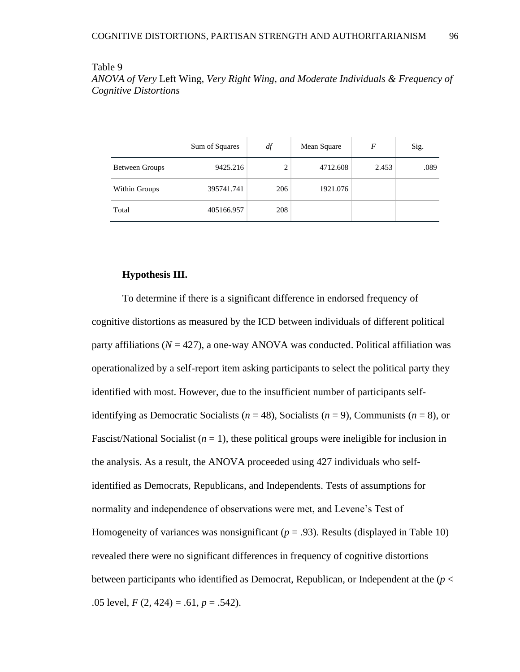### Table 9

*ANOVA of Very* Left Wing*, Very Right Wing, and Moderate Individuals & Frequency of Cognitive Distortions*

|                | Sum of Squares | df  | Mean Square | F     | Sig. |
|----------------|----------------|-----|-------------|-------|------|
| Between Groups | 9425.216       | 2   | 4712.608    | 2.453 | .089 |
| Within Groups  | 395741.741     | 206 | 1921.076    |       |      |
| Total          | 405166.957     | 208 |             |       |      |

# **Hypothesis III.**

To determine if there is a significant difference in endorsed frequency of cognitive distortions as measured by the ICD between individuals of different political party affiliations ( $N = 427$ ), a one-way ANOVA was conducted. Political affiliation was operationalized by a self-report item asking participants to select the political party they identified with most. However, due to the insufficient number of participants selfidentifying as Democratic Socialists ( $n = 48$ ), Socialists ( $n = 9$ ), Communists ( $n = 8$ ), or Fascist/National Socialist  $(n = 1)$ , these political groups were ineligible for inclusion in the analysis. As a result, the ANOVA proceeded using 427 individuals who selfidentified as Democrats, Republicans, and Independents. Tests of assumptions for normality and independence of observations were met, and Levene's Test of Homogeneity of variances was nonsignificant  $(p = .93)$ . Results (displayed in Table 10) revealed there were no significant differences in frequency of cognitive distortions between participants who identified as Democrat, Republican, or Independent at the  $(p <$ .05 level,  $F(2, 424) = .61$ ,  $p = .542$ ).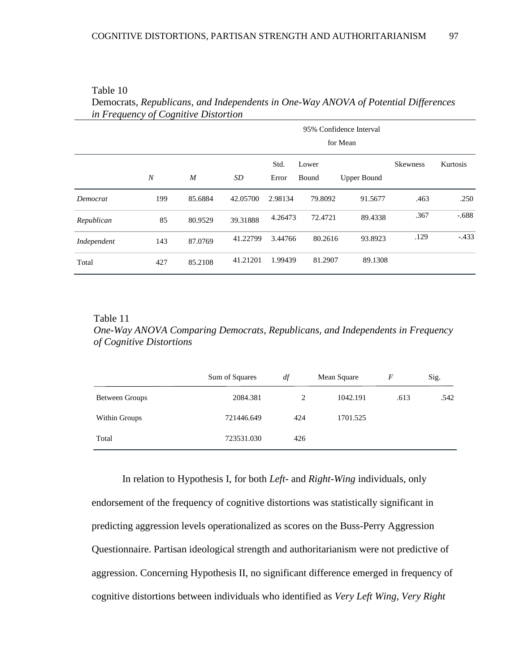|             |                  | 95% Confidence Interval<br>for Mean |          |               |                |                    |                 |          |  |
|-------------|------------------|-------------------------------------|----------|---------------|----------------|--------------------|-----------------|----------|--|
|             | $\boldsymbol{N}$ | $\boldsymbol{M}$                    | SD       | Std.<br>Error | Lower<br>Bound | <b>Upper Bound</b> | <b>Skewness</b> | Kurtosis |  |
| Democrat    | 199              | 85.6884                             | 42.05700 | 2.98134       | 79.8092        | 91.5677            | .463            | .250     |  |
| Republican  | 85               | 80.9529                             | 39.31888 | 4.26473       | 72.4721        | 89.4338            | .367            | $-.688$  |  |
| Independent | 143              | 87.0769                             | 41.22799 | 3.44766       | 80.2616        | 93.8923            | .129            | $-.433$  |  |
| Total       | 427              | 85.2108                             | 41.21201 | 1.99439       | 81.2907        | 89.1308            |                 |          |  |

Table 10

Democrats*, Republicans, and Independents in One-Way ANOVA of Potential Differences in Frequency of Cognitive Distortion*

Table 11 *One-Way ANOVA Comparing Democrats, Republicans, and Independents in Frequency of Cognitive Distortions*

|                | Sum of Squares | df  | Mean Square | F    | Sig. |
|----------------|----------------|-----|-------------|------|------|
| Between Groups | 2084.381       | 2   | 1042.191    | .613 | .542 |
| Within Groups  | 721446.649     | 424 | 1701.525    |      |      |
| Total          | 723531.030     | 426 |             |      |      |

In relation to Hypothesis I, for both *Left-* and *Right-Wing* individuals, only endorsement of the frequency of cognitive distortions was statistically significant in predicting aggression levels operationalized as scores on the Buss-Perry Aggression Questionnaire. Partisan ideological strength and authoritarianism were not predictive of aggression. Concerning Hypothesis II, no significant difference emerged in frequency of cognitive distortions between individuals who identified as *Very Left Wing*, *Very Right*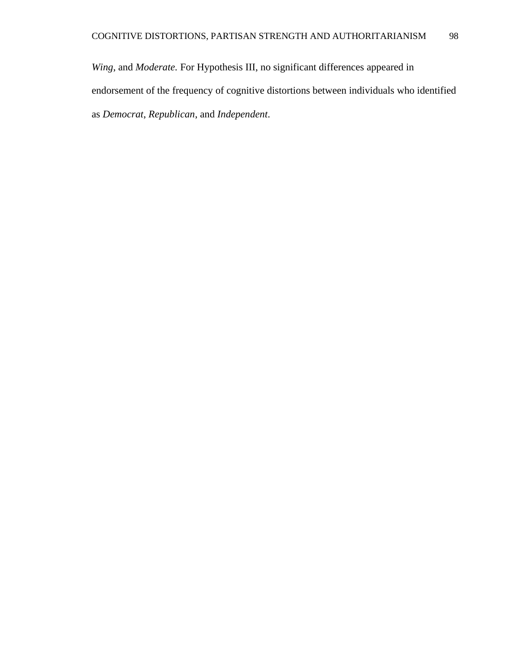*Wing*, and *Moderate.* For Hypothesis III, no significant differences appeared in endorsement of the frequency of cognitive distortions between individuals who identified as *Democrat*, *Republican*, and *Independent*.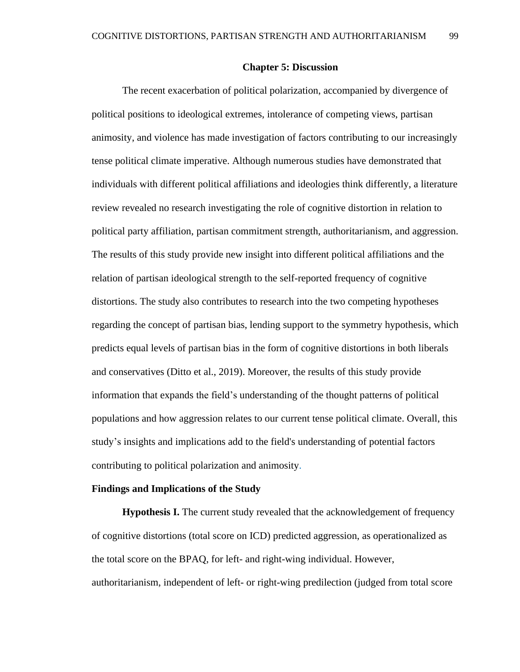### **Chapter 5: Discussion**

The recent exacerbation of political polarization, accompanied by divergence of political positions to ideological extremes, intolerance of competing views, partisan animosity, and violence has made investigation of factors contributing to our increasingly tense political climate imperative. Although numerous studies have demonstrated that individuals with different political affiliations and ideologies think differently, a literature review revealed no research investigating the role of cognitive distortion in relation to political party affiliation, partisan commitment strength, authoritarianism, and aggression. The results of this study provide new insight into different political affiliations and the relation of partisan ideological strength to the self-reported frequency of cognitive distortions. The study also contributes to research into the two competing hypotheses regarding the concept of partisan bias, lending support to the symmetry hypothesis, which predicts equal levels of partisan bias in the form of cognitive distortions in both liberals and conservatives (Ditto et al., 2019). Moreover, the results of this study provide information that expands the field's understanding of the thought patterns of political populations and how aggression relates to our current tense political climate. Overall, this study's insights and implications add to the field's understanding of potential factors contributing to political polarization and animosity.

#### **Findings and Implications of the Study**

**Hypothesis I.** The current study revealed that the acknowledgement of frequency of cognitive distortions (total score on ICD) predicted aggression, as operationalized as the total score on the BPAQ, for left- and right-wing individual. However, authoritarianism, independent of left- or right-wing predilection (judged from total score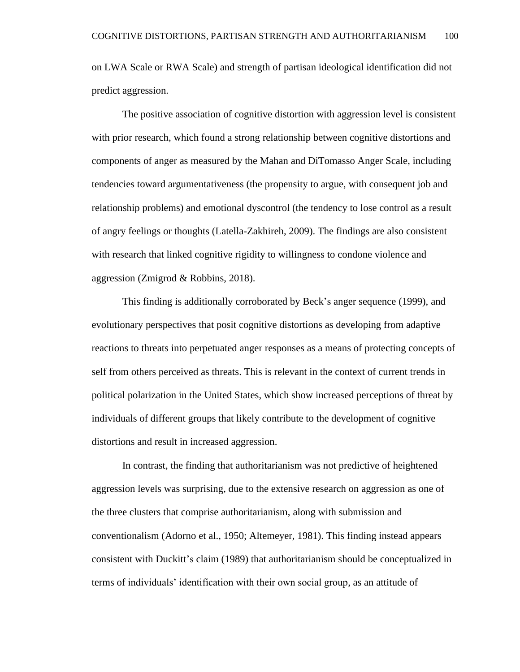on LWA Scale or RWA Scale) and strength of partisan ideological identification did not predict aggression.

The positive association of cognitive distortion with aggression level is consistent with prior research, which found a strong relationship between cognitive distortions and components of anger as measured by the Mahan and DiTomasso Anger Scale, including tendencies toward argumentativeness (the propensity to argue, with consequent job and relationship problems) and emotional dyscontrol (the tendency to lose control as a result of angry feelings or thoughts (Latella-Zakhireh, 2009). The findings are also consistent with research that linked cognitive rigidity to willingness to condone violence and aggression (Zmigrod & Robbins, 2018).

This finding is additionally corroborated by Beck's anger sequence (1999), and evolutionary perspectives that posit cognitive distortions as developing from adaptive reactions to threats into perpetuated anger responses as a means of protecting concepts of self from others perceived as threats. This is relevant in the context of current trends in political polarization in the United States, which show increased perceptions of threat by individuals of different groups that likely contribute to the development of cognitive distortions and result in increased aggression.

In contrast, the finding that authoritarianism was not predictive of heightened aggression levels was surprising, due to the extensive research on aggression as one of the three clusters that comprise authoritarianism, along with submission and conventionalism (Adorno et al., 1950; Altemeyer, 1981). This finding instead appears consistent with Duckitt's claim (1989) that authoritarianism should be conceptualized in terms of individuals' identification with their own social group, as an attitude of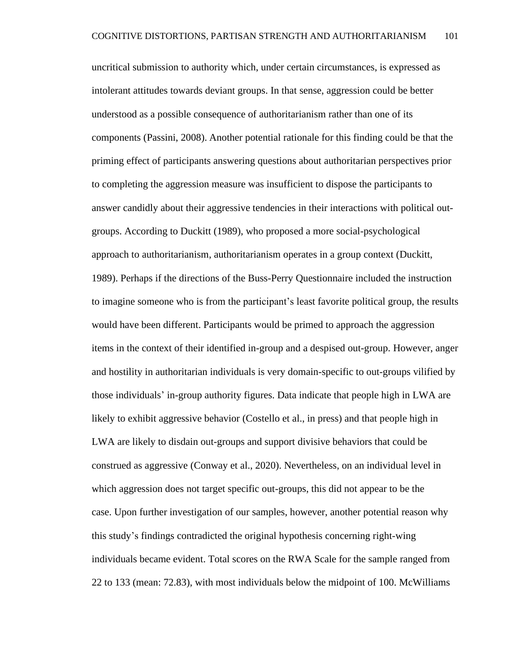uncritical submission to authority which, under certain circumstances, is expressed as intolerant attitudes towards deviant groups. In that sense, aggression could be better understood as a possible consequence of authoritarianism rather than one of its components (Passini, 2008). Another potential rationale for this finding could be that the priming effect of participants answering questions about authoritarian perspectives prior to completing the aggression measure was insufficient to dispose the participants to answer candidly about their aggressive tendencies in their interactions with political outgroups. According to Duckitt (1989), who proposed a more social-psychological approach to authoritarianism, authoritarianism operates in a group context (Duckitt, 1989). Perhaps if the directions of the Buss-Perry Questionnaire included the instruction to imagine someone who is from the participant's least favorite political group, the results would have been different. Participants would be primed to approach the aggression items in the context of their identified in-group and a despised out-group. However, anger and hostility in authoritarian individuals is very domain-specific to out-groups vilified by those individuals' in-group authority figures. Data indicate that people high in LWA are likely to exhibit aggressive behavior (Costello et al., in press) and that people high in LWA are likely to disdain out-groups and support divisive behaviors that could be construed as aggressive (Conway et al., 2020). Nevertheless, on an individual level in which aggression does not target specific out-groups, this did not appear to be the case. Upon further investigation of our samples, however, another potential reason why this study's findings contradicted the original hypothesis concerning right-wing individuals became evident. Total scores on the RWA Scale for the sample ranged from 22 to 133 (mean: 72.83), with most individuals below the midpoint of 100. McWilliams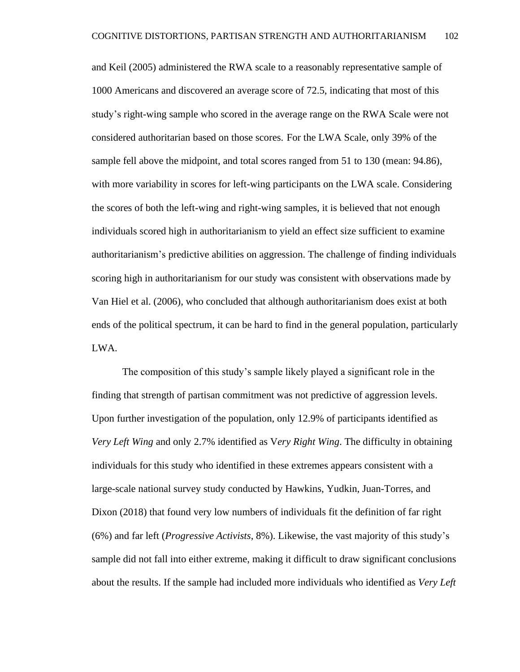and Keil (2005) administered the RWA scale to a reasonably representative sample of 1000 Americans and discovered an average score of 72.5, indicating that most of this study's right-wing sample who scored in the average range on the RWA Scale were not considered authoritarian based on those scores. For the LWA Scale, only 39% of the sample fell above the midpoint, and total scores ranged from 51 to 130 (mean: 94.86), with more variability in scores for left-wing participants on the LWA scale. Considering the scores of both the left-wing and right-wing samples, it is believed that not enough individuals scored high in authoritarianism to yield an effect size sufficient to examine authoritarianism's predictive abilities on aggression. The challenge of finding individuals scoring high in authoritarianism for our study was consistent with observations made by Van Hiel et al. (2006), who concluded that although authoritarianism does exist at both ends of the political spectrum, it can be hard to find in the general population, particularly LWA.

The composition of this study's sample likely played a significant role in the finding that strength of partisan commitment was not predictive of aggression levels. Upon further investigation of the population, only 12.9% of participants identified as *Very Left Wing* and only 2.7% identified as V*ery Right Wing*. The difficulty in obtaining individuals for this study who identified in these extremes appears consistent with a large-scale national survey study conducted by Hawkins, Yudkin, Juan-Torres, and Dixon (2018) that found very low numbers of individuals fit the definition of far right (6%) and far left (*Progressive Activists*, 8%). Likewise, the vast majority of this study's sample did not fall into either extreme, making it difficult to draw significant conclusions about the results. If the sample had included more individuals who identified as *Very Left*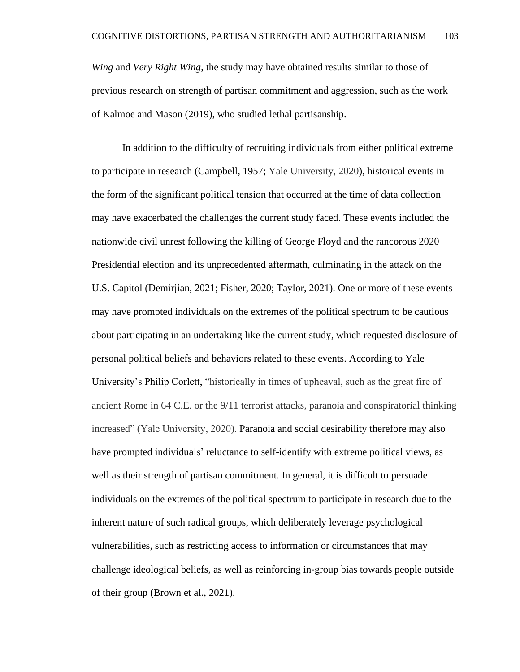*Wing* and *Very Right Wing*, the study may have obtained results similar to those of previous research on strength of partisan commitment and aggression, such as the work of Kalmoe and Mason (2019), who studied lethal partisanship.

In addition to the difficulty of recruiting individuals from either political extreme to participate in research (Campbell, 1957; Yale University, 2020), historical events in the form of the significant political tension that occurred at the time of data collection may have exacerbated the challenges the current study faced. These events included the nationwide civil unrest following the killing of George Floyd and the rancorous 2020 Presidential election and its unprecedented aftermath, culminating in the attack on the U.S. Capitol (Demirjian, 2021; Fisher, 2020; Taylor, 2021). One or more of these events may have prompted individuals on the extremes of the political spectrum to be cautious about participating in an undertaking like the current study, which requested disclosure of personal political beliefs and behaviors related to these events. According to Yale University's Philip Corlett, "historically in times of upheaval, such as the great fire of ancient Rome in 64 C.E. or the 9/11 terrorist attacks, paranoia and conspiratorial thinking increased" (Yale University, 2020). Paranoia and social desirability therefore may also have prompted individuals' reluctance to self-identify with extreme political views, as well as their strength of partisan commitment. In general, it is difficult to persuade individuals on the extremes of the political spectrum to participate in research due to the inherent nature of such radical groups, which deliberately leverage psychological vulnerabilities, such as restricting access to information or circumstances that may challenge ideological beliefs, as well as reinforcing in-group bias towards people outside of their group (Brown et al., 2021).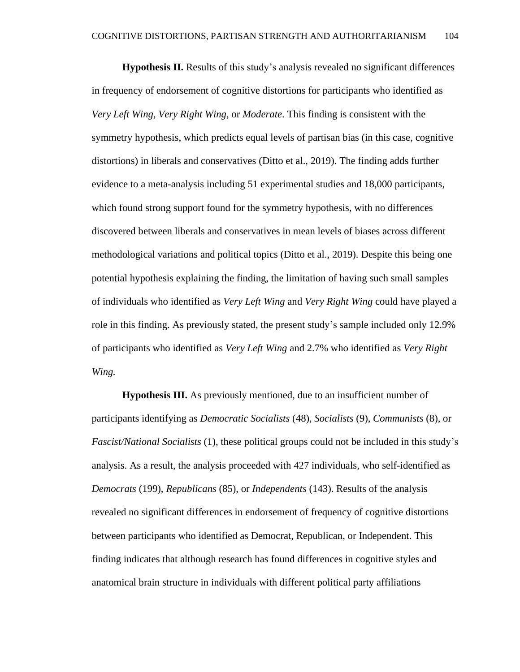**Hypothesis II.** Results of this study's analysis revealed no significant differences in frequency of endorsement of cognitive distortions for participants who identified as *Very Left Wing*, *Very Right Wing*, or *Moderate*. This finding is consistent with the symmetry hypothesis, which predicts equal levels of partisan bias (in this case, cognitive distortions) in liberals and conservatives (Ditto et al., 2019). The finding adds further evidence to a meta-analysis including 51 experimental studies and 18,000 participants, which found strong support found for the symmetry hypothesis, with no differences discovered between liberals and conservatives in mean levels of biases across different methodological variations and political topics (Ditto et al., 2019). Despite this being one potential hypothesis explaining the finding, the limitation of having such small samples of individuals who identified as *Very Left Wing* and *Very Right Wing* could have played a role in this finding. As previously stated, the present study's sample included only 12.9% of participants who identified as *Very Left Wing* and 2.7% who identified as *Very Right Wing.*

**Hypothesis III.** As previously mentioned, due to an insufficient number of participants identifying as *Democratic Socialists* (48), *Socialists* (9), *Communists* (8), or *Fascist/National Socialists* (1), these political groups could not be included in this study's analysis. As a result, the analysis proceeded with 427 individuals, who self-identified as *Democrats* (199), *Republicans* (85), or *Independents* (143). Results of the analysis revealed no significant differences in endorsement of frequency of cognitive distortions between participants who identified as Democrat, Republican, or Independent. This finding indicates that although research has found differences in cognitive styles and anatomical brain structure in individuals with different political party affiliations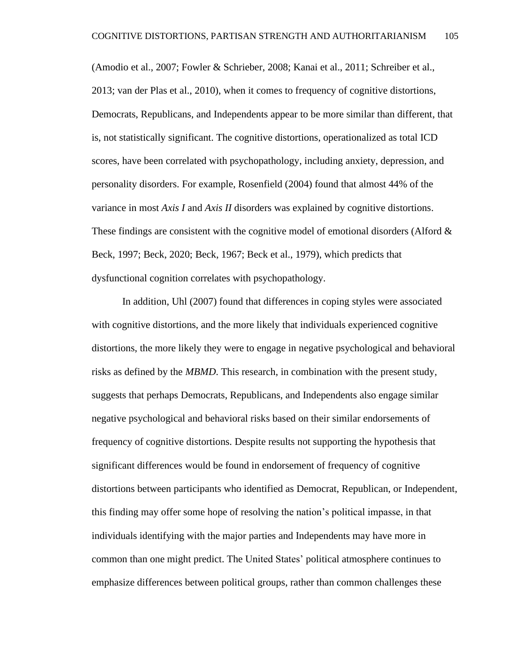(Amodio et al., 2007; Fowler & Schrieber, 2008; Kanai et al., 2011; Schreiber et al., 2013; van der Plas et al., 2010), when it comes to frequency of cognitive distortions, Democrats, Republicans, and Independents appear to be more similar than different, that is, not statistically significant. The cognitive distortions, operationalized as total ICD scores, have been correlated with psychopathology, including anxiety, depression, and personality disorders. For example, Rosenfield (2004) found that almost 44% of the variance in most *Axis I* and *Axis II* disorders was explained by cognitive distortions. These findings are consistent with the cognitive model of emotional disorders (Alford  $\&$ Beck, 1997; Beck, 2020; Beck, 1967; Beck et al., 1979), which predicts that dysfunctional cognition correlates with psychopathology.

In addition, Uhl (2007) found that differences in coping styles were associated with cognitive distortions, and the more likely that individuals experienced cognitive distortions, the more likely they were to engage in negative psychological and behavioral risks as defined by the *MBMD*. This research, in combination with the present study, suggests that perhaps Democrats, Republicans, and Independents also engage similar negative psychological and behavioral risks based on their similar endorsements of frequency of cognitive distortions. Despite results not supporting the hypothesis that significant differences would be found in endorsement of frequency of cognitive distortions between participants who identified as Democrat, Republican, or Independent, this finding may offer some hope of resolving the nation's political impasse, in that individuals identifying with the major parties and Independents may have more in common than one might predict. The United States' political atmosphere continues to emphasize differences between political groups, rather than common challenges these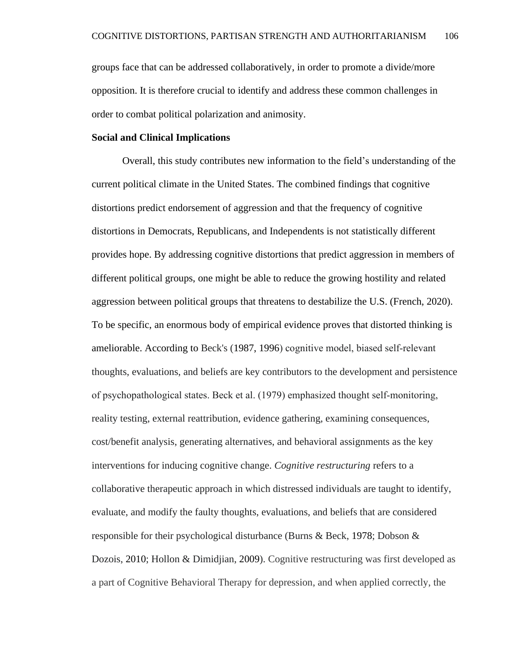groups face that can be addressed collaboratively, in order to promote a divide/more opposition. It is therefore crucial to identify and address these common challenges in order to combat political polarization and animosity.

## **Social and Clinical Implications**

Overall, this study contributes new information to the field's understanding of the current political climate in the United States. The combined findings that cognitive distortions predict endorsement of aggression and that the frequency of cognitive distortions in Democrats, Republicans, and Independents is not statistically different provides hope. By addressing cognitive distortions that predict aggression in members of different political groups, one might be able to reduce the growing hostility and related aggression between political groups that threatens to destabilize the U.S. (French, 2020). To be specific, an enormous body of empirical evidence proves that distorted thinking is ameliorable. According to Beck's [\(1987,](https://onlinelibrary.wiley.com/doi/full/10.1002/9781118528563.wbcbt02#wbcbt02-bib-0008) [1996\)](https://onlinelibrary.wiley.com/doi/full/10.1002/9781118528563.wbcbt02#wbcbt02-bib-0009) cognitive model, biased self‐relevant thoughts, evaluations, and beliefs are key contributors to the development and persistence of psychopathological states. Beck et al. (1979) emphasized thought self‐monitoring, reality testing, external reattribution, evidence gathering, examining consequences, cost/benefit analysis, generating alternatives, and behavioral assignments as the key interventions for inducing cognitive change. *Cognitive restructuring* refers to a collaborative therapeutic approach in which distressed individuals are taught to identify, evaluate, and modify the faulty thoughts, evaluations, and beliefs that are considered responsible for their psychological disturbance (Burns & Beck, [1978;](https://onlinelibrary.wiley.com/doi/full/10.1002/9781118528563.wbcbt02#wbcbt02-bib-0020) Dobson & Dozois, [2010;](https://onlinelibrary.wiley.com/doi/full/10.1002/9781118528563.wbcbt02#wbcbt02-bib-0029) Hollon & Dimidjian, [2009\)](https://onlinelibrary.wiley.com/doi/full/10.1002/9781118528563.wbcbt02#wbcbt02-bib-0049). Cognitive restructuring was first developed as a part of Cognitive Behavioral Therapy for depression, and when applied correctly, the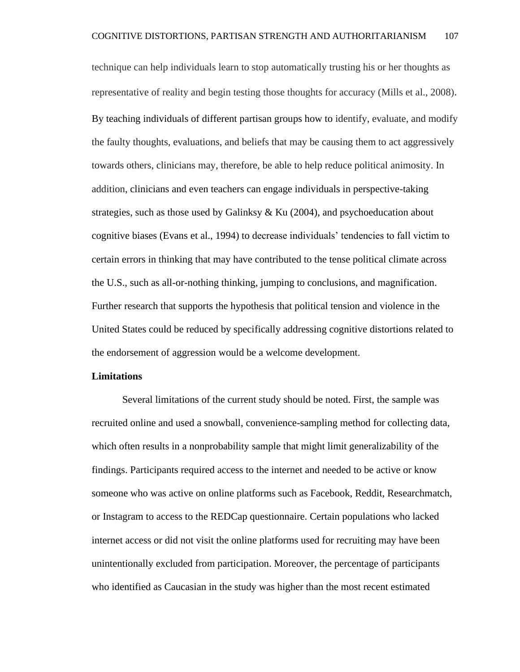technique can help individuals learn to stop automatically trusting his or her thoughts as representative of reality and begin testing those thoughts for accuracy (Mills et al., 2008). By teaching individuals of different partisan groups how to identify, evaluate, and modify the faulty thoughts, evaluations, and beliefs that may be causing them to act aggressively towards others, clinicians may, therefore, be able to help reduce political animosity. In addition, clinicians and even teachers can engage individuals in perspective-taking strategies, such as those used by Galinksy  $\&$  Ku (2004), and psychoeducation about cognitive biases (Evans et al., 1994) to decrease individuals' tendencies to fall victim to certain errors in thinking that may have contributed to the tense political climate across the U.S., such as all-or-nothing thinking, jumping to conclusions, and magnification. Further research that supports the hypothesis that political tension and violence in the United States could be reduced by specifically addressing cognitive distortions related to the endorsement of aggression would be a welcome development.

## **Limitations**

Several limitations of the current study should be noted. First, the sample was recruited online and used a snowball, convenience-sampling method for collecting data, which often results in a nonprobability sample that might limit generalizability of the findings. Participants required access to the internet and needed to be active or know someone who was active on online platforms such as Facebook, Reddit, Researchmatch, or Instagram to access to the REDCap questionnaire. Certain populations who lacked internet access or did not visit the online platforms used for recruiting may have been unintentionally excluded from participation. Moreover, the percentage of participants who identified as Caucasian in the study was higher than the most recent estimated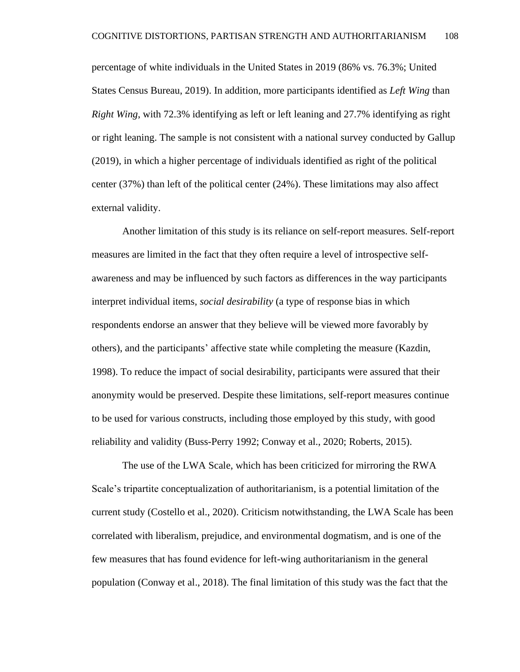percentage of white individuals in the United States in 2019 (86% vs. 76.3%; United States Census Bureau, 2019). In addition, more participants identified as *Left Wing* than *Right Wing*, with 72.3% identifying as left or left leaning and 27.7% identifying as right or right leaning. The sample is not consistent with a national survey conducted by Gallup (2019), in which a higher percentage of individuals identified as right of the political center (37%) than left of the political center (24%). These limitations may also affect external validity.

Another limitation of this study is its reliance on self-report measures. Self-report measures are limited in the fact that they often require a level of introspective selfawareness and may be influenced by such factors as differences in the way participants interpret individual items, *social desirability* (a type of response bias in which respondents endorse an answer that they believe will be viewed more favorably by others), and the participants' affective state while completing the measure (Kazdin, 1998). To reduce the impact of social desirability, participants were assured that their anonymity would be preserved. Despite these limitations, self-report measures continue to be used for various constructs, including those employed by this study, with good reliability and validity (Buss-Perry 1992; Conway et al., 2020; Roberts, 2015).

The use of the LWA Scale, which has been criticized for mirroring the RWA Scale's tripartite conceptualization of authoritarianism, is a potential limitation of the current study (Costello et al., 2020). Criticism notwithstanding, the LWA Scale has been correlated with liberalism, prejudice, and environmental dogmatism, and is one of the few measures that has found evidence for left-wing authoritarianism in the general population (Conway et al., 2018). The final limitation of this study was the fact that the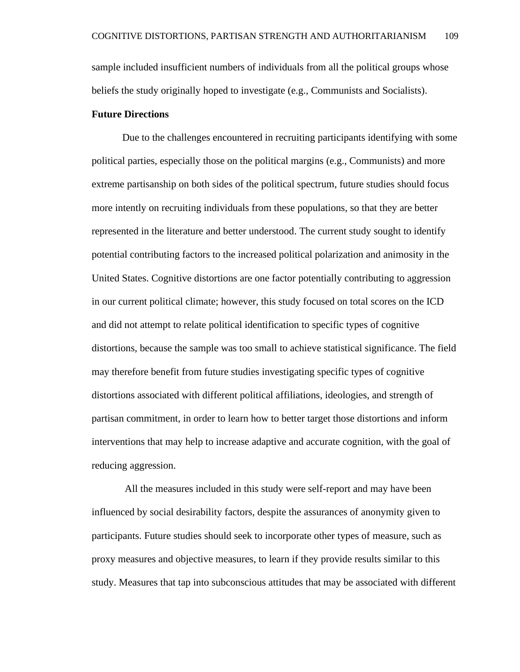sample included insufficient numbers of individuals from all the political groups whose beliefs the study originally hoped to investigate (e.g., Communists and Socialists).

## **Future Directions**

Due to the challenges encountered in recruiting participants identifying with some political parties, especially those on the political margins (e.g., Communists) and more extreme partisanship on both sides of the political spectrum, future studies should focus more intently on recruiting individuals from these populations, so that they are better represented in the literature and better understood. The current study sought to identify potential contributing factors to the increased political polarization and animosity in the United States. Cognitive distortions are one factor potentially contributing to aggression in our current political climate; however, this study focused on total scores on the ICD and did not attempt to relate political identification to specific types of cognitive distortions, because the sample was too small to achieve statistical significance. The field may therefore benefit from future studies investigating specific types of cognitive distortions associated with different political affiliations, ideologies, and strength of partisan commitment, in order to learn how to better target those distortions and inform interventions that may help to increase adaptive and accurate cognition, with the goal of reducing aggression.

All the measures included in this study were self-report and may have been influenced by social desirability factors, despite the assurances of anonymity given to participants. Future studies should seek to incorporate other types of measure, such as proxy measures and objective measures, to learn if they provide results similar to this study. Measures that tap into subconscious attitudes that may be associated with different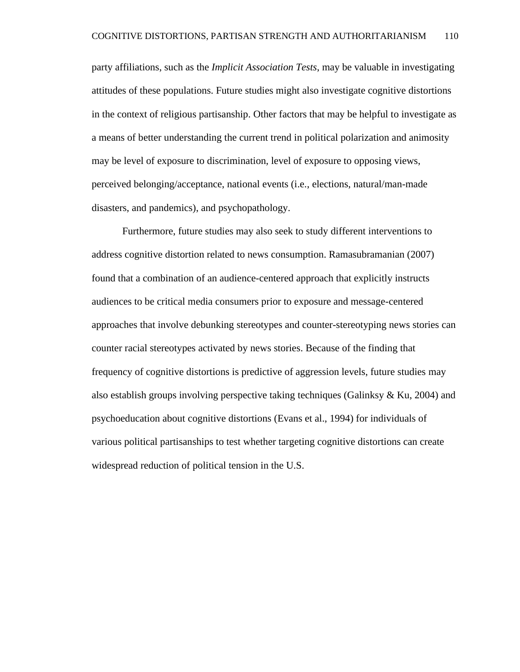party affiliations, such as the *Implicit Association Tests*, may be valuable in investigating attitudes of these populations. Future studies might also investigate cognitive distortions in the context of religious partisanship. Other factors that may be helpful to investigate as a means of better understanding the current trend in political polarization and animosity may be level of exposure to discrimination, level of exposure to opposing views, perceived belonging/acceptance, national events (i.e., elections, natural/man-made disasters, and pandemics), and psychopathology.

Furthermore, future studies may also seek to study different interventions to address cognitive distortion related to news consumption. Ramasubramanian (2007) found that a combination of an audience-centered approach that explicitly instructs audiences to be critical media consumers prior to exposure and message-centered approaches that involve debunking stereotypes and counter-stereotyping news stories can counter racial stereotypes activated by news stories. Because of the finding that frequency of cognitive distortions is predictive of aggression levels, future studies may also establish groups involving perspective taking techniques (Galinksy  $\&$  Ku, 2004) and psychoeducation about cognitive distortions (Evans et al., 1994) for individuals of various political partisanships to test whether targeting cognitive distortions can create widespread reduction of political tension in the U.S.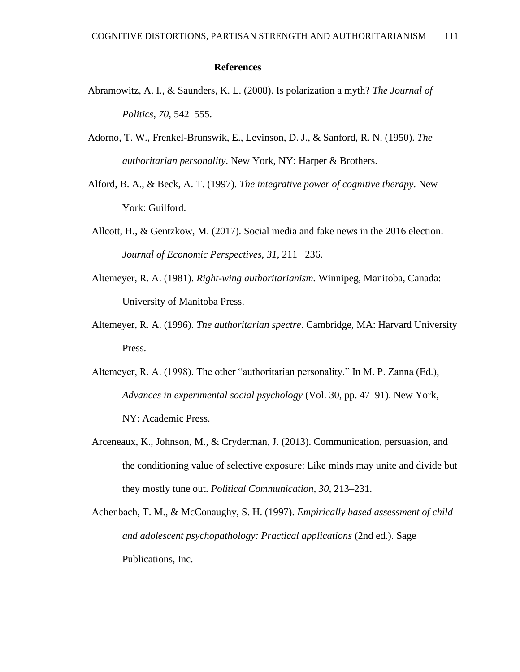## **References**

- Abramowitz, A. I., & Saunders, K. L. (2008). Is polarization a myth? *The Journal of Politics, 70*, 542–555.
- Adorno, T. W., Frenkel-Brunswik, E., Levinson, D. J., & Sanford, R. N. (1950). *The authoritarian personality*. New York, NY: Harper & Brothers.
- Alford, B. A., & Beck, A. T. (1997). *The integrative power of cognitive therapy*. New York: Guilford.
- Allcott, H., & Gentzkow, M. (2017). Social media and fake news in the 2016 election. *Journal of Economic Perspectives, 31*, 211– 236.
- Altemeyer, R. A. (1981). *Right-wing authoritarianism.* Winnipeg, Manitoba, Canada: University of Manitoba Press.
- Altemeyer, R. A. (1996). *The authoritarian spectre*. Cambridge, MA: Harvard University Press.
- Altemeyer, R. A. (1998). The other "authoritarian personality." In M. P. Zanna (Ed.), *Advances in experimental social psychology* (Vol. 30, pp. 47–91). New York, NY: Academic Press.
- Arceneaux, K., Johnson, M., & Cryderman, J. (2013). Communication, persuasion, and the conditioning value of selective exposure: Like minds may unite and divide but they mostly tune out. *Political Communication, 30*, 213–231.
- Achenbach, T. M., & McConaughy, S. H. (1997). *Empirically based assessment of child and adolescent psychopathology: Practical applications* (2nd ed.). Sage Publications, Inc.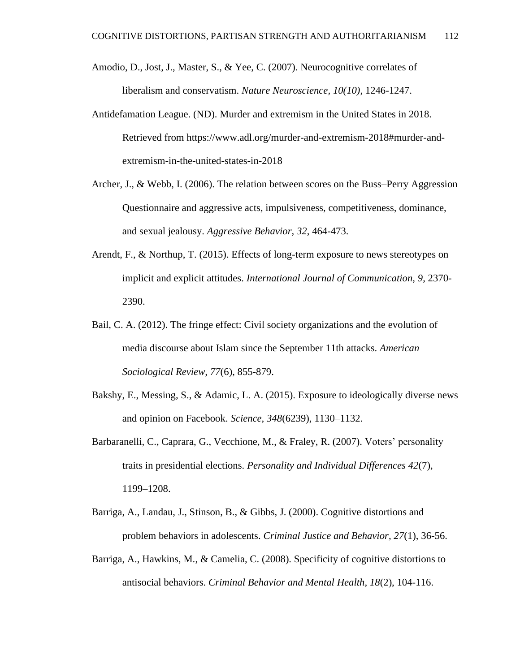- Amodio, D., Jost, J., Master, S., & Yee, C. (2007). Neurocognitive correlates of liberalism and conservatism. *Nature Neuroscience, 10(10)*, 1246-1247.
- Antidefamation League. (ND). Murder and extremism in the United States in 2018. Retrieved from [https://www.adl.org/murder-and-extremism-2018#murder-and](https://www.adl.org/murder-and-extremism-2018#murder-and-extremism-in-the-united-states-in-2018)[extremism-in-the-united-states-in-2018](https://www.adl.org/murder-and-extremism-2018#murder-and-extremism-in-the-united-states-in-2018)
- Archer, J., & Webb, I. (2006). The relation between scores on the Buss–Perry Aggression Questionnaire and aggressive acts, impulsiveness, competitiveness, dominance, and sexual jealousy. *Aggressive Behavior, 32*, 464-473.
- Arendt, F., & Northup, T. (2015). Effects of long-term exposure to news stereotypes on implicit and explicit attitudes. *International Journal of Communication, 9*, 2370- 2390.
- Bail, C. A. (2012). The fringe effect: Civil society organizations and the evolution of media discourse about Islam since the September 11th attacks. *American Sociological Review, 77*(6), 855-879.
- Bakshy, E., Messing, S., & Adamic, L. A. (2015). Exposure to ideologically diverse news and opinion on Facebook. *Science, 348*(6239), 1130–1132.
- Barbaranelli, C., Caprara, G., Vecchione, M., & Fraley, R. (2007). Voters' personality traits in presidential elections. *Personality and Individual Differences 42*(7), 1199–1208.
- Barriga, A., Landau, J., Stinson, B., & Gibbs, J. (2000). Cognitive distortions and problem behaviors in adolescents. *Criminal Justice and Behavior, 27*(1), 36-56.
- Barriga, A., Hawkins, M., & Camelia, C. (2008). Specificity of cognitive distortions to antisocial behaviors. *Criminal Behavior and Mental Health, 18*(2), 104-116.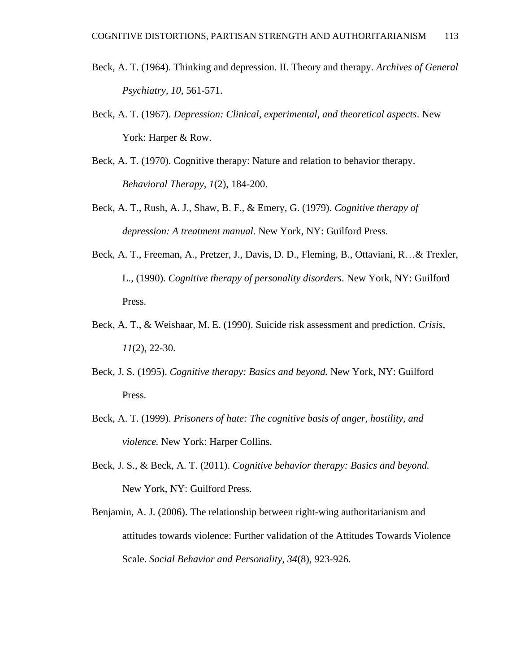- Beck, A. T. (1964). Thinking and depression. II. Theory and therapy. *Archives of General Psychiatry, 10*, 561-571.
- Beck, A. T. (1967). *Depression: Clinical, experimental, and theoretical aspects*. New York: Harper & Row.
- Beck, A. T. (1970). Cognitive therapy: Nature and relation to behavior therapy. *Behavioral Therapy, 1*(2), 184-200.
- Beck, A. T., Rush, A. J., Shaw, B. F., & Emery, G. (1979). *Cognitive therapy of depression: A treatment manual.* New York, NY: Guilford Press.
- Beck, A. T., Freeman, A., Pretzer, J., Davis, D. D., Fleming, B., Ottaviani, R…& Trexler, L., (1990). *Cognitive therapy of personality disorders*. New York, NY: Guilford Press.
- Beck, A. T., & Weishaar, M. E. (1990). Suicide risk assessment and prediction. *Crisis, 11*(2), 22-30.
- Beck, J. S. (1995). *Cognitive therapy: Basics and beyond.* New York, NY: Guilford Press.
- Beck, A. T. (1999). *Prisoners of hate: The cognitive basis of anger, hostility, and violence.* New York: Harper Collins.
- Beck, J. S., & Beck, A. T. (2011). *Cognitive behavior therapy: Basics and beyond.*  New York, NY: Guilford Press.
- Benjamin, A. J. (2006). The relationship between right-wing authoritarianism and attitudes towards violence: Further validation of the Attitudes Towards Violence Scale. *Social Behavior and Personality, 34*(8), 923-926.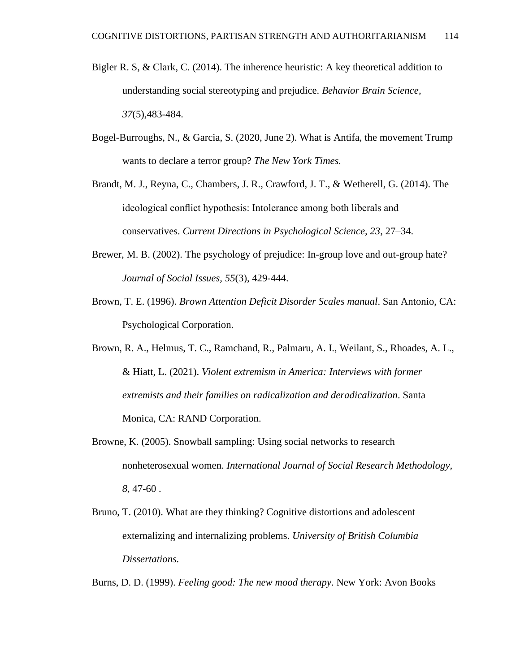- Bigler R. S, & Clark, C. (2014). The inherence heuristic: A key theoretical addition to understanding social stereotyping and prejudice. *Behavior Brain Science, 37*(5),483-484.
- Bogel-Burroughs, N., & Garcia, S. (2020, June 2). What is Antifa, the movement Trump wants to declare a terror group? *The New York Times.*
- Brandt, M. J., Reyna, C., Chambers, J. R., Crawford, J. T., & Wetherell, G. (2014). The ideological conflict hypothesis: Intolerance among both liberals and conservatives. *Current Directions in Psychological Science, 23*, 27–34.
- Brewer, M. B. (2002). The psychology of prejudice: In-group love and out-group hate? *Journal of Social Issues, 55*(3), 429-444.
- Brown, T. E. (1996). *Brown Attention Deficit Disorder Scales manual*. San Antonio, CA: Psychological Corporation.
- Brown, R. A., Helmus, T. C., Ramchand, R., Palmaru, A. I., Weilant, S., Rhoades, A. L., & Hiatt, L. (2021). *Violent extremism in America: Interviews with former extremists and their families on radicalization and deradicalization*. Santa Monica, CA: RAND Corporation.
- Browne, K. (2005). Snowball sampling: Using social networks to research nonheterosexual women. *International Journal of Social Research Methodology, 8*, 47-60 .
- Bruno, T. (2010). What are they thinking? Cognitive distortions and adolescent externalizing and internalizing problems. *University of British Columbia Dissertations.*

Burns, D. D. (1999). *Feeling good: The new mood therapy*. New York: Avon Books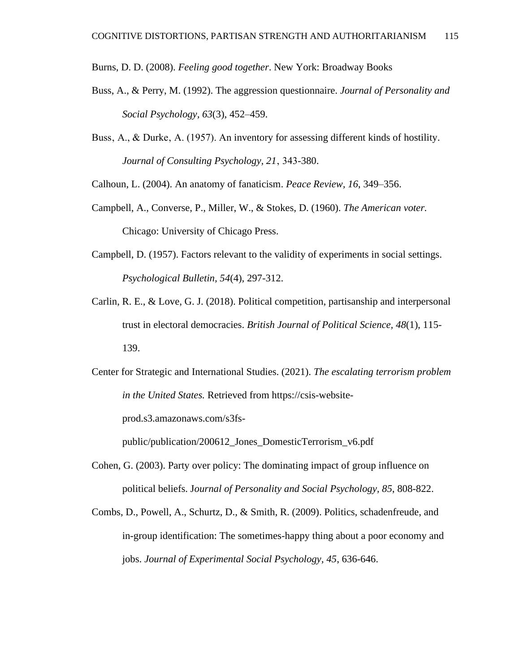Burns, D. D. (2008). *Feeling good together*. New York: Broadway Books

- Buss, A., & Perry, M. (1992). The aggression questionnaire. *Journal of Personality and Social Psychology, 63*(3), 452–459.
- Buss, A., & Durke, A. (1957). An inventory for assessing different kinds of hostility. *[Journal](https://scales.arabpsychology.com/tag/journal) of Consulting [Psychology,](https://scales.arabpsychology.com/tag/psychology) 21*' 343-380.

Calhoun, L. (2004). An anatomy of fanaticism. *Peace Review, 16*, 349–356.

- Campbell, A., Converse, P., Miller, W., & Stokes, D. (1960). *The American voter.*  Chicago: University of Chicago Press.
- Campbell, D. (1957). Factors relevant to the validity of experiments in social settings. *Psychological Bulletin, 54*(4), 297-312.
- Carlin, R. E., & Love, G. J. (2018). Political competition, partisanship and interpersonal trust in electoral democracies. *British Journal of Political Science, 48*(1), 115- 139.
- Center for Strategic and International Studies. (2021). *The escalating terrorism problem in the United States.* Retrieved from https://csis-website-

prod.s3.amazonaws.com/s3fs-

public/publication/200612\_Jones\_DomesticTerrorism\_v6.pdf

- Cohen, G. (2003). Party over policy: The dominating impact of group influence on political beliefs. J*ournal of Personality and Social Psychology, 85*, 808-822.
- Combs, D., Powell, A., Schurtz, D., & Smith, R. (2009). Politics, schadenfreude, and in-group identification: The sometimes-happy thing about a poor economy and jobs. *Journal of Experimental Social Psychology, 45*, 636-646.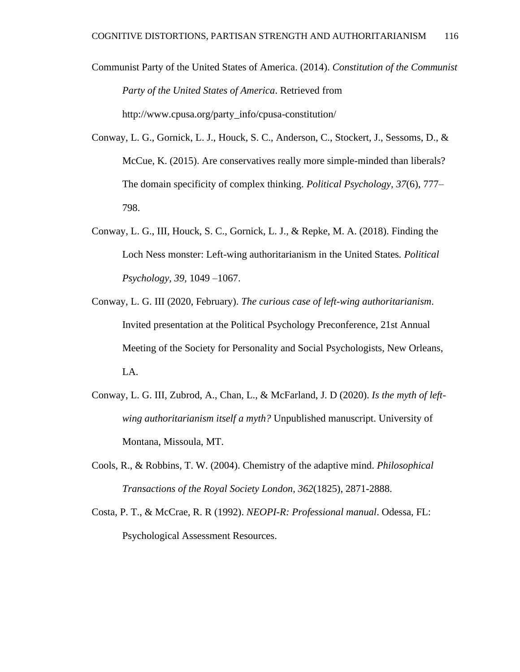Communist Party of the United States of America. (2014). *Constitution of the Communist Party of the United States of America*. Retrieved from [http://www.cpusa.org/party\\_info/cpusa-constitution/](http://www.cpusa.org/party_info/cpusa-constitution/)

- Conway, L. G., Gornick, L. J., Houck, S. C., Anderson, C., Stockert, J., Sessoms, D., & McCue, K. (2015). Are conservatives really more simple-minded than liberals? The domain specificity of complex thinking. *Political Psychology, 37*(6), 777– 798.
- Conway, L. G., III, Houck, S. C., Gornick, L. J., & Repke, M. A. (2018). Finding the Loch Ness monster: Left-wing authoritarianism in the United States*. Political Psychology, 39,* 1049 –1067.
- Conway, L. G. III (2020, February). *The curious case of left-wing authoritarianism*. Invited presentation at the Political Psychology Preconference, 21st Annual Meeting of the Society for Personality and Social Psychologists, New Orleans, LA.
- Conway, L. G. III, Zubrod, A., Chan, L., & McFarland, J. D (2020). *Is the myth of leftwing authoritarianism itself a myth?* Unpublished manuscript. University of Montana, Missoula, MT.
- Cools, R., & Robbins, T. W. (2004). Chemistry of the adaptive mind. *Philosophical Transactions of the Royal Society London, 362*(1825), 2871-2888.
- Costa, P. T., & McCrae, R. R (1992). *NEOPI-R: Professional manual*. Odessa, FL: Psychological Assessment Resources.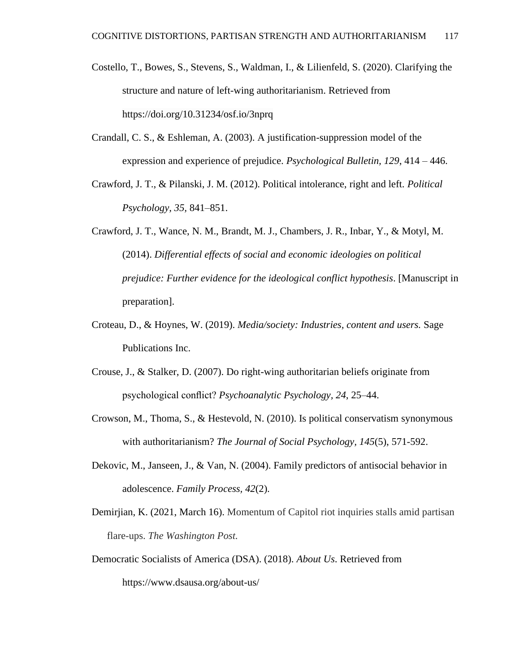- Costello, T., Bowes, S., Stevens, S., Waldman, I., & Lilienfeld, S. (2020). Clarifying the structure and nature of left-wing authoritarianism. Retrieved from https://doi.org/10.31234/osf.io/3nprq
- Crandall, C. S., & Eshleman, A. (2003). A justification-suppression model of the expression and experience of prejudice. *Psychological Bulletin, 129*, 414 – 446.
- Crawford, J. T., & Pilanski, J. M. (2012). Political intolerance, right and left. *Political Psychology, 35,* 841–851.
- Crawford, J. T., Wance, N. M., Brandt, M. J., Chambers, J. R., Inbar, Y., & Motyl, M. (2014). *Differential effects of social and economic ideologies on politica[l](https://www.in-mind.org/glossary/letter_p#prejudice) [prejudice:](https://www.in-mind.org/glossary/letter_p#prejudice) Further evidence for the ideological conflict hypothesis*. [Manuscript in preparation].
- Croteau, D., & Hoynes, W. (2019). *Media/society: Industries, content and users.* Sage Publications Inc.
- Crouse, J., & Stalker, D. (2007). Do right-wing authoritarian beliefs originate from psychological conflict? *Psychoanalytic Psychology, 24*, 25–44.
- Crowson, M., Thoma, S., & Hestevold, N. (2010). Is political conservatism synonymous with authoritarianism? *The Journal of Social Psychology, 145*(5), 571-592.
- Dekovic, M., Janseen, J., & Van, N. (2004). Family predictors of antisocial behavior in adolescence. *Family Process, 42*(2).
- Demirjian, K. (2021, March 16). Momentum of Capitol riot inquiries stalls amid partisan flare-ups. *The Washington Post.*
- Democratic Socialists of America (DSA). (2018). *About Us*. Retrieved from https://www.dsausa.org/about-us/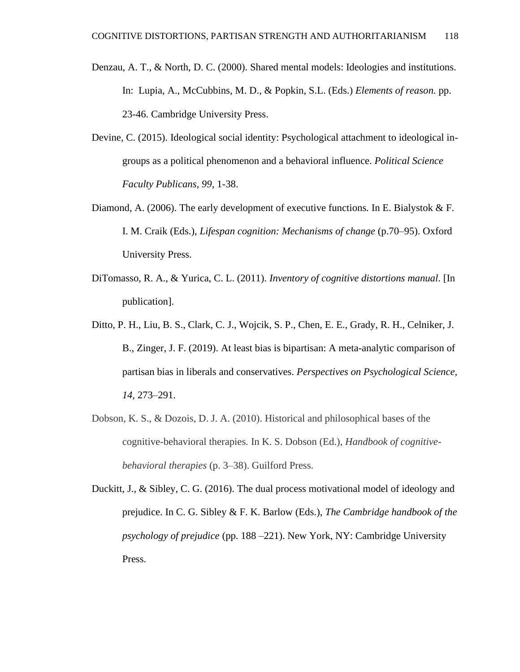- Denzau, A. T., & North, D. C. (2000). Shared mental models: Ideologies and institutions. In: Lupia, A., McCubbins, M. D., & Popkin, S.L. (Eds.) *Elements of reason.* pp. 23-46. Cambridge University Press.
- Devine, C. (2015). Ideological social identity: Psychological attachment to ideological ingroups as a political phenomenon and a behavioral influence. *Political Science Faculty Publicans, 99*, 1-38.
- Diamond, A. (2006). The early development of executive functions*.* In E. Bialystok & F. I. M. Craik (Eds.), *Lifespan cognition: Mechanisms of change* (p.70–95). Oxford University Press.
- DiTomasso, R. A., & Yurica, C. L. (2011). *Inventory of cognitive distortions manual*. [In publication].
- Ditto, P. H., Liu, B. S., Clark, C. J., Wojcik, S. P., Chen, E. E., Grady, R. H., Celniker, J. B., Zinger, J. F. (2019). At least bias is bipartisan: A meta-analytic comparison of partisan bias in liberals and conservatives. *Perspectives on Psychological Science, 14,* 273–291.
- Dobson, K. S., & Dozois, D. J. A. (2010). Historical and philosophical bases of the cognitive-behavioral therapies*.* In K. S. Dobson (Ed.), *Handbook of cognitivebehavioral therapies* (p. 3–38). Guilford Press.
- Duckitt, J., & Sibley, C. G. (2016). The dual process motivational model of ideology and prejudice. In C. G. Sibley & F. K. Barlow (Eds.), *The Cambridge handbook of the psychology of prejudice* (pp. 188 –221). New York, NY: Cambridge University Press.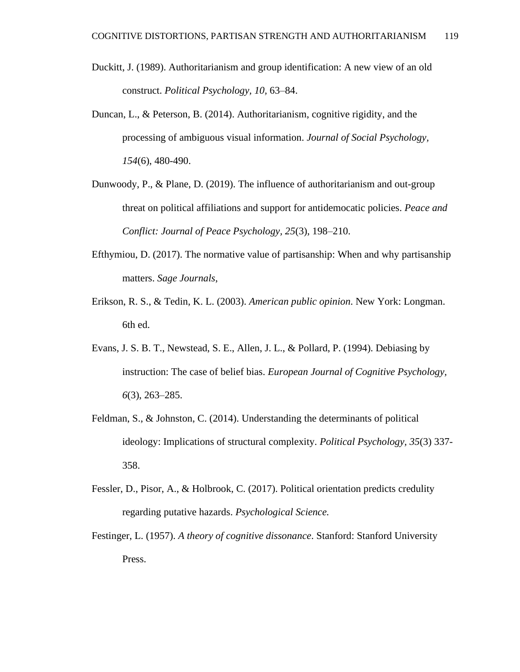- Duckitt, J. (1989). Authoritarianism and group identification: A new view of an old construct. *Political Psychology, 10,* 63–84.
- Duncan, L., & Peterson, B. (2014). Authoritarianism, cognitive rigidity, and the processing of ambiguous visual information. *Journal of Social Psychology, 154*(6), 480-490.
- Dunwoody, P., & Plane, D. (2019). The influence of authoritarianism and out-group threat on political affiliations and support for antidemocatic policies. *Peace and Conflict: Journal of Peace Psychology, 25*(3), 198–210.
- Efthymiou, D. (2017). The normative value of partisanship: When and why partisanship matters. *Sage Journals*,
- Erikson, R. S., & Tedin, K. L. (2003). *American public opinion*. New York: Longman. 6th ed.
- Evans, J. S. B. T., Newstead, S. E., Allen, J. L., & Pollard, P. (1994). Debiasing by instruction: The case of belief bias. *European Journal of Cognitive Psychology, 6*(3), 263–285.
- Feldman, S., & Johnston, C. (2014). Understanding the determinants of political ideology: Implications of structural complexity. *Political Psychology, 35*(3) 337- 358.
- Fessler, D., Pisor, A., & Holbrook, C. (2017). Political orientation predicts credulity regarding putative hazards. *Psychological Science.*
- Festinger, L. (1957). *A theory of cognitive dissonance*. Stanford: Stanford University Press.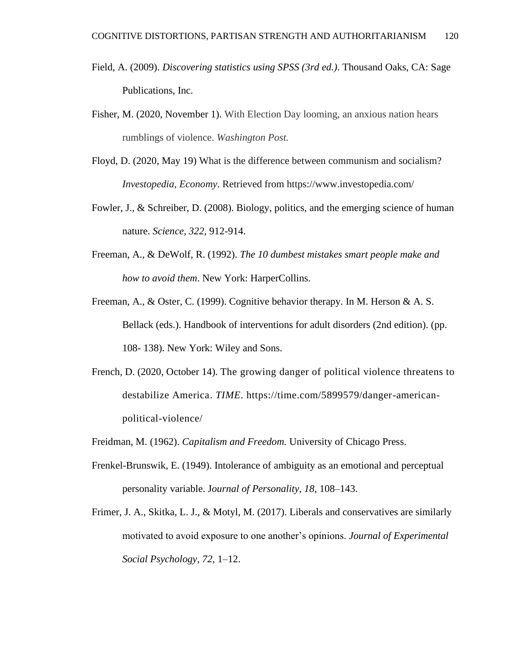- Field, A. (2009). *Discovering statistics using SPSS (3rd ed.)*. Thousand Oaks, CA: Sage Publications, Inc.
- Fisher, M. (2020, November 1). With Election Day looming, an anxious nation hears rumblings of violence. *Washington Post.*
- Floyd, D. (2020, May 19) What is the difference between communism and socialism? *Investopedia, Economy*. Retrieved from https://www.investopedia.com/
- Fowler, J., & Schreiber, D. (2008). Biology, politics, and the emerging science of human nature. *Science, 322,* 912-914.
- Freeman, A., & DeWolf, R. (1992). *The 10 dumbest mistakes smart people make and how to avoid them*. New York: HarperCollins.
- Freeman, A., & Oster, C. (1999). Cognitive behavior therapy. In M. Herson & A. S. Bellack (eds.). Handbook of interventions for adult disorders (2nd edition). (pp. 108- 138). New York: Wiley and Sons.
- French, D. (2020, October 14). The growing danger of political violence threatens to destabilize America. *TIME*. https://time.com/5899579/danger-americanpolitical-violence/
- Freidman, M. (1962). *Capitalism and Freedom.* University of Chicago Press.
- Frenkel-Brunswik, E. (1949). Intolerance of ambiguity as an emotional and perceptual personality variable. J*ournal of Personality, 18*, 108–143.
- Frimer, J. A., Skitka, L. J., & Motyl, M. (2017). Liberals and conservatives are similarly motivated to avoid exposure to one another's opinions. *Journal of Experimental Social Psychology, 72*, 1–12.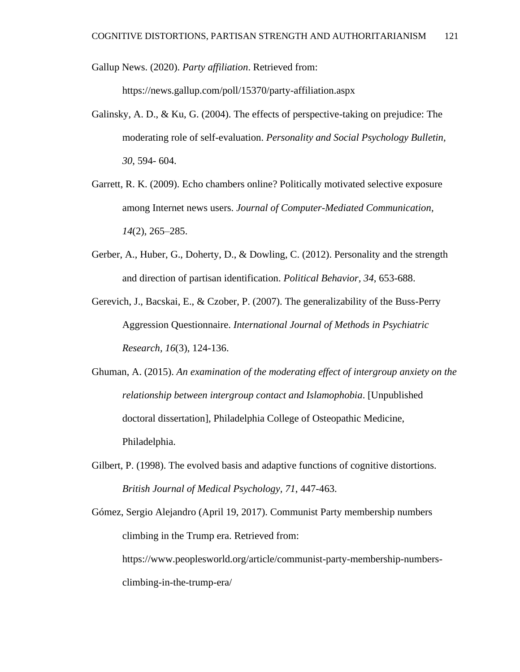Gallup News. (2020). *Party affiliation*. Retrieved from:

https://news.gallup.com/poll/15370/party-affiliation.aspx

- Galinsky, A. D., & Ku, G. (2004). The effects of perspective-taking on prejudice: The moderating role of self-evaluation. *Personality and Social Psychology Bulletin, 30*, 594- 604.
- Garrett, R. K. (2009). Echo chambers online? Politically motivated selective exposure among Internet news users. *Journal of Computer-Mediated Communication, 14*(2), 265–285.
- Gerber, A., Huber, G., Doherty, D., & Dowling, C. (2012). Personality and the strength and direction of partisan identification. *Political Behavior, 34*, 653-688.
- Gerevich, J., Bacskai, E., & Czober, P. (2007). The generalizability of the Buss-Perry Aggression Questionnaire. *International Journal of Methods in Psychiatric Research, 16*(3), 124-136.
- Ghuman, A. (2015). *An examination of the moderating effect of intergroup anxiety on the relationship between intergroup contact and Islamophobia*. [Unpublished doctoral dissertation], Philadelphia College of Osteopathic Medicine, Philadelphia.
- Gilbert, P. (1998). The evolved basis and adaptive functions of cognitive distortions. *British Journal of Medical Psychology, 71*, 447-463.

Gómez, Sergio Alejandro (April 19, 2017). [Communist Party membership numbers](about:blank)  [climbing in the Trump era.](about:blank) Retrieved from: https://www.peoplesworld.org/article/communist-party-membership-numbersclimbing-in-the-trump-era/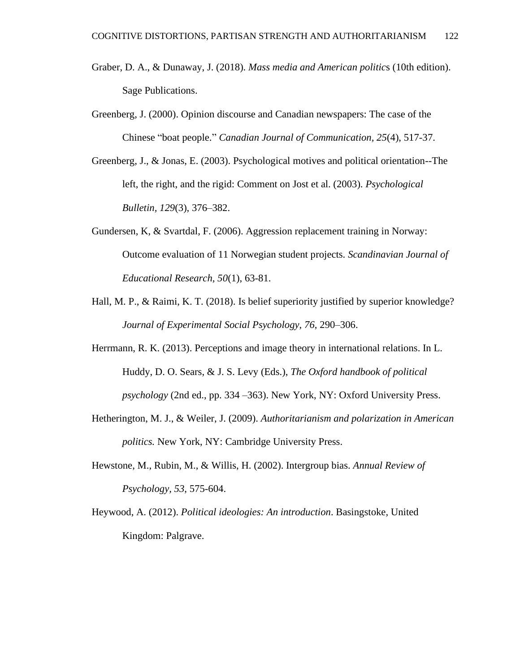- Graber, D. A., & Dunaway, J. (2018). *Mass media and American politic*s (10th edition). Sage Publications.
- Greenberg, J. (2000). Opinion discourse and Canadian newspapers: The case of the Chinese "boat people." *Canadian Journal of Communication, 25*(4), 517-37.
- Greenberg, J., & Jonas, E. (2003). Psychological motives and political orientation--The left, the right, and the rigid: Comment on Jost et al. (2003). *Psychological Bulletin, 129*(3), 376–382.
- Gundersen, K, & Svartdal, F. (2006). Aggression replacement training in Norway: Outcome evaluation of 11 Norwegian student projects. *Scandinavian Journal of Educational Research, 50*(1), 63-81.
- Hall, M. P., & Raimi, K. T. (2018). Is belief superiority justified by superior knowledge? *Journal of Experimental Social Psychology, 76*, 290–306.
- Herrmann, R. K. (2013). Perceptions and image theory in international relations. In L. Huddy, D. O. Sears, & J. S. Levy (Eds.), *The Oxford handbook of political psychology* (2nd ed., pp. 334 –363). New York, NY: Oxford University Press.
- Hetherington, M. J., & Weiler, J. (2009). *Authoritarianism and polarization in American politics.* New York, NY: Cambridge University Press.
- Hewstone, M., Rubin, M., & Willis, H. (2002). Intergroup bias. *Annual Review of Psychology, 53*, 575-604.
- Heywood, A. (2012). *Political ideologies: An introduction*. Basingstoke, United Kingdom: Palgrave.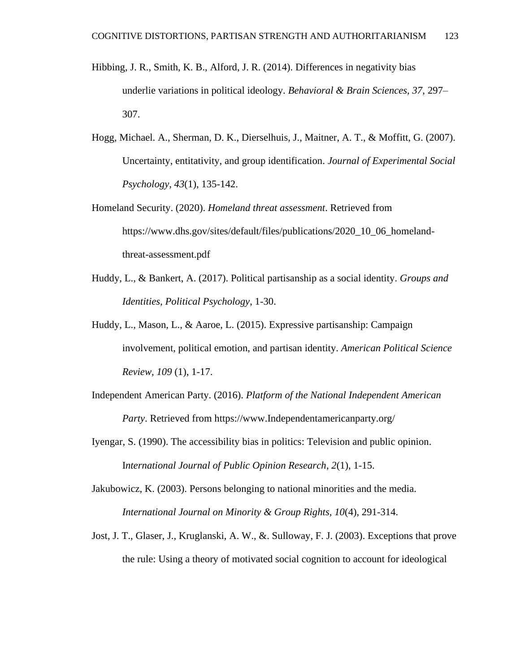- Hibbing, J. R., Smith, K. B., Alford, J. R. (2014). Differences in negativity bias underlie variations in political ideology. *Behavioral & Brain Sciences, 37*, 297– 307.
- Hogg, Michael. A., Sherman, D. K., Dierselhuis, J., Maitner, A. T., & Moffitt, G. (2007). Uncertainty, entitativity, and group identification. *Journal of Experimental Social Psychology, 43*(1), 135-142.
- Homeland Security. (2020). *Homeland threat assessment*. Retrieved from https://www.dhs.gov/sites/default/files/publications/2020\_10\_06\_homelandthreat-assessment.pdf
- Huddy, L., & Bankert, A. (2017). Political partisanship as a social identity. *Groups and Identities, Political Psychology*, 1-30.
- Huddy, L., Mason, L., & Aaroe, L. (2015). Expressive partisanship: Campaign involvement, political emotion, and partisan identity. *American Political Science Review, 109* (1), 1-17.
- Independent American Party. (2016). *Platform of the National Independent American Party*. Retrieved from https://www.Independentamericanparty.org/
- Iyengar, S. (1990). The accessibility bias in politics: Television and public opinion. I*nternational Journal of Public Opinion Research*, *2*(1), 1-15.
- Jakubowicz, K. (2003). Persons belonging to national minorities and the media. *International Journal on Minority & Group Rights, 10*(4), 291-314.
- Jost, J. T., Glaser, J., Kruglanski, A. W., &. Sulloway, F. J. (2003). Exceptions that prove the rule: Using a theory of motivated social cognition to account for ideological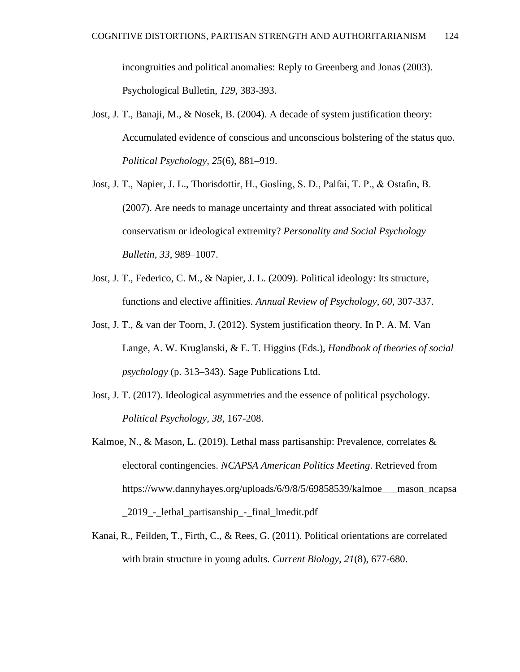incongruities and political anomalies: Reply to Greenberg and Jonas (2003). Psychological Bulletin, *129*, 383-393.

- Jost, J. T., Banaji, M., & Nosek, B. (2004). A decade of system justification theory: Accumulated evidence of conscious and unconscious bolstering of the status quo. *[Political Psychology,](https://en.wikipedia.org/wiki/Political_Psychology_(journal)) 25*(6), 881–919.
- Jost, J. T., Napier, J. L., Thorisdottir, H., Gosling, S. D., Palfai, T. P., & Ostafin, B. (2007). Are needs to manage uncertainty and threat associated with political conservatism or ideological extremity? *Personality and Social Psychology Bulletin, 33*, 989–1007.
- Jost, J. T., Federico, C. M., & Napier, J. L. (2009). Political ideology: Its structure, functions and elective affinities. *Annual Review of Psychology, 60*, 307-337.
- Jost, J. T., & van der Toorn, J. (2012). System justification theory*.* In P. A. M. Van Lange, A. W. Kruglanski, & E. T. Higgins (Eds.), *Handbook of theories of social psychology* (p. 313–343). Sage Publications Ltd.
- Jost, J. T. (2017). Ideological asymmetries and the essence of political psychology. *Political Psychology, 38*, 167-208.
- Kalmoe, N., & Mason, L. (2019). Lethal mass partisanship: Prevalence, correlates & electoral contingencies. *NCAPSA American Politics Meeting*. Retrieved from https://www.dannyhayes.org/uploads/6/9/8/5/69858539/kalmoe\_\_\_mason\_ncapsa \_2019\_-\_lethal\_partisanship\_-\_final\_lmedit.pdf
- Kanai, R., Feilden, T., Firth, C., & Rees, G. (2011). Political orientations are correlated with brain structure in young adults*. Current Biology, 21*(8), 677-680.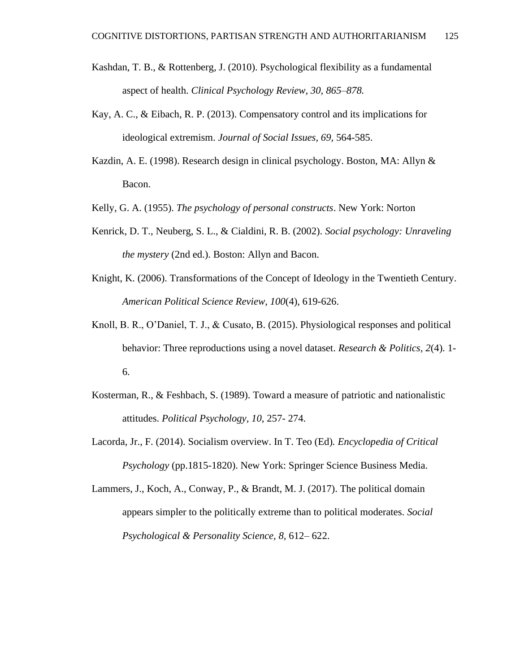- Kashdan, T. B., & Rottenberg, J. (2010). Psychological flexibility as a fundamental aspect of health. *Clinical Psychology Review, 30, 865–878.*
- Kay, A. C., & Eibach, R. P. (2013). Compensatory control and its implications for ideological extremism. *Journal of Social Issues, 69,* 564-585.
- Kazdin, A. E. (1998). Research design in clinical psychology. Boston, MA: Allyn & Bacon.
- Kelly, G. A. (1955). *The psychology of personal constructs*. New York: Norton
- Kenrick, D. T., Neuberg, S. L., & Cialdini, R. B. (2002). *Social psychology: Unraveling the mystery* (2nd ed.). Boston: Allyn and Bacon.
- Knight, K. (2006). Transformations of the Concept of Ideology in the Twentieth Century. *American Political Science Review, 100*(4), 619-626.
- Knoll, B. R., O'Daniel, T. J., & Cusato, B. (2015). Physiological responses and political behavior: Three reproductions using a novel dataset. *Research & Politics, 2*(4). 1- 6.
- Kosterman, R., & Feshbach, S. (1989). Toward a measure of patriotic and nationalistic attitudes. *Political Psychology, 10*, 257- 274.
- Lacorda, Jr., F. (2014). Socialism overview. In T. Teo (Ed)*. Encyclopedia of Critical Psychology* (pp.1815-1820). New York: Springer Science Business Media.
- Lammers, J., Koch, A., Conway, P., & Brandt, M. J. (2017). The political domain appears simpler to the politically extreme than to political moderates. *Social Psychological & Personality Science, 8,* 612– 622.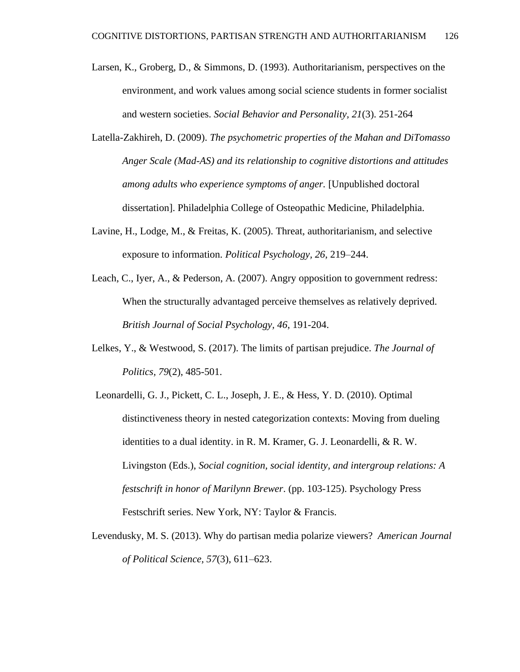- Larsen, K., Groberg, D., & Simmons, D. (1993). Authoritarianism, perspectives on the environment, and work values among social science students in former socialist and western societies. *Social Behavior and Personality, 21*(3). 251-264
- Latella-Zakhireh, D. (2009). *The psychometric properties of the Mahan and DiTomasso Anger Scale (Mad-AS) and its relationship to cognitive distortions and attitudes among adults who experience symptoms of anger.* [Unpublished doctoral dissertation]. Philadelphia College of Osteopathic Medicine, Philadelphia.
- Lavine, H., Lodge, M., & Freitas, K. (2005). Threat, authoritarianism, and selective exposure to information. *Political Psychology, 26*, 219–244.
- Leach, C., Iyer, A., & Pederson, A. (2007). Angry opposition to government redress: When the structurally advantaged perceive themselves as relatively deprived. *British Journal of Social Psychology, 46*, 191-204.
- Lelkes, Y., & Westwood, S. (2017). The limits of partisan prejudice. *The Journal of Politics, 79*(2), 485-501.
- Leonardelli, G. J., Pickett, C. L., Joseph, J. E., & Hess, Y. D. (2010). Optimal distinctiveness theory in nested categorization contexts: Moving from dueling identities to a dual identity. in R. M. Kramer, G. J. Leonardelli, & R. W. Livingston (Eds.), *Social cognition, social identity, and intergroup relations: A festschrift in honor of Marilynn Brewer*. (pp. 103-125). Psychology Press Festschrift series. New York, NY: Taylor & Francis.
- Levendusky, M. S. (2013). Why do partisan media polarize viewers? *American Journal of Political Science, 57*(3), 611–623.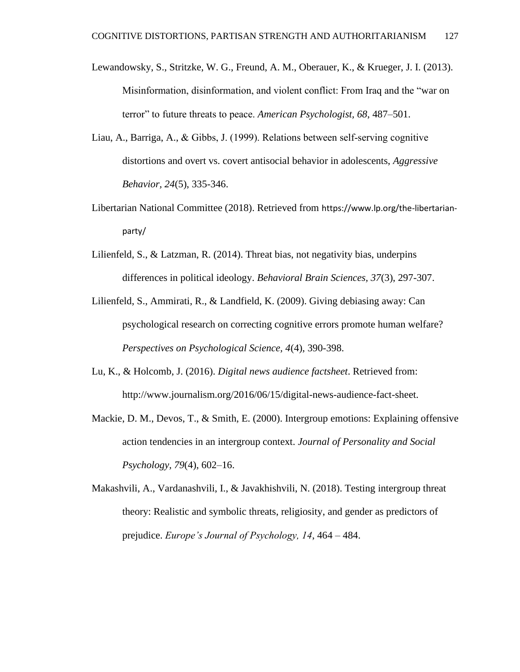- Lewandowsky, S., Stritzke, W. G., Freund, A. M., Oberauer, K., & Krueger, J. I. (2013). Misinformation, disinformation, and violent conflict: From Iraq and the "war on terror" to future threats to peace. *American Psychologist, 68*, 487–501.
- Liau, A., Barriga, A., & Gibbs, J. (1999). Relations between self‐serving cognitive distortions and overt vs. covert antisocial behavior in adolescents, *Aggressive Behavior, 24*(5), 335-346.
- Libertarian National Committee (2018). Retrieved from https://www.lp.org/the-libertarianparty/
- Lilienfeld, S., & Latzman, R. (2014). Threat bias, not negativity bias, underpins differences in political ideology. *Behavioral Brain Sciences, 37*(3), 297-307.
- Lilienfeld, S., Ammirati, R., & Landfield, K. (2009). Giving debiasing away: Can psychological research on correcting cognitive errors promote human welfare? *Perspectives on Psychological Science, 4*(4), 390-398.
- Lu, K., & Holcomb, J. (2016). *Digital news audience factsheet*. Retrieved from: [http://www.journalism.org/2016/06/15/digital-news-audience-fact-sheet.](http://www.journalism.org/2016/06/15/digital-news-audience-fact-sheet)
- Mackie, D. M., Devos, T., & Smith, E. (2000). Intergroup emotions: Explaining offensive action tendencies in an intergroup context. *Journal of Personality and Social Psychology, 79*(4), 602–16.
- Makashvili, A., Vardanashvili, I., & Javakhishvili, N. (2018). Testing intergroup threat theory: Realistic and symbolic threats, religiosity, and gender as predictors of prejudice. *Europe's Journal of Psychology, 14*, 464 – 484.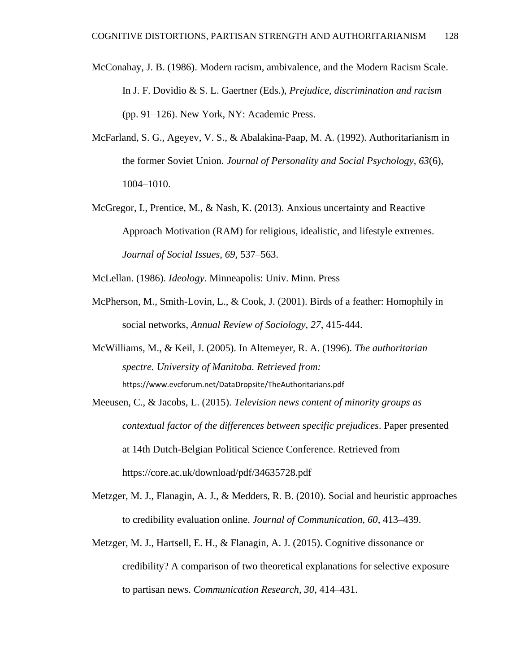- McConahay, J. B. (1986). Modern racism, ambivalence, and the Modern Racism Scale. In J. F. Dovidio & S. L. Gaertner (Eds.), *Prejudice, discrimination and racism* (pp. 91–126). New York, NY: Academic Press.
- McFarland, S. G., Ageyev, V. S., & Abalakina-Paap, M. A. (1992). Authoritarianism in the former Soviet Union. *Journal of Personality and Social Psychology, 63*(6), 1004–1010.
- McGregor, I., Prentice, M., & Nash, K. (2013). Anxious uncertainty and Reactive Approach Motivation (RAM) for religious, idealistic, and lifestyle extremes. *Journal of Social Issues, 69,* 537–563.

McLellan. (1986). *Ideology*. Minneapolis: Univ. Minn. Press

- McPherson, M., Smith-Lovin, L., & Cook, J. (2001). Birds of a feather: Homophily in social networks, *Annual Review of Sociology, 27*, 415-444.
- McWilliams, M., & Keil, J. (2005). In Altemeyer, R. A. (1996). *The authoritarian spectre. University of Manitoba. Retrieved from:* https://www.evcforum.net/DataDropsite/TheAuthoritarians.pdf
- Meeusen, C., & Jacobs, L. (2015). *Television news content of minority groups as contextual factor of the differences between specific prejudices*. Paper presented at 14th Dutch-Belgian Political Science Conference. Retrieved from https://core.ac.uk/download/pdf/34635728.pdf
- Metzger, M. J., Flanagin, A. J., & Medders, R. B. (2010). Social and heuristic approaches to credibility evaluation online. *Journal of Communication, 60*, 413–439.
- Metzger, M. J., Hartsell, E. H., & Flanagin, A. J. (2015). Cognitive dissonance or credibility? A comparison of two theoretical explanations for selective exposure to partisan news. *Communication Research, 30*, 414–431.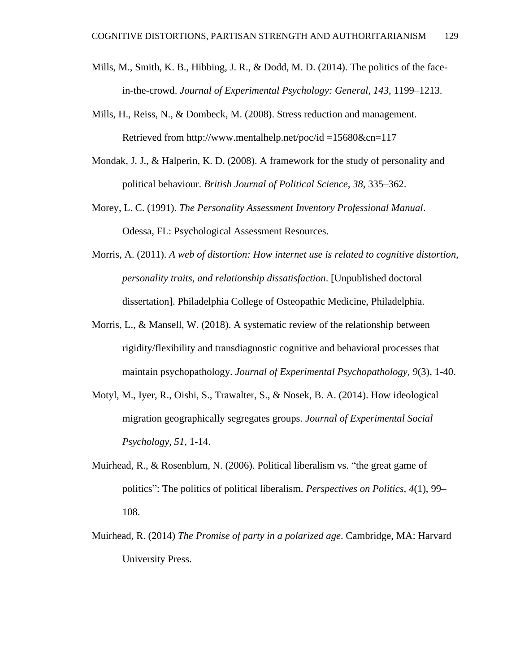- Mills, M., Smith, K. B., Hibbing, J. R., & Dodd, M. D. (2014). The politics of the facein-the-crowd. *Journal of Experimental Psychology: General, 143*, 1199–1213.
- Mills, H., Reiss, N., & Dombeck, M. (2008). Stress reduction and management. Retrieved from http://www.mentalhelp.net/poc/id =15680&cn=117
- Mondak, J. J., & Halperin, K. D. (2008). A framework for the study of personality and political behaviour. *British Journal of Political Science, 38*, 335–362.
- Morey, L. C. (1991). *The Personality Assessment Inventory Professional Manual*. Odessa, FL: Psychological Assessment Resources.
- Morris, A. (2011). *A web of distortion: How internet use is related to cognitive distortion, personality traits, and relationship dissatisfaction*. [Unpublished doctoral dissertation]. Philadelphia College of Osteopathic Medicine, Philadelphia.
- Morris, L., & Mansell, W. (2018). A systematic review of the relationship between rigidity/flexibility and transdiagnostic cognitive and behavioral processes that maintain psychopathology. *Journal of Experimental Psychopathology, 9*(3), 1-40.
- Motyl, M., Iyer, R., Oishi, S., Trawalter, S., & Nosek, B. A. (2014). How ideological migration geographically segregates groups. *Journal of Experimental Social Psychology, 51*, 1-14.
- Muirhead, R., & Rosenblum, N. (2006). Political liberalism vs. "the great game of politics": The politics of political liberalism. *Perspectives on Politics, 4*(1), 99– 108.
- Muirhead, R. (2014) *The Promise of party in a polarized age*. Cambridge, MA: Harvard University Press.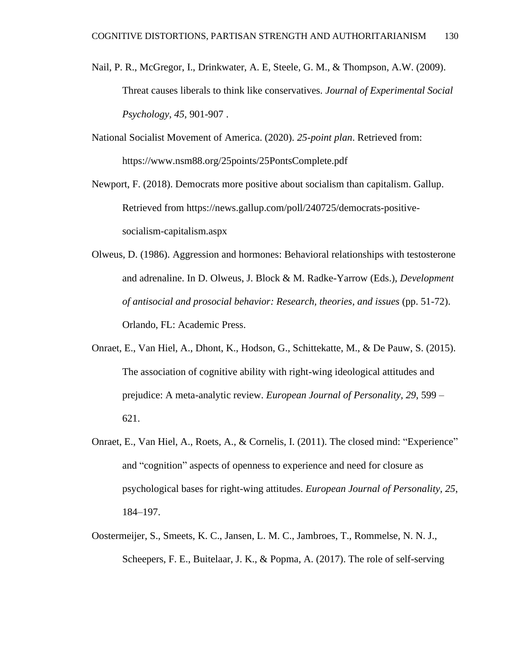- Nail, P. R., McGregor, I., Drinkwater, A. E, Steele, G. M., & Thompson, A.W. (2009). Threat causes liberals to think like conservatives. *Journal of Experimental Social Psychology, 45*, 901-907 .
- National Socialist Movement of America. (2020). *25-point plan*. Retrieved from: https://www.nsm88.org/25points/25PontsComplete.pdf
- Newport, F. (2018). Democrats more positive about socialism than capitalism. Gallup. Retrieved from https://news.gallup.com/poll/240725/democrats-positivesocialism-capitalism.aspx
- Olweus, D. (1986). Aggression and hormones: Behavioral relationships with testosterone and adrenaline. In D. Olweus, J. Block & M. Radke-Yarrow (Eds.), *Development of antisocial and prosocial behavior: Research, theories, and issues* (pp. 51-72). Orlando, FL: Academic Press.
- Onraet, E., Van Hiel, A., Dhont, K., Hodson, G., Schittekatte, M., & De Pauw, S. (2015). The association of cognitive ability with right-wing ideological attitudes and prejudice: A meta-analytic review. *European Journal of Personality, 29*, 599 – 621.
- Onraet, E., Van Hiel, A., Roets, A., & Cornelis, I. (2011). The closed mind: "Experience" and "cognition" aspects of openness to experience and need for closure as psychological bases for right-wing attitudes. *European Journal of Personality, 25*, 184–197.
- Oostermeijer, S., Smeets, K. C., Jansen, L. M. C., Jambroes, T., Rommelse, N. N. J., Scheepers, F. E., Buitelaar, J. K., & Popma, A. (2017). The role of self-serving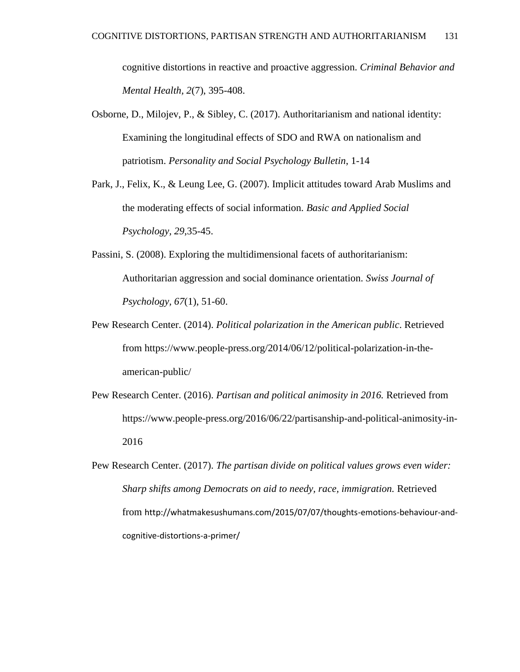cognitive distortions in reactive and proactive aggression. *Criminal Behavior and Mental Health, 2*(7), 395-408.

- Osborne, D., Milojev, P., & Sibley, C. (2017). Authoritarianism and national identity: Examining the longitudinal effects of SDO and RWA on nationalism and patriotism. *Personality and Social Psychology Bulletin*, 1-14
- Park, J., Felix, K., & Leung Lee, G. (2007). Implicit attitudes toward Arab Muslims and the moderating effects of social information. *Basic and Applied Social Psychology, 29*,35-45.
- Passini, S. (2008). Exploring the multidimensional facets of authoritarianism: Authoritarian aggression and social dominance orientation. *Swiss Journal of Psychology, 67*(1), 51-60.
- Pew Research Center. (2014). *Political polarization in the American public*. Retrieved from [https://www.people-press.org/2014/06/12/political-polarization-in-the](https://www.people-press.org/2014/06/12/political-polarization-in-the-american-public/)[american-public/](https://www.people-press.org/2014/06/12/political-polarization-in-the-american-public/)
- Pew Research Center. (2016). *Partisan and political animosity in 2016.* Retrieved from https://www.people-press.org/2016/06/22/partisanship-and-political-animosity-in-2016
- Pew Research Center. (2017). *The partisan divide on political values grows even wider: Sharp shifts among Democrats on aid to needy, race, immigration.* Retrieved from http://whatmakesushumans.com/2015/07/07/thoughts-emotions-behaviour-andcognitive-distortions-a-primer/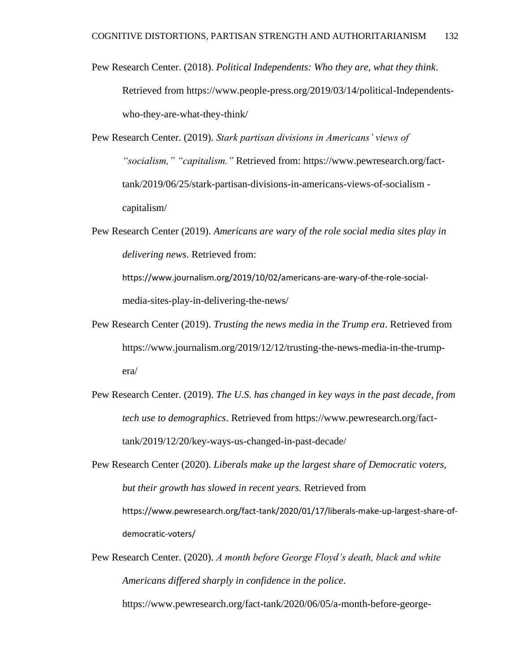- Pew Research Center. (2018). *Political Independents: Who they are, what they think*. Retrieved from https://www.people-press.org/2019/03/14/political-Independentswho-they-are-what-they-think/
- Pew Research Center. (2019). *Stark partisan divisions in Americans' views of "socialism," "capitalism."* Retrieved from: https://www.pewresearch.org/facttank/2019/06/25/stark-partisan-divisions-in-americans-views-of-socialism capitalism/
- Pew Research Center (2019). *Americans are wary of the role social media sites play in delivering news*. Retrieved from:

https://www.journalism.org/2019/10/02/americans-are-wary-of-the-role-socialmedia-sites-play-in-delivering-the-news/

- Pew Research Center (2019). *Trusting the news media in the Trump era*. Retrieved from https://www.journalism.org/2019/12/12/trusting-the-news-media-in-the-trumpera/
- Pew Research Center. (2019). *The U.S. has changed in key ways in the past decade, from tech use to demographics*. Retrieved from https://www.pewresearch.org/facttank/2019/12/20/key-ways-us-changed-in-past-decade/
- Pew Research Center (2020). *Liberals make up the largest share of Democratic voters, but their growth has slowed in recent years.* Retrieved from https://www.pewresearch.org/fact-tank/2020/01/17/liberals-make-up-largest-share-ofdemocratic-voters/
- Pew Research Center. (2020). *A month before George Floyd's death, black and white Americans differed sharply in confidence in the police*. [https://www.pewresearch.org/fact-tank/2020/06/05/a-month-before-george-](https://www.pewresearch.org/fact-tank/2020/06/05/a-month-before-george-floyds-death-black-and-white-americans-differed-sharply-in-confidence-in-the-police/)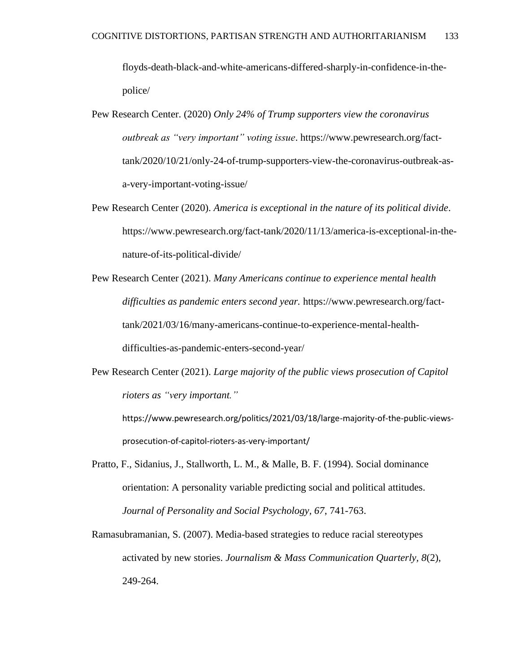[floyds-death-black-and-white-americans-differed-sharply-in-confidence-in-the](https://www.pewresearch.org/fact-tank/2020/06/05/a-month-before-george-floyds-death-black-and-white-americans-differed-sharply-in-confidence-in-the-police/)[police/](https://www.pewresearch.org/fact-tank/2020/06/05/a-month-before-george-floyds-death-black-and-white-americans-differed-sharply-in-confidence-in-the-police/)

- Pew Research Center. (2020) *Only 24% of Trump supporters view the coronavirus outbreak as "very important" voting issue*. https://www.pewresearch.org/facttank/2020/10/21/only-24-of-trump-supporters-view-the-coronavirus-outbreak-asa-very-important-voting-issue/
- Pew Research Center (2020). *America is exceptional in the nature of its political divide*. [https://www.pewresearch.org/fact-tank/2020/11/13/america-is-exceptional-in-the](https://www.pewresearch.org/fact-tank/2020/11/13/america-is-exceptional-in-the-nature-of-its-political-divide/)[nature-of-its-political-divide/](https://www.pewresearch.org/fact-tank/2020/11/13/america-is-exceptional-in-the-nature-of-its-political-divide/)
- Pew Research Center (2021). *Many Americans continue to experience mental health difficulties as pandemic enters second year.* [https://www.pewresearch.org/fact](https://www.pewresearch.org/fact-tank/2021/03/16/many-americans-continue-to-experience-mental-health-difficulties-as-pandemic-enters-second-year/)[tank/2021/03/16/many-americans-continue-to-experience-mental-health](https://www.pewresearch.org/fact-tank/2021/03/16/many-americans-continue-to-experience-mental-health-difficulties-as-pandemic-enters-second-year/)[difficulties-as-pandemic-enters-second-year/](https://www.pewresearch.org/fact-tank/2021/03/16/many-americans-continue-to-experience-mental-health-difficulties-as-pandemic-enters-second-year/)
- Pew Research Center (2021). *Large majority of the public views prosecution of Capitol rioters as "very important."*

https://www.pewresearch.org/politics/2021/03/18/large-majority-of-the-public-viewsprosecution-of-capitol-rioters-as-very-important/

- Pratto, F., Sidanius, J., Stallworth, L. M., & Malle, B. F. (1994). Social dominance orientation: A personality variable predicting social and political attitudes. *Journal of Personality and Social Psychology, 67*, 741-763.
- Ramasubramanian, S. (2007). Media-based strategies to reduce racial stereotypes activated by new stories. *Journalism & Mass Communication Quarterly, 8*(2), 249-264.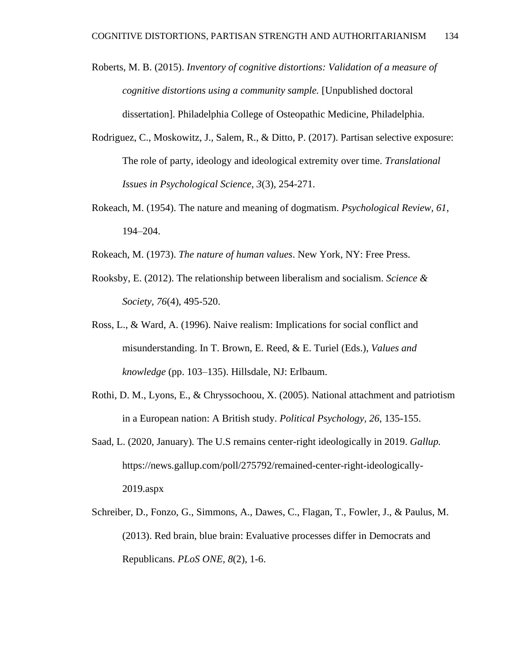- Roberts, M. B. (2015). *Inventory of cognitive distortions: Validation of a measure of cognitive distortions using a community sample.* [Unpublished doctoral dissertation]. Philadelphia College of Osteopathic Medicine, Philadelphia.
- Rodriguez, C., Moskowitz, J., Salem, R., & Ditto, P. (2017). Partisan selective exposure: The role of party, ideology and ideological extremity over time. *Translational Issues in Psychological Science, 3*(3), 254-271.
- Rokeach, M. (1954). The nature and meaning of dogmatism. *Psychological Review, 61*, 194–204.
- Rokeach, M. (1973). *The nature of human values*. New York, NY: Free Press.
- Rooksby, E. (2012). The relationship between liberalism and socialism. *Science & Society, 76*(4), 495-520.
- Ross, L., & Ward, A. (1996). Naive realism: Implications for social conflict and misunderstanding. In T. Brown, E. Reed, & E. Turiel (Eds.), *Values and knowledge* (pp. 103–135). Hillsdale, NJ: Erlbaum.
- Rothi, D. M., Lyons, E., & Chryssochoou, X. (2005). National attachment and patriotism in a European nation: A British study. *Political Psychology, 26*, 135-155.
- Saad, L. (2020, January). The U.S remains center-right ideologically in 2019. *Gallup.* https://news.gallup.com/poll/275792/remained-center-right-ideologically-2019.aspx
- Schreiber, D., Fonzo, G., Simmons, A., Dawes, C., Flagan, T., Fowler, J., & Paulus, M. (2013). Red brain, blue brain: Evaluative processes differ in Democrats and Republicans. *PLoS ONE, 8*(2), 1-6.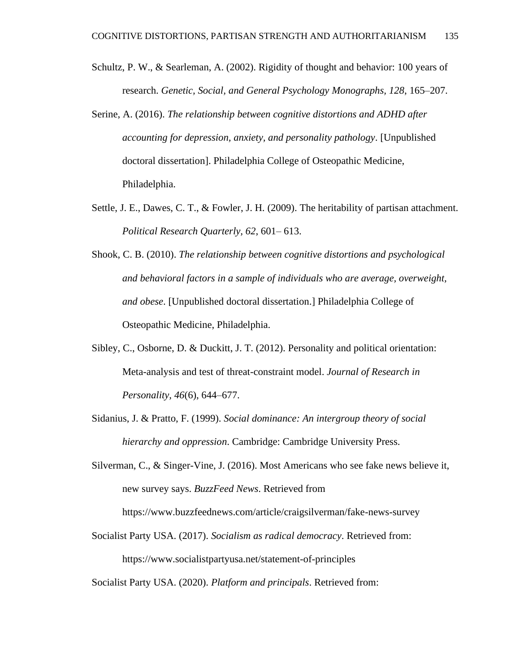- Schultz, P. W., & Searleman, A. (2002). Rigidity of thought and behavior: 100 years of research. *Genetic, Social, and General Psychology Monographs, 128*, 165–207.
- Serine, A. (2016). *The relationship between cognitive distortions and ADHD after accounting for depression, anxiety, and personality pathology*. [Unpublished doctoral dissertation]. Philadelphia College of Osteopathic Medicine, Philadelphia.
- Settle, J. E., Dawes, C. T., & Fowler, J. H. (2009). The heritability of partisan attachment. *Political Research Quarterly, 62*, 601– 613.
- Shook, C. B. (2010). *The relationship between cognitive distortions and psychological and behavioral factors in a sample of individuals who are average, overweight, and obese*. [Unpublished doctoral dissertation.] Philadelphia College of Osteopathic Medicine, Philadelphia.
- Sibley, C., Osborne, D. & Duckitt, J. T. (2012). Personality and political orientation: Meta-analysis and test of threat-constraint model. *Journal of Research in Personality, 46*(6), 644–677.
- Sidanius, J. & Pratto, F. (1999). *Social dominance: An intergroup theory of social hierarchy and oppression*. Cambridge: Cambridge University Press.
- Silverman, C., & Singer-Vine, J. (2016). Most Americans who see fake news believe it, new survey says. *BuzzFeed News*. Retrieved from

https://www.buzzfeednews.com/article/craigsilverman/fake-news-survey

Socialist Party USA. (2017). *Socialism as radical democracy*. Retrieved from: <https://www.socialistpartyusa.net/statement-of-principles>

Socialist Party USA. (2020). *Platform and principals*. Retrieved from: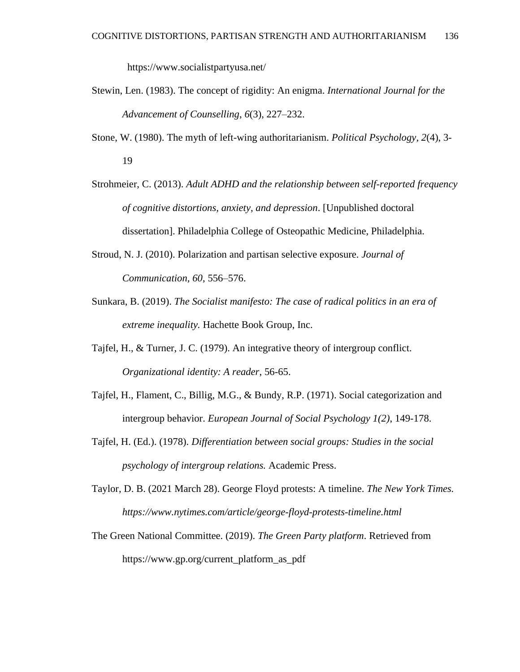https://www.socialistpartyusa.net/

- Stewin, Len. (1983). The concept of rigidity: An enigma. *International Journal for the Advancement of Counselling*, *6*(3), 227–232.
- Stone, W. (1980). The myth of left-wing authoritarianism. *Political Psychology, 2*(4), 3- 19
- Strohmeier, C. (2013). *Adult ADHD and the relationship between self-reported frequency of cognitive distortions, anxiety, and depression*. [Unpublished doctoral dissertation]. Philadelphia College of Osteopathic Medicine, Philadelphia.
- Stroud, N. J. (2010). Polarization and partisan selective exposure. *Journal of Communication, 60*, 556–576.
- Sunkara, B. (2019). *The Socialist manifesto: The case of radical politics in an era of extreme inequality.* Hachette Book Group, Inc.
- Tajfel, H., & Turner, J. C. (1979). An integrative theory of intergroup conflict. *Organizational identity: A reader*, 56-65.
- Tajfel, H., Flament, C., Billig, M.G., & Bundy, R.P. (1971). Social categorization and intergroup behavior. *European Journal of Social Psychology 1(2)*, 149-178.
- Tajfel, H. (Ed.). (1978). *Differentiation between social groups: Studies in the social psychology of intergroup relations.* Academic Press.
- Taylor, D. B. (2021 March 28). George Floyd protests: A timeline. *The New York Times. https://www.nytimes.com/article/george-floyd-protests-timeline.html*
- The Green National Committee. (2019). *The Green Party platform*. Retrieved from https://www.gp.org/current\_platform\_as\_pdf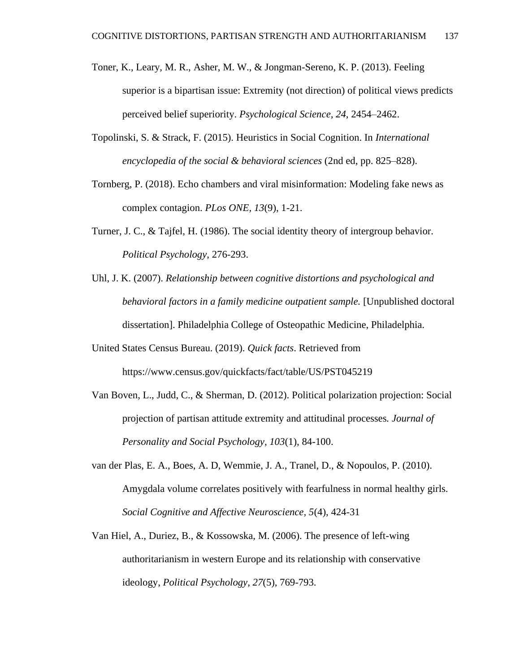- Toner, K., Leary, M. R., Asher, M. W., & Jongman-Sereno, K. P. (2013). Feeling superior is a bipartisan issue: Extremity (not direction) of political views predicts perceived belief superiority. *Psychological Science, 24*, 2454–2462.
- Topolinski, S. & Strack, F. (2015). Heuristics in Social Cognition. In *International encyclopedia of the social & behavioral sciences* (2nd ed, pp. 825–828).
- Tornberg, P. (2018). Echo chambers and viral misinformation: Modeling fake news as complex contagion. *PLos ONE, 13*(9), 1-21.
- Turner, J. C., & Tajfel, H. (1986). The social identity theory of intergroup behavior. *Political Psychology*, 276-293.
- Uhl, J. K. (2007). *Relationship between cognitive distortions and psychological and behavioral factors in a family medicine outpatient sample.* [Unpublished doctoral dissertation]. Philadelphia College of Osteopathic Medicine, Philadelphia.
- United States Census Bureau. (2019). *Quick facts*. Retrieved from https://www.census.gov/quickfacts/fact/table/US/PST045219
- Van Boven, L., Judd, C., & Sherman, D. (2012). Political polarization projection: Social projection of partisan attitude extremity and attitudinal processes*. Journal of Personality and Social Psychology, 103*(1), 84-100.
- van der Plas, E. A., Boes, A. D, Wemmie, J. A., Tranel, D., & Nopoulos, P. (2010). Amygdala volume correlates positively with fearfulness in normal healthy girls. *Social Cognitive and Affective Neuroscience, 5*(4), 424-31
- Van Hiel, A., Duriez, B., & Kossowska, M. (2006). The presence of left-wing authoritarianism in western Europe and its relationship with conservative ideology, *Political Psychology, 27*(5), 769-793.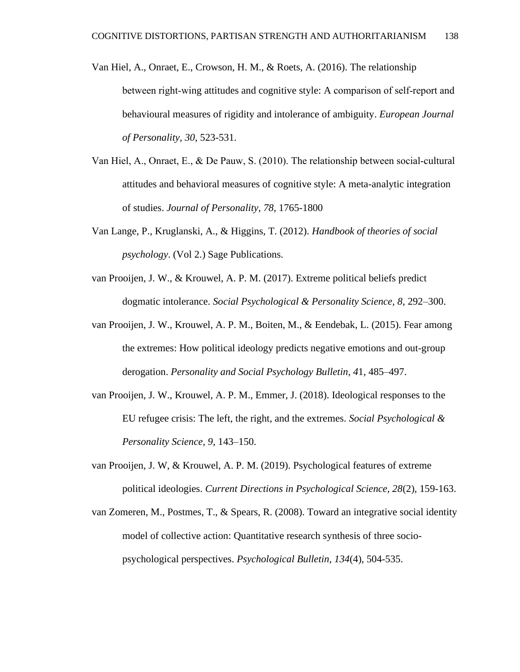- Van Hiel, A., Onraet, E., Crowson, H. M., & Roets, A. (2016). The relationship between right-wing attitudes and cognitive style: A comparison of self-report and behavioural measures of rigidity and intolerance of ambiguity. *European Journal of Personality, 30*, 523-531.
- Van Hiel, A., Onraet, E., & De Pauw, S. (2010). The relationship between social‐cultural attitudes and behavioral measures of cognitive style: A meta-analytic integration of studies. *Journal of Personality, 78*, 1765-1800
- Van Lange, P., Kruglanski, A., & Higgins, T. (2012). *Handbook of theories of social psychology*. (Vol 2.) Sage Publications.
- van Prooijen, J. W., & Krouwel, A. P. M. (2017). Extreme political beliefs predict dogmatic intolerance. *Social Psychological & Personality Science, 8*, 292–300.
- van Prooijen, J. W., Krouwel, A. P. M., Boiten, M., & Eendebak, L. (2015). Fear among the extremes: How political ideology predicts negative emotions and out-group derogation. *Personality and Social Psychology Bulletin, 4*1, 485–497.
- van Prooijen, J. W., Krouwel, A. P. M., Emmer, J. (2018). Ideological responses to the EU refugee crisis: The left, the right, and the extremes. *Social Psychological & Personality Science, 9*, 143–150.
- van Prooijen, J. W, & Krouwel, A. P. M. (2019). Psychological features of extreme political ideologies. *Current Directions in Psychological Science, 28*(2), 159-163.
- van Zomeren, M., Postmes, T., & Spears, R. (2008). Toward an integrative social identity model of collective action: Quantitative research synthesis of three sociopsychological perspectives. *Psychological Bulletin, 134*(4), 504-535.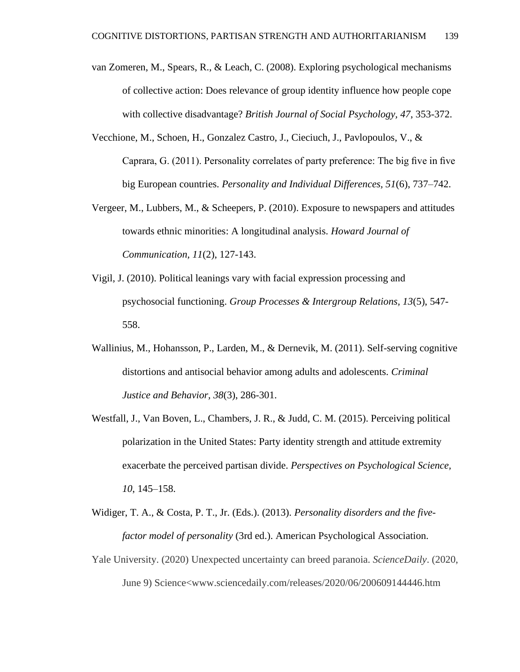- van Zomeren, M., Spears, R., & Leach, C. (2008). Exploring psychological mechanisms of collective action: Does relevance of group identity influence how people cope with collective disadvantage? *British Journal of Social Psychology, 47*, 353-372.
- Vecchione, M., Schoen, H., Gonzalez Castro, J., Cieciuch, J., Pavlopoulos, V., & Caprara, G. (2011). Personality correlates of party preference: The big five in five big European countries. *Personality and Individual Differences, 51*(6), 737–742.
- Vergeer, M., Lubbers, M., & Scheepers, P. (2010). Exposure to newspapers and attitudes towards ethnic minorities: A longitudinal analysis. *Howard Journal of Communication, 11*(2), 127-143.
- Vigil, J. (2010). Political leanings vary with facial expression processing and psychosocial functioning. *Group Processes & Intergroup Relations, 13*(5), 547- 558.
- Wallinius, M., Hohansson, P., Larden, M., & Dernevik, M. (2011). Self-serving cognitive distortions and antisocial behavior among adults and adolescents. *Criminal Justice and Behavior, 38*(3), 286-301.
- Westfall, J., Van Boven, L., Chambers, J. R., & Judd, C. M. (2015). Perceiving political polarization in the United States: Party identity strength and attitude extremity exacerbate the perceived partisan divide. *Perspectives on Psychological Science, 10*, 145–158.
- Widiger, T. A., & Costa, P. T., Jr. (Eds.). (2013). *Personality disorders and the fivefactor model of personality* (3rd ed.). American Psychological Association.
- Yale University. (2020) Unexpected uncertainty can breed paranoia. *ScienceDaily*. (2020, June 9) Science<www.sciencedaily.com/releases/2020/06/200609144446.htm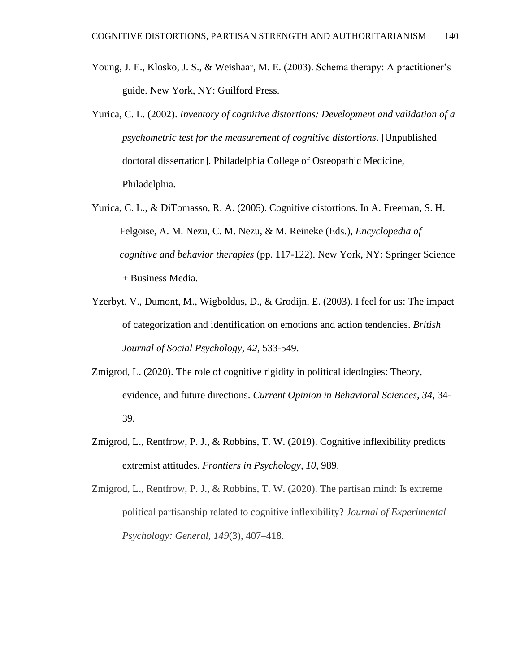- Young, J. E., Klosko, J. S., & Weishaar, M. E. (2003). Schema therapy: A practitioner's guide. New York, NY: Guilford Press.
- Yurica, C. L. (2002). *Inventory of cognitive distortions: Development and validation of a psychometric test for the measurement of cognitive distortions*. [Unpublished doctoral dissertation]. Philadelphia College of Osteopathic Medicine, Philadelphia.
- Yurica, C. L., & DiTomasso, R. A. (2005). Cognitive distortions. In A. Freeman, S. H. Felgoise, A. M. Nezu, C. M. Nezu, & M. Reineke (Eds.), *Encyclopedia of cognitive and behavior therapies* (pp. 117-122). New York, NY: Springer Science + Business Media.
- Yzerbyt, V., Dumont, M., Wigboldus, D., & Grodijn, E. (2003). I feel for us: The impact of categorization and identification on emotions and action tendencies. *British Journal of Social Psychology, 42*, 533-549.
- Zmigrod, L. (2020). The role of cognitive rigidity in political ideologies: Theory, evidence, and future directions. *Current Opinion in Behavioral Sciences, 34*, 34- 39.
- Zmigrod, L., Rentfrow, P. J., & Robbins, T. W. (2019). Cognitive inflexibility predicts extremist attitudes. *Frontiers in Psychology, 10,* 989.
- Zmigrod, L., Rentfrow, P. J., & Robbins, T. W. (2020). The partisan mind: Is extreme political partisanship related to cognitive inflexibility? *Journal of Experimental Psychology: General, 149*(3), 407–418.